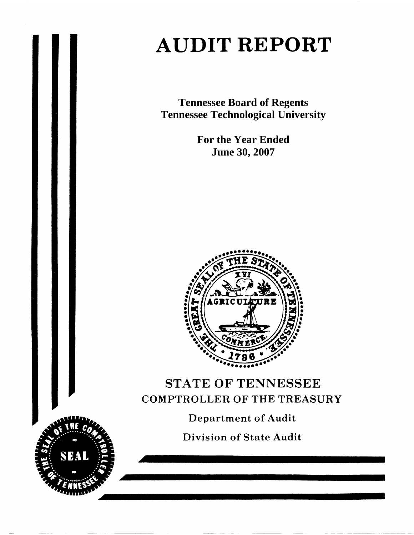# **AUDIT REPORT**

**Tennessee Board of Regents Tennessee Technological University** 

> **For the Year Ended June 30, 2007**



# STATE OF TENNESSEE **COMPTROLLER OF THE TREASURY**

**Department of Audit** 

**Division of State Audit** 

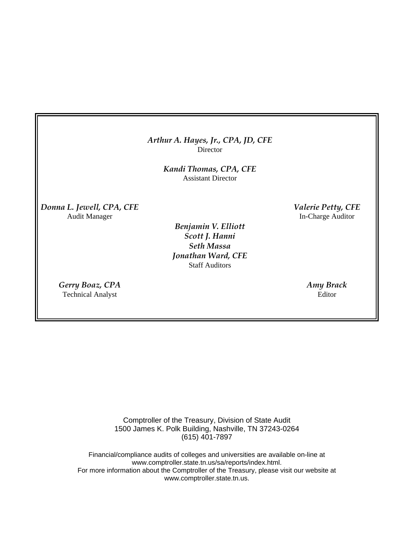## *Arthur A. Hayes, Jr., CPA, JD, CFE* **Director**

*Kandi Thomas, CPA, CFE*  Assistant Director

*Donna L. Jewell, CPA, CFE Valerie Petty, CFE*  Audit Manager **In-Charge Auditor** 

> *Benjamin V. Elliott Scott J. Hanni Seth Massa Jonathan Ward, CFE* Staff Auditors

*Gerry Boaz, CPA Amy Brack*  Technical Analyst Editor

Comptroller of the Treasury, Division of State Audit 1500 James K. Polk Building, Nashville, TN 37243-0264 (615) 401-7897

Financial/compliance audits of colleges and universities are available on-line at www.comptroller.state.tn.us/sa/reports/index.html. For more information about the Comptroller of the Treasury, please visit our website at www.comptroller.state.tn.us.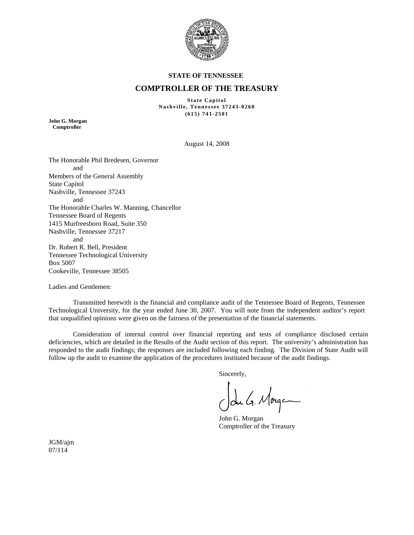

#### **STATE OF TENNESSEE**

## **COMPTROLLER OF THE TREASURY**

**State Capitol Nashville, Tennessee 37243-0260 (615) 741-2501** 

**John G. Morgan Comptroller** 

August 14, 2008

The Honorable Phil Bredesen, Governor and Members of the General Assembly State Capitol Nashville, Tennessee 37243 and The Honorable Charles W. Manning, Chancellor Tennessee Board of Regents 1415 Murfreesboro Road, Suite 350 Nashville, Tennessee 37217 and Dr. Robert R. Bell, President Tennessee Technological University Box 5007 Cookeville, Tennessee 38505

Ladies and Gentlemen:

 Transmitted herewith is the financial and compliance audit of the Tennessee Board of Regents, Tennessee Technological University, for the year ended June 30, 2007. You will note from the independent auditor's report that unqualified opinions were given on the fairness of the presentation of the financial statements.

 Consideration of internal control over financial reporting and tests of compliance disclosed certain deficiencies, which are detailed in the Results of the Audit section of this report. The university's administration has responded to the audit findings; the responses are included following each finding. The Division of State Audit will follow up the audit to examine the application of the procedures instituted because of the audit findings.

Sincerely,

du G. Morge

John G. Morgan Comptroller of the Treasury

JGM/ajm 07/114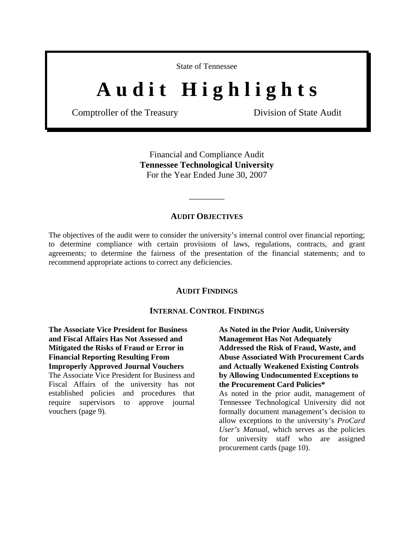State of Tennessee

# A u d i t H i g h l i g h t s

Comptroller of the Treasury Division of State Audit

Financial and Compliance Audit **Tennessee Technological University**  For the Year Ended June 30, 2007

#### **AUDIT OBJECTIVES**

\_\_\_\_\_\_\_\_

The objectives of the audit were to consider the university's internal control over financial reporting; to determine compliance with certain provisions of laws, regulations, contracts, and grant agreements; to determine the fairness of the presentation of the financial statements; and to recommend appropriate actions to correct any deficiencies.

#### **AUDIT FINDINGS**

## **INTERNAL CONTROL FINDINGS**

**The Associate Vice President for Business and Fiscal Affairs Has Not Assessed and Mitigated the Risks of Fraud or Error in Financial Reporting Resulting From Improperly Approved Journal Vouchers** 

The Associate Vice President for Business and Fiscal Affairs of the university has not established policies and procedures that require supervisors to approve journal vouchers (page 9).

**As Noted in the Prior Audit, University Management Has Not Adequately Addressed the Risk of Fraud, Waste, and Abuse Associated With Procurement Cards and Actually Weakened Existing Controls by Allowing Undocumented Exceptions to the Procurement Card Policies\***  As noted in the prior audit, management of Tennessee Technological University did not

formally document management's decision to allow exceptions to the university's *ProCard User's Manual,* which serves as the policies for university staff who are assigned procurement cards (page 10).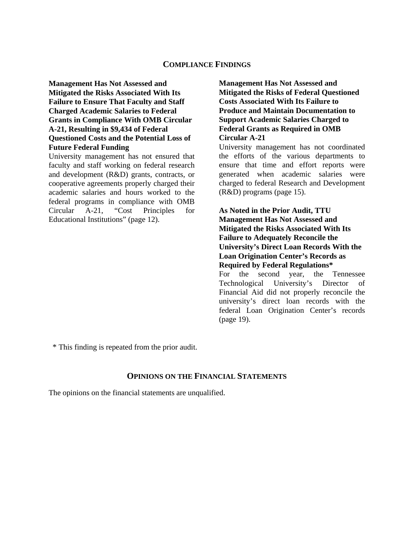#### **COMPLIANCE FINDINGS**

**Management Has Not Assessed and Mitigated the Risks Associated With Its Failure to Ensure That Faculty and Staff Charged Academic Salaries to Federal Grants in Compliance With OMB Circular A-21, Resulting in \$9,434 of Federal Questioned Costs and the Potential Loss of Future Federal Funding** 

University management has not ensured that faculty and staff working on federal research and development (R&D) grants, contracts, or cooperative agreements properly charged their academic salaries and hours worked to the federal programs in compliance with OMB Circular A-21, "Cost Principles for Educational Institutions" (page 12).

**Management Has Not Assessed and Mitigated the Risks of Federal Questioned Costs Associated With Its Failure to Produce and Maintain Documentation to Support Academic Salaries Charged to Federal Grants as Required in OMB Circular A-21** 

University management has not coordinated the efforts of the various departments to ensure that time and effort reports were generated when academic salaries were charged to federal Research and Development (R&D) programs (page 15).

**As Noted in the Prior Audit, TTU Management Has Not Assessed and Mitigated the Risks Associated With Its Failure to Adequately Reconcile the University's Direct Loan Records With the Loan Origination Center's Records as Required by Federal Regulations\*** 

For the second year, the Tennessee Technological University's Director of Financial Aid did not properly reconcile the university's direct loan records with the federal Loan Origination Center's records (page 19).

\* This finding is repeated from the prior audit.

# **OPINIONS ON THE FINANCIAL STATEMENTS**

The opinions on the financial statements are unqualified.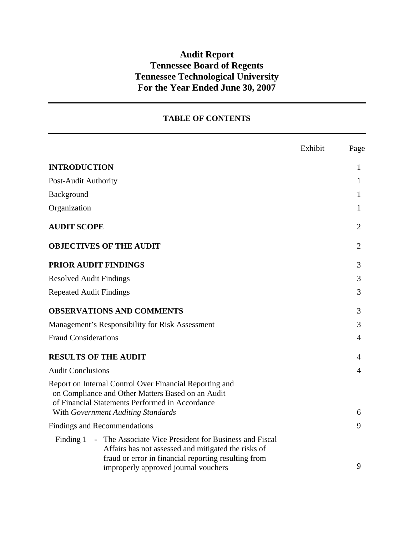# **Audit Report Tennessee Board of Regents Tennessee Technological University For the Year Ended June 30, 2007**

# **TABLE OF CONTENTS**

|                                                                                                                                                                 | Exhibit | Page           |
|-----------------------------------------------------------------------------------------------------------------------------------------------------------------|---------|----------------|
| <b>INTRODUCTION</b>                                                                                                                                             |         | $\mathbf{1}$   |
| Post-Audit Authority                                                                                                                                            |         | $\mathbf{1}$   |
| Background                                                                                                                                                      |         | 1              |
| Organization                                                                                                                                                    |         | 1              |
| <b>AUDIT SCOPE</b>                                                                                                                                              |         | $\overline{2}$ |
| <b>OBJECTIVES OF THE AUDIT</b>                                                                                                                                  |         | 2              |
| PRIOR AUDIT FINDINGS                                                                                                                                            |         | 3              |
| <b>Resolved Audit Findings</b>                                                                                                                                  |         | 3              |
| <b>Repeated Audit Findings</b>                                                                                                                                  |         | 3              |
| <b>OBSERVATIONS AND COMMENTS</b>                                                                                                                                |         | 3              |
| Management's Responsibility for Risk Assessment                                                                                                                 |         | 3              |
| <b>Fraud Considerations</b>                                                                                                                                     |         | 4              |
| <b>RESULTS OF THE AUDIT</b>                                                                                                                                     |         | 4              |
| <b>Audit Conclusions</b>                                                                                                                                        |         | 4              |
| Report on Internal Control Over Financial Reporting and<br>on Compliance and Other Matters Based on an Audit<br>of Financial Statements Performed in Accordance |         |                |
| With Government Auditing Standards                                                                                                                              |         | 6              |
| <b>Findings and Recommendations</b><br>- The Associate Vice President for Business and Fiscal<br>Finding 1                                                      |         | 9              |
| Affairs has not assessed and mitigated the risks of<br>fraud or error in financial reporting resulting from<br>improperly approved journal vouchers             |         | 9              |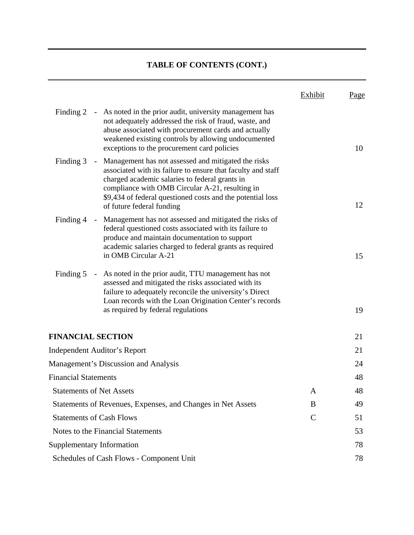# **TABLE OF CONTENTS (CONT.)**

|                                 |                                                                                                                                                                                                                                                                                                                               | Exhibit     | <u>Page</u> |
|---------------------------------|-------------------------------------------------------------------------------------------------------------------------------------------------------------------------------------------------------------------------------------------------------------------------------------------------------------------------------|-------------|-------------|
|                                 | Finding 2 - As noted in the prior audit, university management has<br>not adequately addressed the risk of fraud, waste, and<br>abuse associated with procurement cards and actually<br>weakened existing controls by allowing undocumented<br>exceptions to the procurement card policies                                    |             | 10          |
| Finding 3                       | Management has not assessed and mitigated the risks<br>$\sim$<br>associated with its failure to ensure that faculty and staff<br>charged academic salaries to federal grants in<br>compliance with OMB Circular A-21, resulting in<br>\$9,434 of federal questioned costs and the potential loss<br>of future federal funding |             | 12          |
| Finding 4                       | Management has not assessed and mitigated the risks of<br>$\sim$<br>federal questioned costs associated with its failure to<br>produce and maintain documentation to support<br>academic salaries charged to federal grants as required<br>in OMB Circular A-21                                                               |             | 15          |
| Finding 5                       | As noted in the prior audit, TTU management has not<br>$\pm$ .<br>assessed and mitigated the risks associated with its<br>failure to adequately reconcile the university's Direct<br>Loan records with the Loan Origination Center's records<br>as required by federal regulations                                            |             | 19          |
| <b>FINANCIAL SECTION</b>        |                                                                                                                                                                                                                                                                                                                               |             | 21          |
|                                 | <b>Independent Auditor's Report</b>                                                                                                                                                                                                                                                                                           |             | 21          |
|                                 | <b>Management's Discussion and Analysis</b>                                                                                                                                                                                                                                                                                   |             | 24          |
| <b>Financial Statements</b>     |                                                                                                                                                                                                                                                                                                                               |             | 48          |
| <b>Statements of Net Assets</b> |                                                                                                                                                                                                                                                                                                                               | A           | 48          |
|                                 | Statements of Revenues, Expenses, and Changes in Net Assets                                                                                                                                                                                                                                                                   | B           | 49          |
|                                 | <b>Statements of Cash Flows</b>                                                                                                                                                                                                                                                                                               | $\mathbf C$ | 51          |
|                                 | Notes to the Financial Statements                                                                                                                                                                                                                                                                                             |             | 53          |
|                                 | <b>Supplementary Information</b>                                                                                                                                                                                                                                                                                              |             | 78          |
|                                 | Schedules of Cash Flows - Component Unit                                                                                                                                                                                                                                                                                      |             | 78          |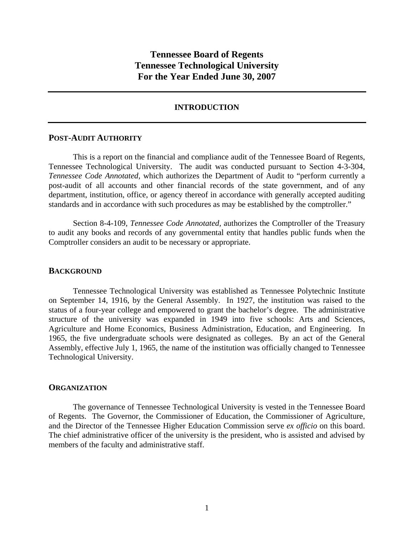# **Tennessee Board of Regents Tennessee Technological University For the Year Ended June 30, 2007**

#### **INTRODUCTION**

#### **POST-AUDIT AUTHORITY**

 This is a report on the financial and compliance audit of the Tennessee Board of Regents, Tennessee Technological University. The audit was conducted pursuant to Section 4-3-304, *Tennessee Code Annotated,* which authorizes the Department of Audit to "perform currently a post-audit of all accounts and other financial records of the state government, and of any department, institution, office, or agency thereof in accordance with generally accepted auditing standards and in accordance with such procedures as may be established by the comptroller."

 Section 8-4-109, *Tennessee Code Annotated,* authorizes the Comptroller of the Treasury to audit any books and records of any governmental entity that handles public funds when the Comptroller considers an audit to be necessary or appropriate.

#### **BACKGROUND**

Tennessee Technological University was established as Tennessee Polytechnic Institute on September 14, 1916, by the General Assembly. In 1927, the institution was raised to the status of a four-year college and empowered to grant the bachelor's degree. The administrative structure of the university was expanded in 1949 into five schools: Arts and Sciences, Agriculture and Home Economics, Business Administration, Education, and Engineering. In 1965, the five undergraduate schools were designated as colleges. By an act of the General Assembly, effective July 1, 1965, the name of the institution was officially changed to Tennessee Technological University.

#### **ORGANIZATION**

 The governance of Tennessee Technological University is vested in the Tennessee Board of Regents. The Governor, the Commissioner of Education, the Commissioner of Agriculture, and the Director of the Tennessee Higher Education Commission serve *ex officio* on this board. The chief administrative officer of the university is the president, who is assisted and advised by members of the faculty and administrative staff.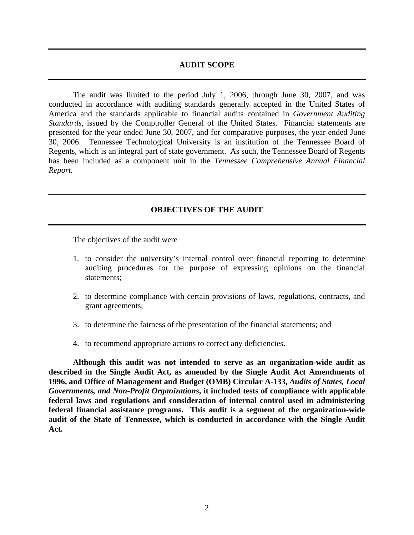## **AUDIT SCOPE**

 The audit was limited to the period July 1, 2006, through June 30, 2007, and was conducted in accordance with auditing standards generally accepted in the United States of America and the standards applicable to financial audits contained in *Government Auditing Standards*, issued by the Comptroller General of the United States. Financial statements are presented for the year ended June 30, 2007, and for comparative purposes, the year ended June 30, 2006. Tennessee Technological University is an institution of the Tennessee Board of Regents, which is an integral part of state government. As such, the Tennessee Board of Regents has been included as a component unit in the *Tennessee Comprehensive Annual Financial Report.*

## **OBJECTIVES OF THE AUDIT**

The objectives of the audit were

- 1. to consider the university's internal control over financial reporting to determine auditing procedures for the purpose of expressing opinions on the financial statements;
- 2. to determine compliance with certain provisions of laws, regulations, contracts, and grant agreements;
- 3. to determine the fairness of the presentation of the financial statements; and
- 4. to recommend appropriate actions to correct any deficiencies.

**Although this audit was not intended to serve as an organization-wide audit as described in the Single Audit Act, as amended by the Single Audit Act Amendments of 1996, and Office of Management and Budget (OMB) Circular A-133,** *Audits of States, Local Governments, and Non-Profit Organizations***, it included tests of compliance with applicable federal laws and regulations and consideration of internal control used in administering federal financial assistance programs. This audit is a segment of the organization-wide audit of the State of Tennessee, which is conducted in accordance with the Single Audit Act.**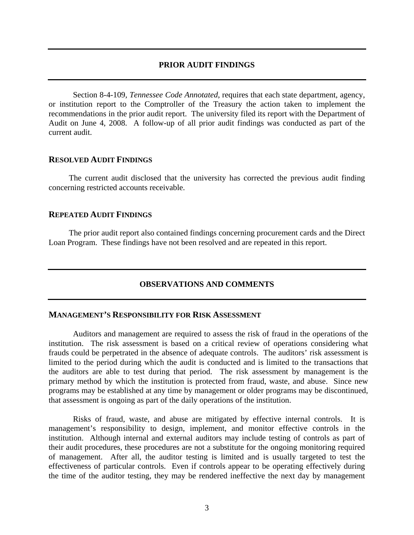#### **PRIOR AUDIT FINDINGS**

 Section 8-4-109*, Tennessee Code Annotated*, requires that each state department, agency, or institution report to the Comptroller of the Treasury the action taken to implement the recommendations in the prior audit report. The university filed its report with the Department of Audit on June 4, 2008. A follow-up of all prior audit findings was conducted as part of the current audit.

#### **RESOLVED AUDIT FINDINGS**

 The current audit disclosed that the university has corrected the previous audit finding concerning restricted accounts receivable.

#### **REPEATED AUDIT FINDINGS**

 The prior audit report also contained findings concerning procurement cards and the Direct Loan Program. These findings have not been resolved and are repeated in this report.

#### **OBSERVATIONS AND COMMENTS**

#### **MANAGEMENT'S RESPONSIBILITY FOR RISK ASSESSMENT**

Auditors and management are required to assess the risk of fraud in the operations of the institution. The risk assessment is based on a critical review of operations considering what frauds could be perpetrated in the absence of adequate controls. The auditors' risk assessment is limited to the period during which the audit is conducted and is limited to the transactions that the auditors are able to test during that period. The risk assessment by management is the primary method by which the institution is protected from fraud, waste, and abuse. Since new programs may be established at any time by management or older programs may be discontinued, that assessment is ongoing as part of the daily operations of the institution.

Risks of fraud, waste, and abuse are mitigated by effective internal controls. It is management's responsibility to design, implement, and monitor effective controls in the institution. Although internal and external auditors may include testing of controls as part of their audit procedures, these procedures are not a substitute for the ongoing monitoring required of management. After all, the auditor testing is limited and is usually targeted to test the effectiveness of particular controls. Even if controls appear to be operating effectively during the time of the auditor testing, they may be rendered ineffective the next day by management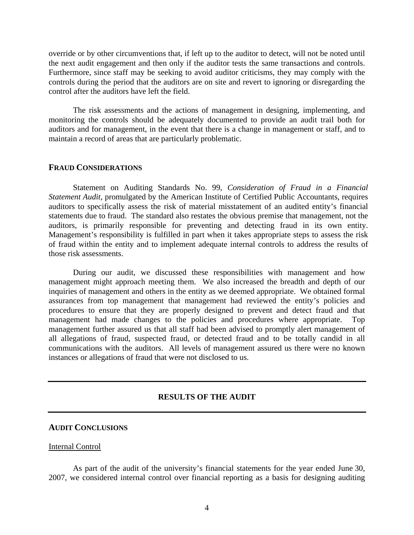override or by other circumventions that, if left up to the auditor to detect, will not be noted until the next audit engagement and then only if the auditor tests the same transactions and controls. Furthermore, since staff may be seeking to avoid auditor criticisms, they may comply with the controls during the period that the auditors are on site and revert to ignoring or disregarding the control after the auditors have left the field.

The risk assessments and the actions of management in designing, implementing, and monitoring the controls should be adequately documented to provide an audit trail both for auditors and for management, in the event that there is a change in management or staff, and to maintain a record of areas that are particularly problematic.

## **FRAUD CONSIDERATIONS**

 Statement on Auditing Standards No. 99, *Consideration of Fraud in a Financial Statement Audit*, promulgated by the American Institute of Certified Public Accountants, requires auditors to specifically assess the risk of material misstatement of an audited entity's financial statements due to fraud. The standard also restates the obvious premise that management, not the auditors, is primarily responsible for preventing and detecting fraud in its own entity. Management's responsibility is fulfilled in part when it takes appropriate steps to assess the risk of fraud within the entity and to implement adequate internal controls to address the results of those risk assessments.

 During our audit, we discussed these responsibilities with management and how management might approach meeting them. We also increased the breadth and depth of our inquiries of management and others in the entity as we deemed appropriate. We obtained formal assurances from top management that management had reviewed the entity's policies and procedures to ensure that they are properly designed to prevent and detect fraud and that management had made changes to the policies and procedures where appropriate. Top management further assured us that all staff had been advised to promptly alert management of all allegations of fraud, suspected fraud, or detected fraud and to be totally candid in all communications with the auditors. All levels of management assured us there were no known instances or allegations of fraud that were not disclosed to us.

## **RESULTS OF THE AUDIT**

#### **AUDIT CONCLUSIONS**

#### Internal Control

 As part of the audit of the university's financial statements for the year ended June 30, 2007, we considered internal control over financial reporting as a basis for designing auditing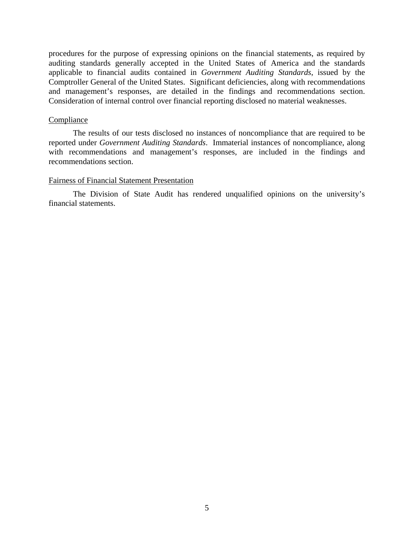procedures for the purpose of expressing opinions on the financial statements, as required by auditing standards generally accepted in the United States of America and the standards applicable to financial audits contained in *Government Auditing Standards*, issued by the Comptroller General of the United States. Significant deficiencies, along with recommendations and management's responses, are detailed in the findings and recommendations section. Consideration of internal control over financial reporting disclosed no material weaknesses.

#### **Compliance**

 The results of our tests disclosed no instances of noncompliance that are required to be reported under *Government Auditing Standards*. Immaterial instances of noncompliance, along with recommendations and management's responses, are included in the findings and recommendations section.

## Fairness of Financial Statement Presentation

 The Division of State Audit has rendered unqualified opinions on the university's financial statements.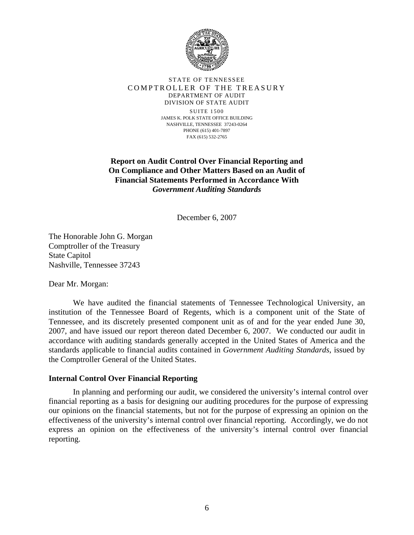

#### STATE OF TENNESSEE COMPTROLLER OF THE TREASURY DEPARTMENT OF AUDIT DIVISION OF STATE AUDIT

SUITE 1500 JAMES K. POLK STATE OFFICE BUILDING NASHVILLE, TENNESSEE 37243-0264 PHONE (615) 401-7897 FAX (615) 532-2765

**Report on Audit Control Over Financial Reporting and On Compliance and Other Matters Based on an Audit of Financial Statements Performed in Accordance With**  *Government Auditing Standards* 

December 6, 2007

The Honorable John G. Morgan Comptroller of the Treasury State Capitol Nashville, Tennessee 37243

Dear Mr. Morgan:

 We have audited the financial statements of Tennessee Technological University, an institution of the Tennessee Board of Regents, which is a component unit of the State of Tennessee, and its discretely presented component unit as of and for the year ended June 30, 2007, and have issued our report thereon dated December 6, 2007. We conducted our audit in accordance with auditing standards generally accepted in the United States of America and the standards applicable to financial audits contained in *Government Auditing Standards*, issued by the Comptroller General of the United States.

## **Internal Control Over Financial Reporting**

 In planning and performing our audit, we considered the university's internal control over financial reporting as a basis for designing our auditing procedures for the purpose of expressing our opinions on the financial statements, but not for the purpose of expressing an opinion on the effectiveness of the university's internal control over financial reporting. Accordingly, we do not express an opinion on the effectiveness of the university's internal control over financial reporting.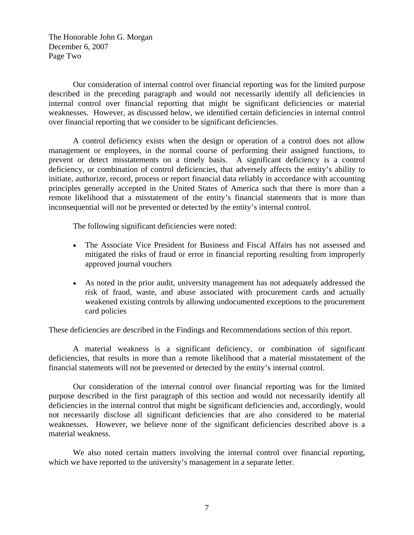The Honorable John G. Morgan December 6, 2007 Page Two

Our consideration of internal control over financial reporting was for the limited purpose described in the preceding paragraph and would not necessarily identify all deficiencies in internal control over financial reporting that might be significant deficiencies or material weaknesses. However, as discussed below, we identified certain deficiencies in internal control over financial reporting that we consider to be significant deficiencies.

 A control deficiency exists when the design or operation of a control does not allow management or employees, in the normal course of performing their assigned functions, to prevent or detect misstatements on a timely basis. A significant deficiency is a control deficiency, or combination of control deficiencies, that adversely affects the entity's ability to initiate, authorize, record, process or report financial data reliably in accordance with accounting principles generally accepted in the United States of America such that there is more than a remote likelihood that a misstatement of the entity's financial statements that is more than inconsequential will not be prevented or detected by the entity's internal control.

The following significant deficiencies were noted:

- The Associate Vice President for Business and Fiscal Affairs has not assessed and mitigated the risks of fraud or error in financial reporting resulting from improperly approved journal vouchers
- As noted in the prior audit, university management has not adequately addressed the risk of fraud, waste, and abuse associated with procurement cards and actually weakened existing controls by allowing undocumented exceptions to the procurement card policies

These deficiencies are described in the Findings and Recommendations section of this report.

 A material weakness is a significant deficiency, or combination of significant deficiencies, that results in more than a remote likelihood that a material misstatement of the financial statements will not be prevented or detected by the entity's internal control.

 Our consideration of the internal control over financial reporting was for the limited purpose described in the first paragraph of this section and would not necessarily identify all deficiencies in the internal control that might be significant deficiencies and, accordingly, would not necessarily disclose all significant deficiencies that are also considered to be material weaknesses. However, we believe none of the significant deficiencies described above is a material weakness.

We also noted certain matters involving the internal control over financial reporting, which we have reported to the university's management in a separate letter.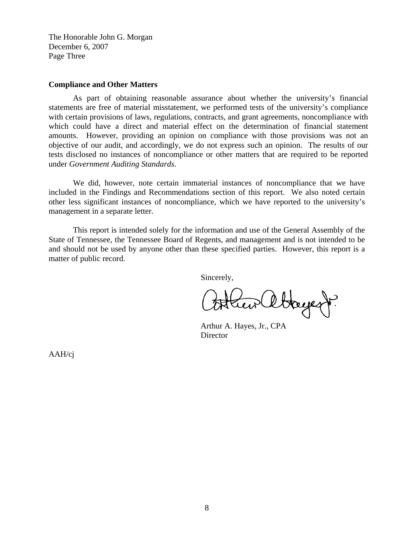The Honorable John G. Morgan December 6, 2007 Page Three

#### **Compliance and Other Matters**

 As part of obtaining reasonable assurance about whether the university's financial statements are free of material misstatement, we performed tests of the university's compliance with certain provisions of laws, regulations, contracts, and grant agreements, noncompliance with which could have a direct and material effect on the determination of financial statement amounts. However, providing an opinion on compliance with those provisions was not an objective of our audit, and accordingly, we do not express such an opinion. The results of our tests disclosed no instances of noncompliance or other matters that are required to be reported under *Government Auditing Standards*.

 We did, however, note certain immaterial instances of noncompliance that we have included in the Findings and Recommendations section of this report. We also noted certain other less significant instances of noncompliance, which we have reported to the university's management in a separate letter.

This report is intended solely for the information and use of the General Assembly of the State of Tennessee, the Tennessee Board of Regents, and management and is not intended to be and should not be used by anyone other than these specified parties. However, this report is a matter of public record.

Sincerely,

Hayest?

 Arthur A. Hayes, Jr., CPA **Director** 

AAH/cj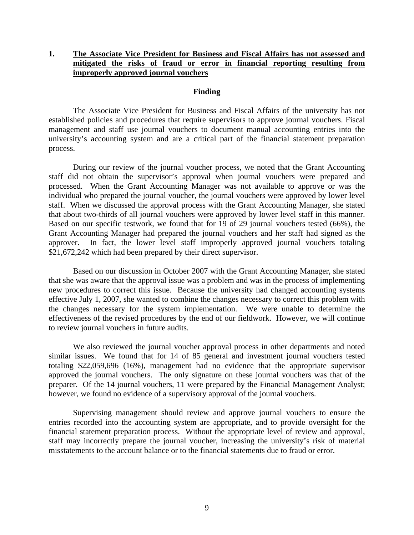# **1. The Associate Vice President for Business and Fiscal Affairs has not assessed and mitigated the risks of fraud or error in financial reporting resulting from improperly approved journal vouchers**

#### **Finding**

 The Associate Vice President for Business and Fiscal Affairs of the university has not established policies and procedures that require supervisors to approve journal vouchers. Fiscal management and staff use journal vouchers to document manual accounting entries into the university's accounting system and are a critical part of the financial statement preparation process.

During our review of the journal voucher process, we noted that the Grant Accounting staff did not obtain the supervisor's approval when journal vouchers were prepared and processed. When the Grant Accounting Manager was not available to approve or was the individual who prepared the journal voucher, the journal vouchers were approved by lower level staff. When we discussed the approval process with the Grant Accounting Manager, she stated that about two-thirds of all journal vouchers were approved by lower level staff in this manner. Based on our specific testwork, we found that for 19 of 29 journal vouchers tested (66%), the Grant Accounting Manager had prepared the journal vouchers and her staff had signed as the approver. In fact, the lower level staff improperly approved journal vouchers totaling \$21,672,242 which had been prepared by their direct supervisor.

 Based on our discussion in October 2007 with the Grant Accounting Manager, she stated that she was aware that the approval issue was a problem and was in the process of implementing new procedures to correct this issue. Because the university had changed accounting systems effective July 1, 2007, she wanted to combine the changes necessary to correct this problem with the changes necessary for the system implementation. We were unable to determine the effectiveness of the revised procedures by the end of our fieldwork. However, we will continue to review journal vouchers in future audits.

 We also reviewed the journal voucher approval process in other departments and noted similar issues. We found that for 14 of 85 general and investment journal vouchers tested totaling \$22,059,696 (16%), management had no evidence that the appropriate supervisor approved the journal vouchers. The only signature on these journal vouchers was that of the preparer. Of the 14 journal vouchers, 11 were prepared by the Financial Management Analyst; however, we found no evidence of a supervisory approval of the journal vouchers.

 Supervising management should review and approve journal vouchers to ensure the entries recorded into the accounting system are appropriate, and to provide oversight for the financial statement preparation process. Without the appropriate level of review and approval, staff may incorrectly prepare the journal voucher, increasing the university's risk of material misstatements to the account balance or to the financial statements due to fraud or error.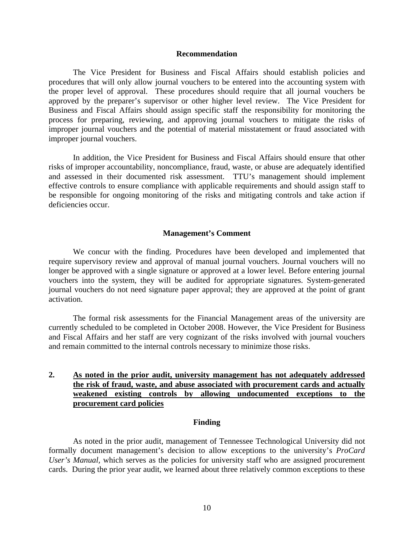#### **Recommendation**

The Vice President for Business and Fiscal Affairs should establish policies and procedures that will only allow journal vouchers to be entered into the accounting system with the proper level of approval. These procedures should require that all journal vouchers be approved by the preparer's supervisor or other higher level review. The Vice President for Business and Fiscal Affairs should assign specific staff the responsibility for monitoring the process for preparing, reviewing, and approving journal vouchers to mitigate the risks of improper journal vouchers and the potential of material misstatement or fraud associated with improper journal vouchers.

In addition, the Vice President for Business and Fiscal Affairs should ensure that other risks of improper accountability, noncompliance, fraud, waste, or abuse are adequately identified and assessed in their documented risk assessment. TTU's management should implement effective controls to ensure compliance with applicable requirements and should assign staff to be responsible for ongoing monitoring of the risks and mitigating controls and take action if deficiencies occur.

#### **Management's Comment**

We concur with the finding. Procedures have been developed and implemented that require supervisory review and approval of manual journal vouchers. Journal vouchers will no longer be approved with a single signature or approved at a lower level. Before entering journal vouchers into the system, they will be audited for appropriate signatures. System-generated journal vouchers do not need signature paper approval; they are approved at the point of grant activation.

The formal risk assessments for the Financial Management areas of the university are currently scheduled to be completed in October 2008. However, the Vice President for Business and Fiscal Affairs and her staff are very cognizant of the risks involved with journal vouchers and remain committed to the internal controls necessary to minimize those risks.

# **2. As noted in the prior audit, university management has not adequately addressed the risk of fraud, waste, and abuse associated with procurement cards and actually weakened existing controls by allowing undocumented exceptions to the procurement card policies**

#### **Finding**

As noted in the prior audit, management of Tennessee Technological University did not formally document management's decision to allow exceptions to the university's *ProCard User's Manual,* which serves as the policies for university staff who are assigned procurement cards. During the prior year audit, we learned about three relatively common exceptions to these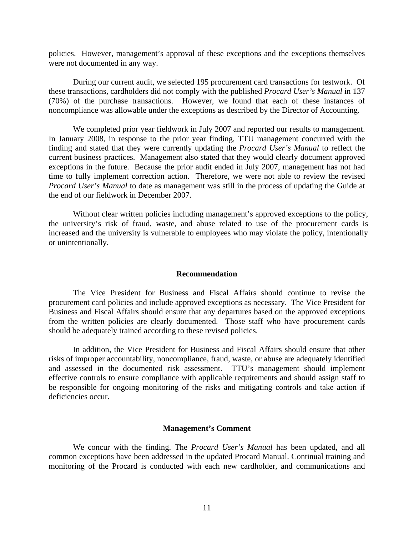policies. However, management's approval of these exceptions and the exceptions themselves were not documented in any way.

During our current audit, we selected 195 procurement card transactions for testwork. Of these transactions, cardholders did not comply with the published *Procard User's Manual* in 137 (70%) of the purchase transactions. However, we found that each of these instances of noncompliance was allowable under the exceptions as described by the Director of Accounting.

 We completed prior year fieldwork in July 2007 and reported our results to management. In January 2008, in response to the prior year finding, TTU management concurred with the finding and stated that they were currently updating the *Procard User's Manual* to reflect the current business practices. Management also stated that they would clearly document approved exceptions in the future. Because the prior audit ended in July 2007, management has not had time to fully implement correction action. Therefore, we were not able to review the revised *Procard User's Manual* to date as management was still in the process of updating the Guide at the end of our fieldwork in December 2007.

Without clear written policies including management's approved exceptions to the policy, the university's risk of fraud, waste, and abuse related to use of the procurement cards is increased and the university is vulnerable to employees who may violate the policy, intentionally or unintentionally.

#### **Recommendation**

The Vice President for Business and Fiscal Affairs should continue to revise the procurement card policies and include approved exceptions as necessary. The Vice President for Business and Fiscal Affairs should ensure that any departures based on the approved exceptions from the written policies are clearly documented. Those staff who have procurement cards should be adequately trained according to these revised policies.

In addition, the Vice President for Business and Fiscal Affairs should ensure that other risks of improper accountability, noncompliance, fraud, waste, or abuse are adequately identified and assessed in the documented risk assessment. TTU's management should implement effective controls to ensure compliance with applicable requirements and should assign staff to be responsible for ongoing monitoring of the risks and mitigating controls and take action if deficiencies occur.

#### **Management's Comment**

We concur with the finding. The *Procard User's Manual* has been updated, and all common exceptions have been addressed in the updated Procard Manual. Continual training and monitoring of the Procard is conducted with each new cardholder, and communications and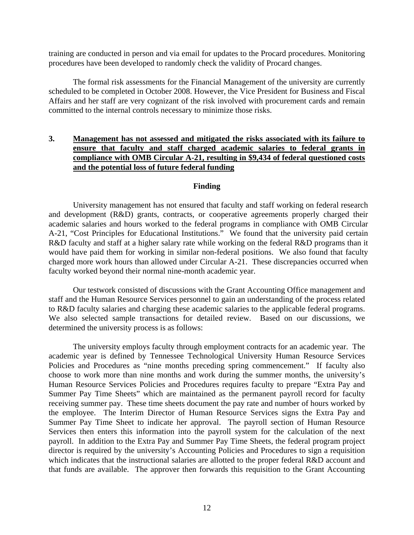training are conducted in person and via email for updates to the Procard procedures. Monitoring procedures have been developed to randomly check the validity of Procard changes.

The formal risk assessments for the Financial Management of the university are currently scheduled to be completed in October 2008. However, the Vice President for Business and Fiscal Affairs and her staff are very cognizant of the risk involved with procurement cards and remain committed to the internal controls necessary to minimize those risks.

# **3. Management has not assessed and mitigated the risks associated with its failure to ensure that faculty and staff charged academic salaries to federal grants in compliance with OMB Circular A-21, resulting in \$9,434 of federal questioned costs and the potential loss of future federal funding**

## **Finding**

University management has not ensured that faculty and staff working on federal research and development (R&D) grants, contracts, or cooperative agreements properly charged their academic salaries and hours worked to the federal programs in compliance with OMB Circular A-21, "Cost Principles for Educational Institutions." We found that the university paid certain R&D faculty and staff at a higher salary rate while working on the federal R&D programs than it would have paid them for working in similar non-federal positions. We also found that faculty charged more work hours than allowed under Circular A-21. These discrepancies occurred when faculty worked beyond their normal nine-month academic year.

 Our testwork consisted of discussions with the Grant Accounting Office management and staff and the Human Resource Services personnel to gain an understanding of the process related to R&D faculty salaries and charging these academic salaries to the applicable federal programs. We also selected sample transactions for detailed review. Based on our discussions, we determined the university process is as follows:

The university employs faculty through employment contracts for an academic year. The academic year is defined by Tennessee Technological University Human Resource Services Policies and Procedures as "nine months preceding spring commencement." If faculty also choose to work more than nine months and work during the summer months, the university's Human Resource Services Policies and Procedures requires faculty to prepare "Extra Pay and Summer Pay Time Sheets" which are maintained as the permanent payroll record for faculty receiving summer pay. These time sheets document the pay rate and number of hours worked by the employee. The Interim Director of Human Resource Services signs the Extra Pay and Summer Pay Time Sheet to indicate her approval. The payroll section of Human Resource Services then enters this information into the payroll system for the calculation of the next payroll. In addition to the Extra Pay and Summer Pay Time Sheets, the federal program project director is required by the university's Accounting Policies and Procedures to sign a requisition which indicates that the instructional salaries are allotted to the proper federal R&D account and that funds are available. The approver then forwards this requisition to the Grant Accounting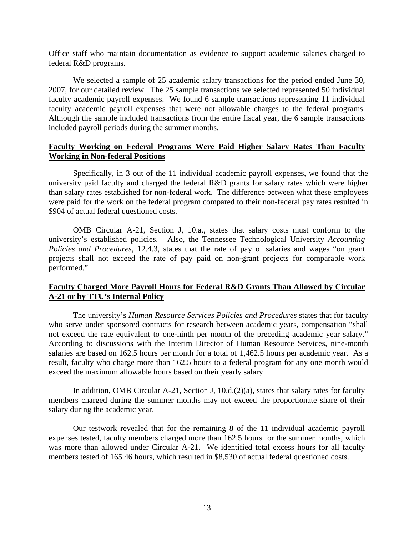Office staff who maintain documentation as evidence to support academic salaries charged to federal R&D programs.

We selected a sample of 25 academic salary transactions for the period ended June 30, 2007, for our detailed review. The 25 sample transactions we selected represented 50 individual faculty academic payroll expenses. We found 6 sample transactions representing 11 individual faculty academic payroll expenses that were not allowable charges to the federal programs. Although the sample included transactions from the entire fiscal year, the 6 sample transactions included payroll periods during the summer months.

# **Faculty Working on Federal Programs Were Paid Higher Salary Rates Than Faculty Working in Non-federal Positions**

Specifically, in 3 out of the 11 individual academic payroll expenses, we found that the university paid faculty and charged the federal R&D grants for salary rates which were higher than salary rates established for non-federal work. The difference between what these employees were paid for the work on the federal program compared to their non-federal pay rates resulted in \$904 of actual federal questioned costs.

OMB Circular A-21, Section J, 10.a., states that salary costs must conform to the university's established policies. Also, the Tennessee Technological University *Accounting Policies and Procedures*, 12.4.3, states that the rate of pay of salaries and wages "on grant projects shall not exceed the rate of pay paid on non-grant projects for comparable work performed."

# **Faculty Charged More Payroll Hours for Federal R&D Grants Than Allowed by Circular A-21 or by TTU's Internal Policy**

The university's *Human Resource Services Policies and Procedures* states that for faculty who serve under sponsored contracts for research between academic years, compensation "shall not exceed the rate equivalent to one-ninth per month of the preceding academic year salary." According to discussions with the Interim Director of Human Resource Services, nine-month salaries are based on 162.5 hours per month for a total of 1,462.5 hours per academic year. As a result, faculty who charge more than 162.5 hours to a federal program for any one month would exceed the maximum allowable hours based on their yearly salary.

In addition, OMB Circular A-21, Section J, 10.d.(2)(a), states that salary rates for faculty members charged during the summer months may not exceed the proportionate share of their salary during the academic year.

Our testwork revealed that for the remaining 8 of the 11 individual academic payroll expenses tested, faculty members charged more than 162.5 hours for the summer months, which was more than allowed under Circular A-21. We identified total excess hours for all faculty members tested of 165.46 hours, which resulted in \$8,530 of actual federal questioned costs.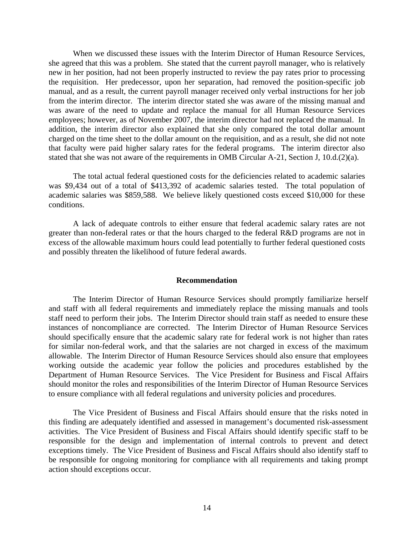When we discussed these issues with the Interim Director of Human Resource Services, she agreed that this was a problem. She stated that the current payroll manager, who is relatively new in her position, had not been properly instructed to review the pay rates prior to processing the requisition. Her predecessor, upon her separation, had removed the position-specific job manual, and as a result, the current payroll manager received only verbal instructions for her job from the interim director. The interim director stated she was aware of the missing manual and was aware of the need to update and replace the manual for all Human Resource Services employees; however, as of November 2007, the interim director had not replaced the manual. In addition, the interim director also explained that she only compared the total dollar amount charged on the time sheet to the dollar amount on the requisition, and as a result, she did not note that faculty were paid higher salary rates for the federal programs. The interim director also stated that she was not aware of the requirements in OMB Circular A-21, Section J, 10.d.(2)(a).

The total actual federal questioned costs for the deficiencies related to academic salaries was \$9,434 out of a total of \$413,392 of academic salaries tested. The total population of academic salaries was \$859,588. We believe likely questioned costs exceed \$10,000 for these conditions.

A lack of adequate controls to either ensure that federal academic salary rates are not greater than non-federal rates or that the hours charged to the federal R&D programs are not in excess of the allowable maximum hours could lead potentially to further federal questioned costs and possibly threaten the likelihood of future federal awards.

#### **Recommendation**

The Interim Director of Human Resource Services should promptly familiarize herself and staff with all federal requirements and immediately replace the missing manuals and tools staff need to perform their jobs. The Interim Director should train staff as needed to ensure these instances of noncompliance are corrected. The Interim Director of Human Resource Services should specifically ensure that the academic salary rate for federal work is not higher than rates for similar non-federal work, and that the salaries are not charged in excess of the maximum allowable. The Interim Director of Human Resource Services should also ensure that employees working outside the academic year follow the policies and procedures established by the Department of Human Resource Services. The Vice President for Business and Fiscal Affairs should monitor the roles and responsibilities of the Interim Director of Human Resource Services to ensure compliance with all federal regulations and university policies and procedures.

 The Vice President of Business and Fiscal Affairs should ensure that the risks noted in this finding are adequately identified and assessed in management's documented risk-assessment activities. The Vice President of Business and Fiscal Affairs should identify specific staff to be responsible for the design and implementation of internal controls to prevent and detect exceptions timely. The Vice President of Business and Fiscal Affairs should also identify staff to be responsible for ongoing monitoring for compliance with all requirements and taking prompt action should exceptions occur.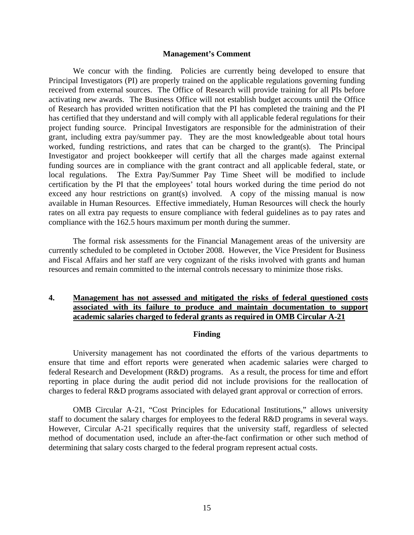#### **Management's Comment**

We concur with the finding. Policies are currently being developed to ensure that Principal Investigators (PI) are properly trained on the applicable regulations governing funding received from external sources. The Office of Research will provide training for all PIs before activating new awards. The Business Office will not establish budget accounts until the Office of Research has provided written notification that the PI has completed the training and the PI has certified that they understand and will comply with all applicable federal regulations for their project funding source. Principal Investigators are responsible for the administration of their grant, including extra pay/summer pay. They are the most knowledgeable about total hours worked, funding restrictions, and rates that can be charged to the grant(s). The Principal Investigator and project bookkeeper will certify that all the charges made against external funding sources are in compliance with the grant contract and all applicable federal, state, or local regulations. The Extra Pay/Summer Pay Time Sheet will be modified to include certification by the PI that the employees' total hours worked during the time period do not exceed any hour restrictions on grant(s) involved. A copy of the missing manual is now available in Human Resources. Effective immediately, Human Resources will check the hourly rates on all extra pay requests to ensure compliance with federal guidelines as to pay rates and compliance with the 162.5 hours maximum per month during the summer.

 The formal risk assessments for the Financial Management areas of the university are currently scheduled to be completed in October 2008. However, the Vice President for Business and Fiscal Affairs and her staff are very cognizant of the risks involved with grants and human resources and remain committed to the internal controls necessary to minimize those risks.

# **4. Management has not assessed and mitigated the risks of federal questioned costs associated with its failure to produce and maintain documentation to support academic salaries charged to federal grants as required in OMB Circular A-21**

#### **Finding**

 University management has not coordinated the efforts of the various departments to ensure that time and effort reports were generated when academic salaries were charged to federal Research and Development (R&D) programs. As a result, the process for time and effort reporting in place during the audit period did not include provisions for the reallocation of charges to federal R&D programs associated with delayed grant approval or correction of errors.

OMB Circular A-21, "Cost Principles for Educational Institutions," allows university staff to document the salary charges for employees to the federal R&D programs in several ways. However, Circular A-21 specifically requires that the university staff, regardless of selected method of documentation used, include an after-the-fact confirmation or other such method of determining that salary costs charged to the federal program represent actual costs.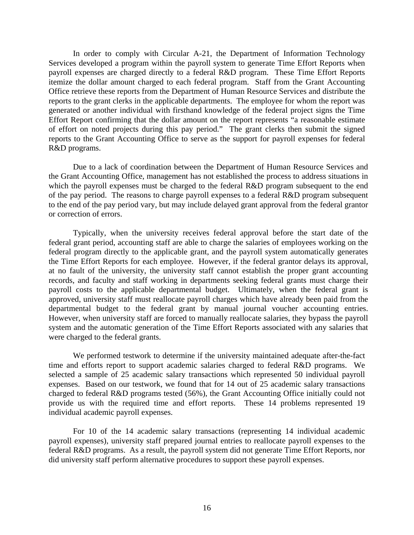In order to comply with Circular A-21, the Department of Information Technology Services developed a program within the payroll system to generate Time Effort Reports when payroll expenses are charged directly to a federal R&D program. These Time Effort Reports itemize the dollar amount charged to each federal program. Staff from the Grant Accounting Office retrieve these reports from the Department of Human Resource Services and distribute the reports to the grant clerks in the applicable departments. The employee for whom the report was generated or another individual with firsthand knowledge of the federal project signs the Time Effort Report confirming that the dollar amount on the report represents "a reasonable estimate of effort on noted projects during this pay period." The grant clerks then submit the signed reports to the Grant Accounting Office to serve as the support for payroll expenses for federal R&D programs.

Due to a lack of coordination between the Department of Human Resource Services and the Grant Accounting Office, management has not established the process to address situations in which the payroll expenses must be charged to the federal R&D program subsequent to the end of the pay period. The reasons to charge payroll expenses to a federal R&D program subsequent to the end of the pay period vary, but may include delayed grant approval from the federal grantor or correction of errors.

Typically, when the university receives federal approval before the start date of the federal grant period, accounting staff are able to charge the salaries of employees working on the federal program directly to the applicable grant, and the payroll system automatically generates the Time Effort Reports for each employee. However, if the federal grantor delays its approval, at no fault of the university, the university staff cannot establish the proper grant accounting records, and faculty and staff working in departments seeking federal grants must charge their payroll costs to the applicable departmental budget. Ultimately, when the federal grant is approved, university staff must reallocate payroll charges which have already been paid from the departmental budget to the federal grant by manual journal voucher accounting entries. However, when university staff are forced to manually reallocate salaries, they bypass the payroll system and the automatic generation of the Time Effort Reports associated with any salaries that were charged to the federal grants.

We performed testwork to determine if the university maintained adequate after-the-fact time and efforts report to support academic salaries charged to federal R&D programs. We selected a sample of 25 academic salary transactions which represented 50 individual payroll expenses. Based on our testwork, we found that for 14 out of 25 academic salary transactions charged to federal R&D programs tested (56%), the Grant Accounting Office initially could not provide us with the required time and effort reports. These 14 problems represented 19 individual academic payroll expenses.

For 10 of the 14 academic salary transactions (representing 14 individual academic payroll expenses), university staff prepared journal entries to reallocate payroll expenses to the federal R&D programs. As a result, the payroll system did not generate Time Effort Reports, nor did university staff perform alternative procedures to support these payroll expenses.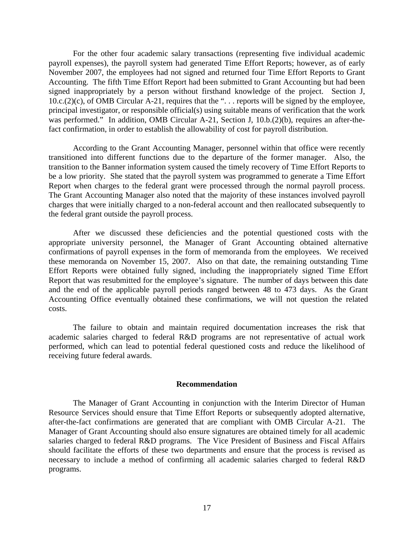For the other four academic salary transactions (representing five individual academic payroll expenses), the payroll system had generated Time Effort Reports; however, as of early November 2007, the employees had not signed and returned four Time Effort Reports to Grant Accounting. The fifth Time Effort Report had been submitted to Grant Accounting but had been signed inappropriately by a person without firsthand knowledge of the project. Section J, 10.c.(2)(c), of OMB Circular A-21*,* requires that the ". . . reports will be signed by the employee, principal investigator, or responsible official(s) using suitable means of verification that the work was performed." In addition, OMB Circular A-21, Section J, 10.b.(2)(b), requires an after-thefact confirmation, in order to establish the allowability of cost for payroll distribution.

According to the Grant Accounting Manager, personnel within that office were recently transitioned into different functions due to the departure of the former manager. Also, the transition to the Banner information system caused the timely recovery of Time Effort Reports to be a low priority. She stated that the payroll system was programmed to generate a Time Effort Report when charges to the federal grant were processed through the normal payroll process. The Grant Accounting Manager also noted that the majority of these instances involved payroll charges that were initially charged to a non-federal account and then reallocated subsequently to the federal grant outside the payroll process.

After we discussed these deficiencies and the potential questioned costs with the appropriate university personnel, the Manager of Grant Accounting obtained alternative confirmations of payroll expenses in the form of memoranda from the employees. We received these memoranda on November 15, 2007. Also on that date, the remaining outstanding Time Effort Reports were obtained fully signed, including the inappropriately signed Time Effort Report that was resubmitted for the employee's signature. The number of days between this date and the end of the applicable payroll periods ranged between 48 to 473 days. As the Grant Accounting Office eventually obtained these confirmations, we will not question the related costs.

The failure to obtain and maintain required documentation increases the risk that academic salaries charged to federal R&D programs are not representative of actual work performed, which can lead to potential federal questioned costs and reduce the likelihood of receiving future federal awards.

#### **Recommendation**

The Manager of Grant Accounting in conjunction with the Interim Director of Human Resource Services should ensure that Time Effort Reports or subsequently adopted alternative, after-the-fact confirmations are generated that are compliant with OMB Circular A-21. The Manager of Grant Accounting should also ensure signatures are obtained timely for all academic salaries charged to federal R&D programs. The Vice President of Business and Fiscal Affairs should facilitate the efforts of these two departments and ensure that the process is revised as necessary to include a method of confirming all academic salaries charged to federal R&D programs.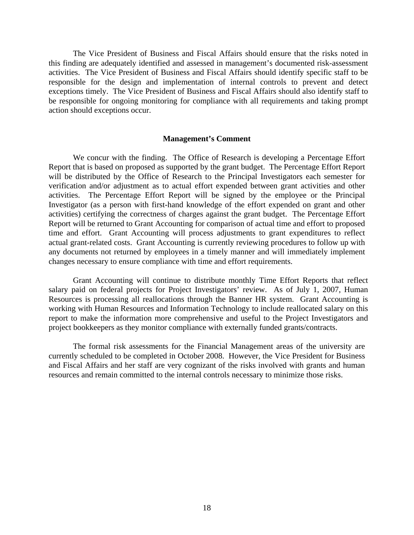The Vice President of Business and Fiscal Affairs should ensure that the risks noted in this finding are adequately identified and assessed in management's documented risk-assessment activities. The Vice President of Business and Fiscal Affairs should identify specific staff to be responsible for the design and implementation of internal controls to prevent and detect exceptions timely. The Vice President of Business and Fiscal Affairs should also identify staff to be responsible for ongoing monitoring for compliance with all requirements and taking prompt action should exceptions occur.

#### **Management's Comment**

 We concur with the finding. The Office of Research is developing a Percentage Effort Report that is based on proposed as supported by the grant budget. The Percentage Effort Report will be distributed by the Office of Research to the Principal Investigators each semester for verification and/or adjustment as to actual effort expended between grant activities and other activities. The Percentage Effort Report will be signed by the employee or the Principal Investigator (as a person with first-hand knowledge of the effort expended on grant and other activities) certifying the correctness of charges against the grant budget. The Percentage Effort Report will be returned to Grant Accounting for comparison of actual time and effort to proposed time and effort. Grant Accounting will process adjustments to grant expenditures to reflect actual grant-related costs. Grant Accounting is currently reviewing procedures to follow up with any documents not returned by employees in a timely manner and will immediately implement changes necessary to ensure compliance with time and effort requirements.

 Grant Accounting will continue to distribute monthly Time Effort Reports that reflect salary paid on federal projects for Project Investigators' review. As of July 1, 2007, Human Resources is processing all reallocations through the Banner HR system. Grant Accounting is working with Human Resources and Information Technology to include reallocated salary on this report to make the information more comprehensive and useful to the Project Investigators and project bookkeepers as they monitor compliance with externally funded grants/contracts.

 The formal risk assessments for the Financial Management areas of the university are currently scheduled to be completed in October 2008. However, the Vice President for Business and Fiscal Affairs and her staff are very cognizant of the risks involved with grants and human resources and remain committed to the internal controls necessary to minimize those risks.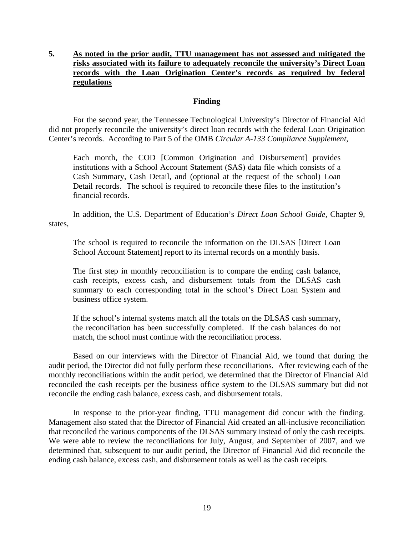# **5. As noted in the prior audit, TTU management has not assessed and mitigated the risks associated with its failure to adequately reconcile the university's Direct Loan records with the Loan Origination Center's records as required by federal regulations**

## **Finding**

For the second year, the Tennessee Technological University's Director of Financial Aid did not properly reconcile the university's direct loan records with the federal Loan Origination Center's records. According to Part 5 of the OMB *Circular A-133 Compliance Supplement*,

Each month, the COD [Common Origination and Disbursement] provides institutions with a School Account Statement (SAS) data file which consists of a Cash Summary, Cash Detail, and (optional at the request of the school) Loan Detail records. The school is required to reconcile these files to the institution's financial records.

In addition, the U.S. Department of Education's *Direct Loan School Guide,* Chapter 9, states,

The school is required to reconcile the information on the DLSAS [Direct Loan School Account Statement] report to its internal records on a monthly basis.

The first step in monthly reconciliation is to compare the ending cash balance, cash receipts, excess cash, and disbursement totals from the DLSAS cash summary to each corresponding total in the school's Direct Loan System and business office system.

If the school's internal systems match all the totals on the DLSAS cash summary, the reconciliation has been successfully completed. If the cash balances do not match, the school must continue with the reconciliation process.

Based on our interviews with the Director of Financial Aid, we found that during the audit period, the Director did not fully perform these reconciliations. After reviewing each of the monthly reconciliations within the audit period, we determined that the Director of Financial Aid reconciled the cash receipts per the business office system to the DLSAS summary but did not reconcile the ending cash balance, excess cash, and disbursement totals.

In response to the prior-year finding, TTU management did concur with the finding. Management also stated that the Director of Financial Aid created an all-inclusive reconciliation that reconciled the various components of the DLSAS summary instead of only the cash receipts. We were able to review the reconciliations for July, August, and September of 2007, and we determined that, subsequent to our audit period, the Director of Financial Aid did reconcile the ending cash balance, excess cash, and disbursement totals as well as the cash receipts.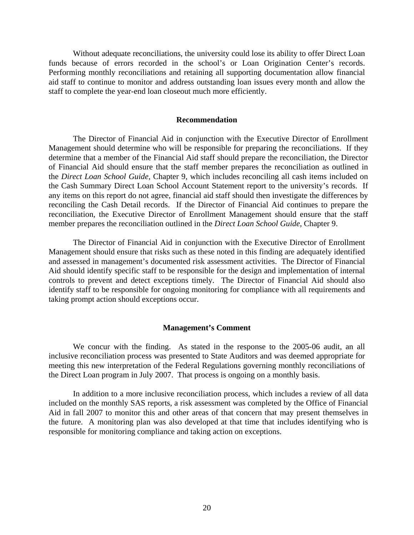Without adequate reconciliations, the university could lose its ability to offer Direct Loan funds because of errors recorded in the school's or Loan Origination Center's records. Performing monthly reconciliations and retaining all supporting documentation allow financial aid staff to continue to monitor and address outstanding loan issues every month and allow the staff to complete the year-end loan closeout much more efficiently.

#### **Recommendation**

 The Director of Financial Aid in conjunction with the Executive Director of Enrollment Management should determine who will be responsible for preparing the reconciliations. If they determine that a member of the Financial Aid staff should prepare the reconciliation, the Director of Financial Aid should ensure that the staff member prepares the reconciliation as outlined in the *Direct Loan School Guide,* Chapter 9, which includes reconciling all cash items included on the Cash Summary Direct Loan School Account Statement report to the university's records. If any items on this report do not agree, financial aid staff should then investigate the differences by reconciling the Cash Detail records. If the Director of Financial Aid continues to prepare the reconciliation, the Executive Director of Enrollment Management should ensure that the staff member prepares the reconciliation outlined in the *Direct Loan School Guide,* Chapter 9.

The Director of Financial Aid in conjunction with the Executive Director of Enrollment Management should ensure that risks such as these noted in this finding are adequately identified and assessed in management's documented risk assessment activities. The Director of Financial Aid should identify specific staff to be responsible for the design and implementation of internal controls to prevent and detect exceptions timely. The Director of Financial Aid should also identify staff to be responsible for ongoing monitoring for compliance with all requirements and taking prompt action should exceptions occur.

#### **Management's Comment**

We concur with the finding. As stated in the response to the 2005-06 audit, an all inclusive reconciliation process was presented to State Auditors and was deemed appropriate for meeting this new interpretation of the Federal Regulations governing monthly reconciliations of the Direct Loan program in July 2007. That process is ongoing on a monthly basis.

 In addition to a more inclusive reconciliation process, which includes a review of all data included on the monthly SAS reports, a risk assessment was completed by the Office of Financial Aid in fall 2007 to monitor this and other areas of that concern that may present themselves in the future. A monitoring plan was also developed at that time that includes identifying who is responsible for monitoring compliance and taking action on exceptions.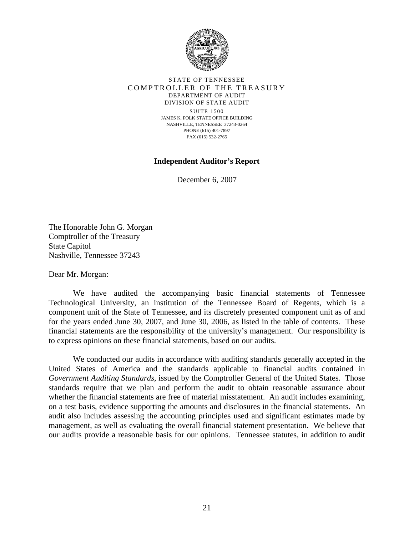

#### STATE OF TENNESSEE COMPTROLLER OF THE TREASURY DEPARTMENT OF AUDIT DIVISION OF STATE AUDIT

SUITE 1500 JAMES K. POLK STATE OFFICE BUILDING NASHVILLE, TENNESSEE 37243-0264 PHONE (615) 401-7897 FAX (615) 532-2765

## **Independent Auditor's Report**

December 6, 2007

The Honorable John G. Morgan Comptroller of the Treasury State Capitol Nashville, Tennessee 37243

Dear Mr. Morgan:

 We have audited the accompanying basic financial statements of Tennessee Technological University, an institution of the Tennessee Board of Regents, which is a component unit of the State of Tennessee, and its discretely presented component unit as of and for the years ended June 30, 2007, and June 30, 2006, as listed in the table of contents. These financial statements are the responsibility of the university's management. Our responsibility is to express opinions on these financial statements, based on our audits.

 We conducted our audits in accordance with auditing standards generally accepted in the United States of America and the standards applicable to financial audits contained in *Government Auditing Standards*, issued by the Comptroller General of the United States. Those standards require that we plan and perform the audit to obtain reasonable assurance about whether the financial statements are free of material misstatement. An audit includes examining, on a test basis, evidence supporting the amounts and disclosures in the financial statements. An audit also includes assessing the accounting principles used and significant estimates made by management, as well as evaluating the overall financial statement presentation. We believe that our audits provide a reasonable basis for our opinions. Tennessee statutes, in addition to audit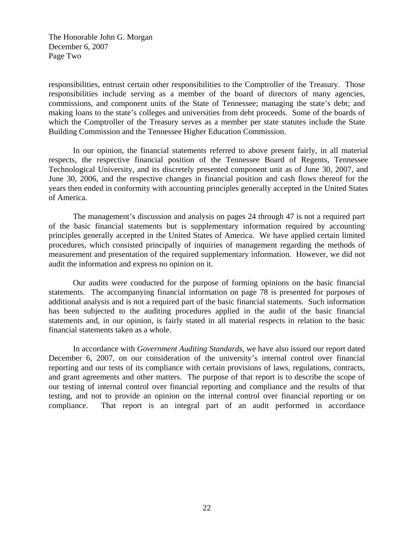The Honorable John G. Morgan December 6, 2007 Page Two

responsibilities, entrust certain other responsibilities to the Comptroller of the Treasury. Those responsibilities include serving as a member of the board of directors of many agencies, commissions, and component units of the State of Tennessee; managing the state's debt; and making loans to the state's colleges and universities from debt proceeds. Some of the boards of which the Comptroller of the Treasury serves as a member per state statutes include the State Building Commission and the Tennessee Higher Education Commission.

 In our opinion, the financial statements referred to above present fairly, in all material respects, the respective financial position of the Tennessee Board of Regents, Tennessee Technological University, and its discretely presented component unit as of June 30, 2007, and June 30, 2006, and the respective changes in financial position and cash flows thereof for the years then ended in conformity with accounting principles generally accepted in the United States of America.

 The management's discussion and analysis on pages 24 through 47 is not a required part of the basic financial statements but is supplementary information required by accounting principles generally accepted in the United States of America. We have applied certain limited procedures, which consisted principally of inquiries of management regarding the methods of measurement and presentation of the required supplementary information. However, we did not audit the information and express no opinion on it.

 Our audits were conducted for the purpose of forming opinions on the basic financial statements. The accompanying financial information on page 78 is presented for purposes of additional analysis and is not a required part of the basic financial statements. Such information has been subjected to the auditing procedures applied in the audit of the basic financial statements and, in our opinion, is fairly stated in all material respects in relation to the basic financial statements taken as a whole.

 In accordance with *Government Auditing Standards*, we have also issued our report dated December 6, 2007, on our consideration of the university's internal control over financial reporting and our tests of its compliance with certain provisions of laws, regulations, contracts, and grant agreements and other matters. The purpose of that report is to describe the scope of our testing of internal control over financial reporting and compliance and the results of that testing, and not to provide an opinion on the internal control over financial reporting or on compliance. That report is an integral part of an audit performed in accordance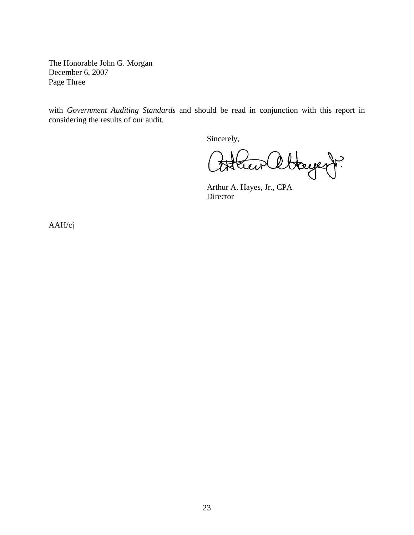The Honorable John G. Morgan December 6, 2007 Page Three

with *Government Auditing Standards* and should be read in conjunction with this report in considering the results of our audit.

Sincerely,

Hayent? sterew

 Arthur A. Hayes, Jr., CPA Director

AAH/cj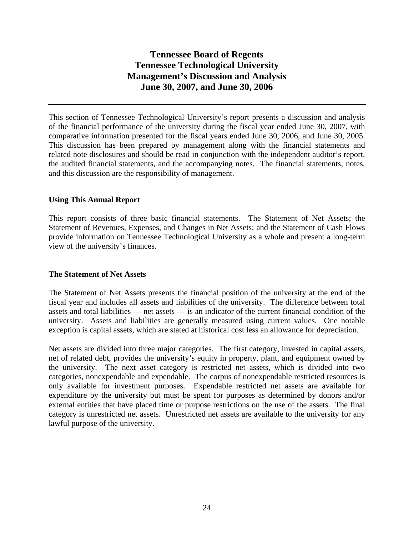This section of Tennessee Technological University's report presents a discussion and analysis of the financial performance of the university during the fiscal year ended June 30, 2007, with comparative information presented for the fiscal years ended June 30, 2006, and June 30, 2005. This discussion has been prepared by management along with the financial statements and related note disclosures and should be read in conjunction with the independent auditor's report, the audited financial statements, and the accompanying notes. The financial statements, notes, and this discussion are the responsibility of management.

## **Using This Annual Report**

This report consists of three basic financial statements. The Statement of Net Assets; the Statement of Revenues, Expenses, and Changes in Net Assets; and the Statement of Cash Flows provide information on Tennessee Technological University as a whole and present a long-term view of the university's finances.

## **The Statement of Net Assets**

The Statement of Net Assets presents the financial position of the university at the end of the fiscal year and includes all assets and liabilities of the university. The difference between total assets and total liabilities — net assets — is an indicator of the current financial condition of the university. Assets and liabilities are generally measured using current values. One notable exception is capital assets, which are stated at historical cost less an allowance for depreciation.

Net assets are divided into three major categories. The first category, invested in capital assets, net of related debt, provides the university's equity in property, plant, and equipment owned by the university. The next asset category is restricted net assets, which is divided into two categories, nonexpendable and expendable. The corpus of nonexpendable restricted resources is only available for investment purposes. Expendable restricted net assets are available for expenditure by the university but must be spent for purposes as determined by donors and/or external entities that have placed time or purpose restrictions on the use of the assets. The final category is unrestricted net assets. Unrestricted net assets are available to the university for any lawful purpose of the university.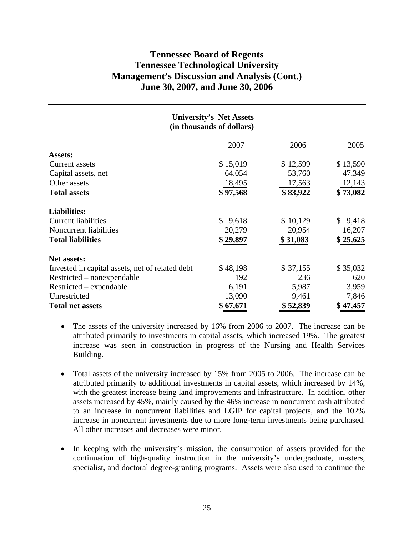| <b>University's Net Assets</b><br>(in thousands of dollars) |             |          |             |  |  |
|-------------------------------------------------------------|-------------|----------|-------------|--|--|
|                                                             | 2007        | 2006     | 2005        |  |  |
| <b>Assets:</b>                                              |             |          |             |  |  |
| Current assets                                              | \$15,019    | \$12,599 | \$13,590    |  |  |
| Capital assets, net                                         | 64,054      | 53,760   | 47,349      |  |  |
| Other assets                                                | 18,495      | 17,563   | 12,143      |  |  |
| <b>Total assets</b>                                         | \$97,568    | \$83,922 | \$73,082    |  |  |
| <b>Liabilities:</b>                                         |             |          |             |  |  |
| <b>Current liabilities</b>                                  | \$<br>9,618 | \$10,129 | 9,418<br>\$ |  |  |
| Noncurrent liabilities                                      | 20,279      | 20,954   | 16,207      |  |  |
| <b>Total liabilities</b>                                    | \$29,897    | \$31,083 | \$25,625    |  |  |
| <b>Net assets:</b>                                          |             |          |             |  |  |
| Invested in capital assets, net of related debt             | \$48,198    | \$37,155 | \$35,032    |  |  |
| Restricted – nonexpendable                                  | 192         | 236      | 620         |  |  |
| $Restricted - expandable$                                   | 6,191       | 5,987    | 3,959       |  |  |
| Unrestricted                                                | 13,090      | 9,461    | 7,846       |  |  |
| <b>Total net assets</b>                                     | \$67,671    | \$52,839 | \$47,457    |  |  |

- The assets of the university increased by 16% from 2006 to 2007. The increase can be attributed primarily to investments in capital assets, which increased 19%. The greatest increase was seen in construction in progress of the Nursing and Health Services Building.
- Total assets of the university increased by 15% from 2005 to 2006. The increase can be attributed primarily to additional investments in capital assets, which increased by 14%, with the greatest increase being land improvements and infrastructure. In addition, other assets increased by 45%, mainly caused by the 46% increase in noncurrent cash attributed to an increase in noncurrent liabilities and LGIP for capital projects, and the 102% increase in noncurrent investments due to more long-term investments being purchased. All other increases and decreases were minor.
- In keeping with the university's mission, the consumption of assets provided for the continuation of high-quality instruction in the university's undergraduate, masters, specialist, and doctoral degree-granting programs. Assets were also used to continue the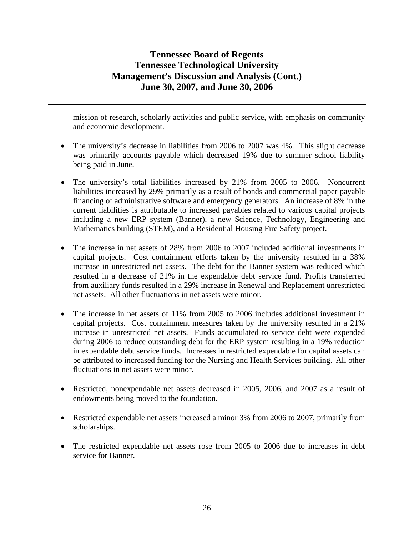mission of research, scholarly activities and public service, with emphasis on community and economic development.

- The university's decrease in liabilities from 2006 to 2007 was 4%. This slight decrease was primarily accounts payable which decreased 19% due to summer school liability being paid in June.
- The university's total liabilities increased by 21% from 2005 to 2006. Noncurrent liabilities increased by 29% primarily as a result of bonds and commercial paper payable financing of administrative software and emergency generators. An increase of 8% in the current liabilities is attributable to increased payables related to various capital projects including a new ERP system (Banner), a new Science, Technology, Engineering and Mathematics building (STEM), and a Residential Housing Fire Safety project.
- The increase in net assets of 28% from 2006 to 2007 included additional investments in capital projects. Cost containment efforts taken by the university resulted in a 38% increase in unrestricted net assets. The debt for the Banner system was reduced which resulted in a decrease of 21% in the expendable debt service fund. Profits transferred from auxiliary funds resulted in a 29% increase in Renewal and Replacement unrestricted net assets. All other fluctuations in net assets were minor.
- The increase in net assets of 11% from 2005 to 2006 includes additional investment in capital projects. Cost containment measures taken by the university resulted in a 21% increase in unrestricted net assets. Funds accumulated to service debt were expended during 2006 to reduce outstanding debt for the ERP system resulting in a 19% reduction in expendable debt service funds. Increases in restricted expendable for capital assets can be attributed to increased funding for the Nursing and Health Services building. All other fluctuations in net assets were minor.
- Restricted, nonexpendable net assets decreased in 2005, 2006, and 2007 as a result of endowments being moved to the foundation.
- Restricted expendable net assets increased a minor 3% from 2006 to 2007, primarily from scholarships.
- The restricted expendable net assets rose from 2005 to 2006 due to increases in debt service for Banner.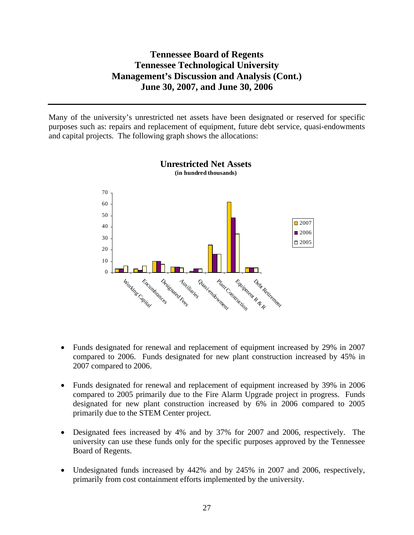Many of the university's unrestricted net assets have been designated or reserved for specific purposes such as: repairs and replacement of equipment, future debt service, quasi-endowments and capital projects. The following graph shows the allocations:





- Funds designated for renewal and replacement of equipment increased by 29% in 2007 compared to 2006. Funds designated for new plant construction increased by 45% in 2007 compared to 2006.
- Funds designated for renewal and replacement of equipment increased by 39% in 2006 compared to 2005 primarily due to the Fire Alarm Upgrade project in progress. Funds designated for new plant construction increased by 6% in 2006 compared to 2005 primarily due to the STEM Center project.
- Designated fees increased by 4% and by 37% for 2007 and 2006, respectively. The university can use these funds only for the specific purposes approved by the Tennessee Board of Regents.
- Undesignated funds increased by 442% and by 245% in 2007 and 2006, respectively, primarily from cost containment efforts implemented by the university.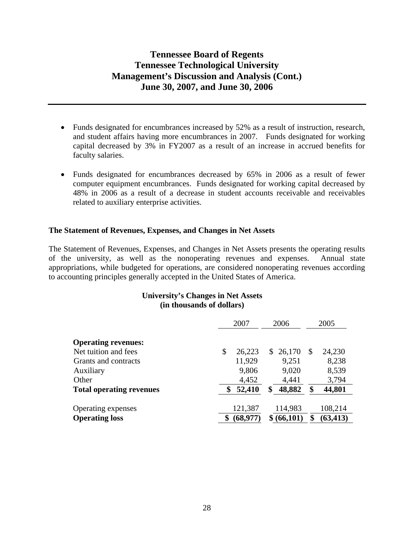- Funds designated for encumbrances increased by 52% as a result of instruction, research, and student affairs having more encumbrances in 2007. Funds designated for working capital decreased by 3% in FY2007 as a result of an increase in accrued benefits for faculty salaries.
- Funds designated for encumbrances decreased by 65% in 2006 as a result of fewer computer equipment encumbrances. Funds designated for working capital decreased by 48% in 2006 as a result of a decrease in student accounts receivable and receivables related to auxiliary enterprise activities.

## **The Statement of Revenues, Expenses, and Changes in Net Assets**

The Statement of Revenues, Expenses, and Changes in Net Assets presents the operating results of the university, as well as the nonoperating revenues and expenses. Annual state appropriations, while budgeted for operations, are considered nonoperating revenues according to accounting principles generally accepted in the United States of America.

## **University's Changes in Net Assets (in thousands of dollars)**

|                                 | 2007 |           | 2006 |           | 2005 |           |
|---------------------------------|------|-----------|------|-----------|------|-----------|
| <b>Operating revenues:</b>      |      |           |      |           |      |           |
| Net tuition and fees            | \$   | 26,223    |      | \$26,170  | S    | 24,230    |
| Grants and contracts            |      | 11,929    |      | 9,251     |      | 8,238     |
| Auxiliary                       |      | 9,806     |      | 9,020     |      | 8,539     |
| Other                           |      | 4,452     |      | 4,441     |      | 3,794     |
| <b>Total operating revenues</b> |      | 52,410    | \$   | 48,882    | \$   | 44,801    |
|                                 |      |           |      |           |      |           |
| Operating expenses              |      | 121,387   |      | 114,983   |      | 108,214   |
| <b>Operating loss</b>           |      | (68, 977) |      | (66, 101) | \$   | (63, 413) |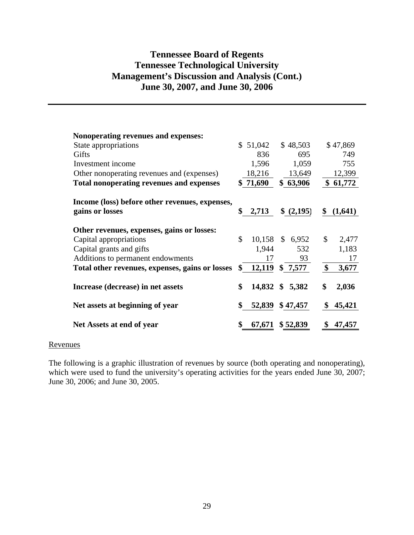| Nonoperating revenues and expenses:             |              |                 |                        |
|-------------------------------------------------|--------------|-----------------|------------------------|
| State appropriations                            | \$51,042     | \$48,503        | \$47,869               |
| Gifts                                           | 836          | 695             | 749                    |
| Investment income                               | 1,596        | 1,059           | 755                    |
| Other nonoperating revenues and (expenses)      | 18,216       | 13,649          | 12,399                 |
| <b>Total nonoperating revenues and expenses</b> | \$71,690     | \$63,906        | \$61,772               |
| Income (loss) before other revenues, expenses,  | \$<br>2,713  |                 | \$                     |
| gains or losses                                 |              | \$ (2,195)      | (1,641)                |
| Other revenues, expenses, gains or losses:      |              |                 |                        |
| Capital appropriations                          | \$           | 10,158 \$ 6,952 | $\mathcal{S}$<br>2,477 |
| Capital grants and gifts                        | 1,944        | 532             | 1,183                  |
| Additions to permanent endowments               | 17           | 93              | 17                     |
| Total other revenues, expenses, gains or losses | 12,119<br>\$ | \$7,577         | \$<br>3,677            |
| Increase (decrease) in net assets               | \$           | 14,832 \$ 5,382 | \$<br>2,036            |
| Net assets at beginning of year                 | \$<br>52,839 | \$47,457        | \$<br>45,421           |
| Net Assets at end of year                       | 67,671       | \$ 52,839       | 47,457                 |

#### Revenues

The following is a graphic illustration of revenues by source (both operating and nonoperating), which were used to fund the university's operating activities for the years ended June 30, 2007; June 30, 2006; and June 30, 2005.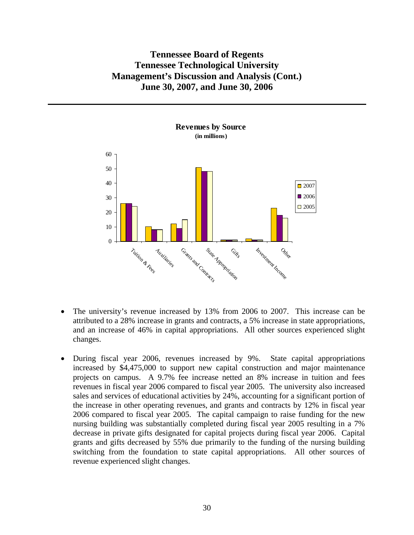

- The university's revenue increased by 13% from 2006 to 2007. This increase can be attributed to a 28% increase in grants and contracts, a 5% increase in state appropriations, and an increase of 46% in capital appropriations. All other sources experienced slight changes.
- During fiscal year 2006, revenues increased by 9%. State capital appropriations increased by \$4,475,000 to support new capital construction and major maintenance projects on campus. A 9.7% fee increase netted an 8% increase in tuition and fees revenues in fiscal year 2006 compared to fiscal year 2005. The university also increased sales and services of educational activities by 24%, accounting for a significant portion of the increase in other operating revenues, and grants and contracts by 12% in fiscal year 2006 compared to fiscal year 2005. The capital campaign to raise funding for the new nursing building was substantially completed during fiscal year 2005 resulting in a 7% decrease in private gifts designated for capital projects during fiscal year 2006. Capital grants and gifts decreased by 55% due primarily to the funding of the nursing building switching from the foundation to state capital appropriations. All other sources of revenue experienced slight changes.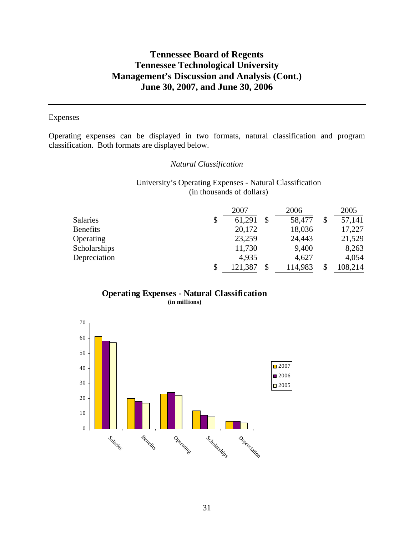### **Expenses**

Operating expenses can be displayed in two formats, natural classification and program classification. Both formats are displayed below.

## *Natural Classification*

University's Operating Expenses - Natural Classification (in thousands of dollars)

|                 | 2007          | 2006    | 2005    |
|-----------------|---------------|---------|---------|
| <b>Salaries</b> | \$<br>61,291  | 58,477  | 57,141  |
| <b>Benefits</b> | 20,172        | 18,036  | 17,227  |
| Operating       | 23,259        | 24,443  | 21,529  |
| Scholarships    | 11,730        | 9,400   | 8,263   |
| Depreciation    | 4,935         | 4,627   | 4,054   |
|                 | \$<br>121,387 | 114,983 | 108,214 |



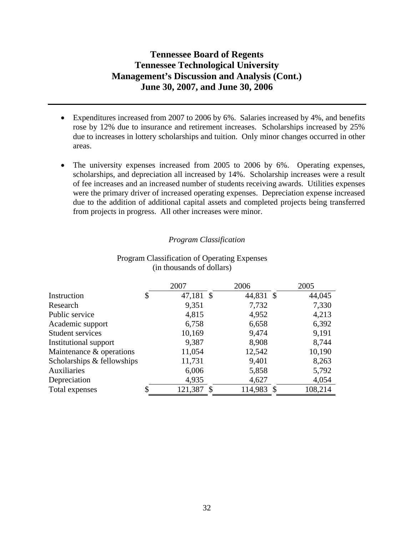- Expenditures increased from 2007 to 2006 by 6%. Salaries increased by 4%, and benefits rose by 12% due to insurance and retirement increases. Scholarships increased by 25% due to increases in lottery scholarships and tuition. Only minor changes occurred in other areas.
- The university expenses increased from 2005 to 2006 by 6%. Operating expenses, scholarships, and depreciation all increased by 14%. Scholarship increases were a result of fee increases and an increased number of students receiving awards. Utilities expenses were the primary driver of increased operating expenses. Depreciation expense increased due to the addition of additional capital assets and completed projects being transferred from projects in progress. All other increases were minor.

## *Program Classification*

|                            | 2007            | 2006      | 2005    |
|----------------------------|-----------------|-----------|---------|
| Instruction                | \$<br>47,181 \$ | 44,831 \$ | 44,045  |
| Research                   | 9,351           | 7,732     | 7,330   |
| Public service             | 4,815           | 4,952     | 4,213   |
| Academic support           | 6,758           | 6,658     | 6,392   |
| Student services           | 10,169          | 9,474     | 9,191   |
| Institutional support      | 9,387           | 8,908     | 8,744   |
| Maintenance & operations   | 11,054          | 12,542    | 10,190  |
| Scholarships & fellowships | 11,731          | 9,401     | 8,263   |
| Auxiliaries                | 6,006           | 5,858     | 5,792   |
| Depreciation               | 4,935           | 4,627     | 4,054   |
| Total expenses             | 121,387         | 114,983   | 108,214 |

### Program Classification of Operating Expenses (in thousands of dollars)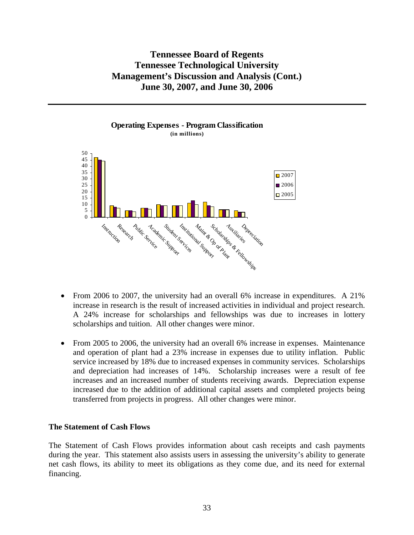

- From 2006 to 2007, the university had an overall 6% increase in expenditures. A 21% increase in research is the result of increased activities in individual and project research. A 24% increase for scholarships and fellowships was due to increases in lottery scholarships and tuition. All other changes were minor.
- From 2005 to 2006, the university had an overall 6% increase in expenses. Maintenance and operation of plant had a 23% increase in expenses due to utility inflation. Public service increased by 18% due to increased expenses in community services. Scholarships and depreciation had increases of 14%. Scholarship increases were a result of fee increases and an increased number of students receiving awards. Depreciation expense increased due to the addition of additional capital assets and completed projects being transferred from projects in progress. All other changes were minor.

## **The Statement of Cash Flows**

The Statement of Cash Flows provides information about cash receipts and cash payments during the year. This statement also assists users in assessing the university's ability to generate net cash flows, its ability to meet its obligations as they come due, and its need for external financing.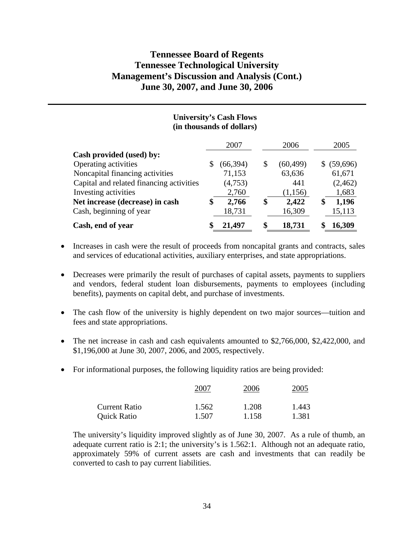|                                          | <b>University's Cash Flows</b><br>(in thousands of dollars) |                 |             |
|------------------------------------------|-------------------------------------------------------------|-----------------|-------------|
|                                          | 2007                                                        | 2006            | 2005        |
| Cash provided (used) by:                 |                                                             |                 |             |
| Operating activities                     | \$<br>(66, 394)                                             | \$<br>(60, 499) | \$ (59,696) |
| Noncapital financing activities          | 71,153                                                      | 63,636          | 61,671      |
| Capital and related financing activities | (4,753)                                                     | 441             | (2,462)     |
| Investing activities                     | 2,760                                                       | (1,156)         | 1,683       |
| Net increase (decrease) in cash          | \$<br>2,766                                                 | \$<br>2,422     | \$<br>1,196 |
| Cash, beginning of year                  | 18,731                                                      | 16,309          | 15,113      |
| Cash, end of year                        | 21,497                                                      | 18,731          | 16,309      |

- Increases in cash were the result of proceeds from noncapital grants and contracts, sales and services of educational activities, auxiliary enterprises, and state appropriations.
- Decreases were primarily the result of purchases of capital assets, payments to suppliers and vendors, federal student loan disbursements, payments to employees (including benefits), payments on capital debt, and purchase of investments.
- The cash flow of the university is highly dependent on two major sources—tuition and fees and state appropriations.
- The net increase in cash and cash equivalents amounted to \$2,766,000, \$2,422,000, and \$1,196,000 at June 30, 2007, 2006, and 2005, respectively.
- For informational purposes, the following liquidity ratios are being provided:

|                      | 2007  | 2006  | 2005  |  |  |
|----------------------|-------|-------|-------|--|--|
| <b>Current Ratio</b> | 1.562 | 1.208 | 1.443 |  |  |
| <b>Quick Ratio</b>   | 1.507 | 1.158 | 1.381 |  |  |

The university's liquidity improved slightly as of June 30, 2007. As a rule of thumb, an adequate current ratio is 2:1; the university's is 1.562:1. Although not an adequate ratio, approximately 59% of current assets are cash and investments that can readily be converted to cash to pay current liabilities.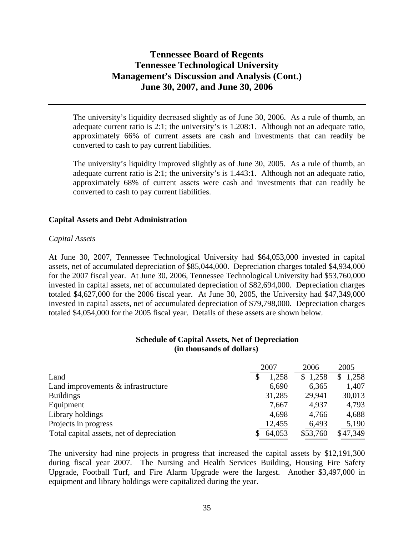The university's liquidity decreased slightly as of June 30, 2006. As a rule of thumb, an adequate current ratio is 2:1; the university's is 1.208:1. Although not an adequate ratio, approximately 66% of current assets are cash and investments that can readily be converted to cash to pay current liabilities.

The university's liquidity improved slightly as of June 30, 2005. As a rule of thumb, an adequate current ratio is 2:1; the university's is 1.443:1. Although not an adequate ratio, approximately 68% of current assets were cash and investments that can readily be converted to cash to pay current liabilities.

## **Capital Assets and Debt Administration**

## *Capital Assets*

At June 30, 2007, Tennessee Technological University had \$64,053,000 invested in capital assets, net of accumulated depreciation of \$85,044,000. Depreciation charges totaled \$4,934,000 for the 2007 fiscal year. At June 30, 2006, Tennessee Technological University had \$53,760,000 invested in capital assets, net of accumulated depreciation of \$82,694,000. Depreciation charges totaled \$4,627,000 for the 2006 fiscal year. At June 30, 2005, the University had \$47,349,000 invested in capital assets, net of accumulated depreciation of \$79,798,000. Depreciation charges totaled \$4,054,000 for the 2005 fiscal year. Details of these assets are shown below.

### **Schedule of Capital Assets, Net of Depreciation (in thousands of dollars)**

|                                           | 2007   | 2006     | 2005     |
|-------------------------------------------|--------|----------|----------|
| Land                                      | 1,258  | \$1,258  | 1,258    |
| Land improvements $&$ infrastructure      | 6,690  | 6,365    | 1,407    |
| <b>Buildings</b>                          | 31,285 | 29,941   | 30,013   |
| Equipment                                 | 7,667  | 4,937    | 4,793    |
| Library holdings                          | 4,698  | 4,766    | 4,688    |
| Projects in progress                      | 12,455 | 6,493    | 5,190    |
| Total capital assets, net of depreciation | 64,053 | \$53,760 | \$47,349 |

The university had nine projects in progress that increased the capital assets by \$12,191,300 during fiscal year 2007. The Nursing and Health Services Building, Housing Fire Safety Upgrade, Football Turf, and Fire Alarm Upgrade were the largest. Another \$3,497,000 in equipment and library holdings were capitalized during the year.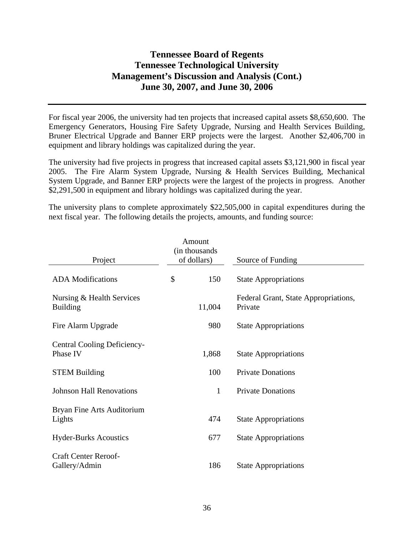For fiscal year 2006, the university had ten projects that increased capital assets \$8,650,600. The Emergency Generators, Housing Fire Safety Upgrade, Nursing and Health Services Building, Bruner Electrical Upgrade and Banner ERP projects were the largest. Another \$2,406,700 in equipment and library holdings was capitalized during the year.

The university had five projects in progress that increased capital assets \$3,121,900 in fiscal year 2005. The Fire Alarm System Upgrade, Nursing & Health Services Building, Mechanical System Upgrade, and Banner ERP projects were the largest of the projects in progress. Another \$2,291,500 in equipment and library holdings was capitalized during the year.

The university plans to complete approximately \$22,505,000 in capital expenditures during the next fiscal year. The following details the projects, amounts, and funding source:

| Project                                        | Amount<br>(in thousands<br>of dollars) | Source of Funding                               |
|------------------------------------------------|----------------------------------------|-------------------------------------------------|
|                                                |                                        |                                                 |
| <b>ADA</b> Modifications                       | \$<br>150                              | <b>State Appropriations</b>                     |
| Nursing & Health Services<br><b>Building</b>   | 11,004                                 | Federal Grant, State Appropriations,<br>Private |
| Fire Alarm Upgrade                             | 980                                    | <b>State Appropriations</b>                     |
| <b>Central Cooling Deficiency-</b><br>Phase IV | 1,868                                  | <b>State Appropriations</b>                     |
| <b>STEM Building</b>                           | 100                                    | <b>Private Donations</b>                        |
| <b>Johnson Hall Renovations</b>                | $\mathbf{1}$                           | <b>Private Donations</b>                        |
| Bryan Fine Arts Auditorium<br>Lights           | 474                                    | <b>State Appropriations</b>                     |
| <b>Hyder-Burks Acoustics</b>                   | 677                                    | <b>State Appropriations</b>                     |
| <b>Craft Center Reroof-</b><br>Gallery/Admin   | 186                                    | <b>State Appropriations</b>                     |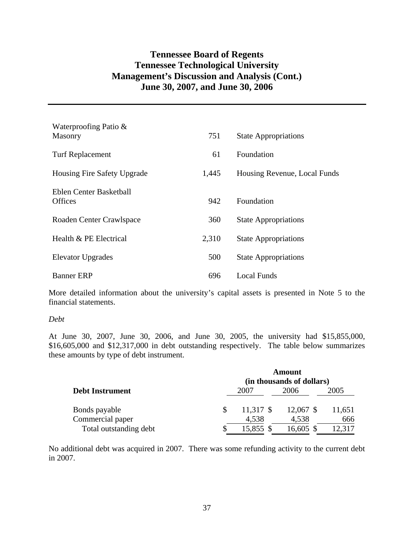| Waterproofing Patio &<br>Masonry | 751   | <b>State Appropriations</b>  |
|----------------------------------|-------|------------------------------|
|                                  |       |                              |
| <b>Turf Replacement</b>          | 61    | <b>Foundation</b>            |
| Housing Fire Safety Upgrade      | 1,445 | Housing Revenue, Local Funds |
| Eblen Center Basketball          |       |                              |
| <b>Offices</b>                   | 942   | Foundation                   |
|                                  |       |                              |
| Roaden Center Crawlspace         | 360   | <b>State Appropriations</b>  |
| Health & PE Electrical           | 2,310 | <b>State Appropriations</b>  |
| <b>Elevator Upgrades</b>         | 500   | <b>State Appropriations</b>  |
| <b>Banner ERP</b>                | 696   | Local Funds                  |

More detailed information about the university's capital assets is presented in Note 5 to the financial statements.

### *Debt*

At June 30, 2007, June 30, 2006, and June 30, 2005, the university had \$15,855,000, \$16,605,000 and \$12,317,000 in debt outstanding respectively. The table below summarizes these amounts by type of debt instrument.

|                        | Amount<br>(in thousands of dollars) |             |             |        |  |  |  |  |  |
|------------------------|-------------------------------------|-------------|-------------|--------|--|--|--|--|--|
| <b>Debt Instrument</b> |                                     | 2007        | 2006        | 2005   |  |  |  |  |  |
| Bonds payable          |                                     | $11,317$ \$ | $12,067$ \$ | 11,651 |  |  |  |  |  |
| Commercial paper       |                                     | 4,538       | 4,538       | 666    |  |  |  |  |  |
| Total outstanding debt |                                     | 15,855      | 16,605 \$   | 12.317 |  |  |  |  |  |

No additional debt was acquired in 2007. There was some refunding activity to the current debt in 2007.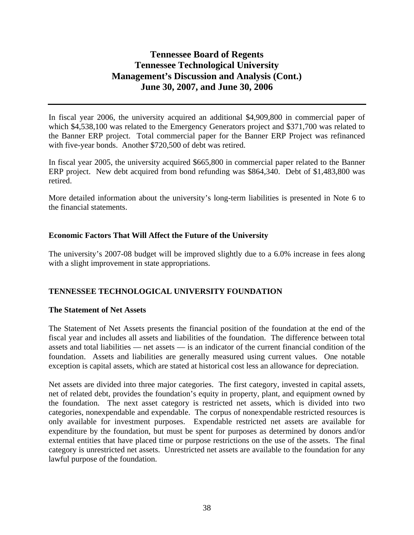In fiscal year 2006, the university acquired an additional \$4,909,800 in commercial paper of which \$4,538,100 was related to the Emergency Generators project and \$371,700 was related to the Banner ERP project. Total commercial paper for the Banner ERP Project was refinanced with five-year bonds. Another \$720,500 of debt was retired.

In fiscal year 2005, the university acquired \$665,800 in commercial paper related to the Banner ERP project. New debt acquired from bond refunding was \$864,340. Debt of \$1,483,800 was retired.

More detailed information about the university's long-term liabilities is presented in Note 6 to the financial statements.

## **Economic Factors That Will Affect the Future of the University**

The university's 2007-08 budget will be improved slightly due to a 6.0% increase in fees along with a slight improvement in state appropriations.

## **TENNESSEE TECHNOLOGICAL UNIVERSITY FOUNDATION**

## **The Statement of Net Assets**

The Statement of Net Assets presents the financial position of the foundation at the end of the fiscal year and includes all assets and liabilities of the foundation. The difference between total assets and total liabilities — net assets — is an indicator of the current financial condition of the foundation. Assets and liabilities are generally measured using current values. One notable exception is capital assets, which are stated at historical cost less an allowance for depreciation.

Net assets are divided into three major categories. The first category, invested in capital assets, net of related debt, provides the foundation's equity in property, plant, and equipment owned by the foundation. The next asset category is restricted net assets, which is divided into two categories, nonexpendable and expendable. The corpus of nonexpendable restricted resources is only available for investment purposes. Expendable restricted net assets are available for expenditure by the foundation, but must be spent for purposes as determined by donors and/or external entities that have placed time or purpose restrictions on the use of the assets. The final category is unrestricted net assets. Unrestricted net assets are available to the foundation for any lawful purpose of the foundation.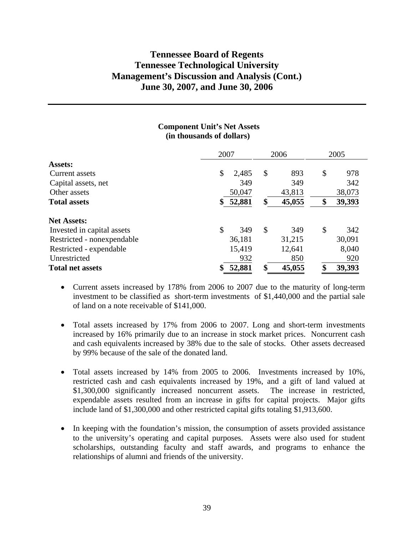|           |                                                                 | 2006   |    | 2005   |
|-----------|-----------------------------------------------------------------|--------|----|--------|
|           |                                                                 |        |    |        |
| \$        | \$                                                              | 893    | \$ | 978    |
| 349       |                                                                 | 349    |    | 342    |
|           |                                                                 | 43,813 |    | 38,073 |
| \$        |                                                                 | 45,055 | \$ | 39,393 |
|           |                                                                 |        |    |        |
| \$<br>349 | \$                                                              | 349    | \$ | 342    |
|           |                                                                 | 31,215 |    | 30,091 |
|           |                                                                 | 12,641 |    | 8,040  |
| 932       |                                                                 | 850    |    | 920    |
|           |                                                                 | 45,055 | \$ | 39,393 |
|           | 2007<br>2,485<br>50,047<br>52,881<br>36,181<br>15,419<br>52,881 |        |    |        |

### **Component Unit's Net Assets (in thousands of dollars)**

- Current assets increased by 178% from 2006 to 2007 due to the maturity of long-term investment to be classified as short-term investments of \$1,440,000 and the partial sale of land on a note receivable of \$141,000.
- Total assets increased by 17% from 2006 to 2007. Long and short-term investments increased by 16% primarily due to an increase in stock market prices. Noncurrent cash and cash equivalents increased by 38% due to the sale of stocks. Other assets decreased by 99% because of the sale of the donated land.
- Total assets increased by 14% from 2005 to 2006. Investments increased by 10%, restricted cash and cash equivalents increased by 19%, and a gift of land valued at \$1,300,000 significantly increased noncurrent assets. The increase in restricted, expendable assets resulted from an increase in gifts for capital projects. Major gifts include land of \$1,300,000 and other restricted capital gifts totaling \$1,913,600.
- In keeping with the foundation's mission, the consumption of assets provided assistance to the university's operating and capital purposes. Assets were also used for student scholarships, outstanding faculty and staff awards, and programs to enhance the relationships of alumni and friends of the university.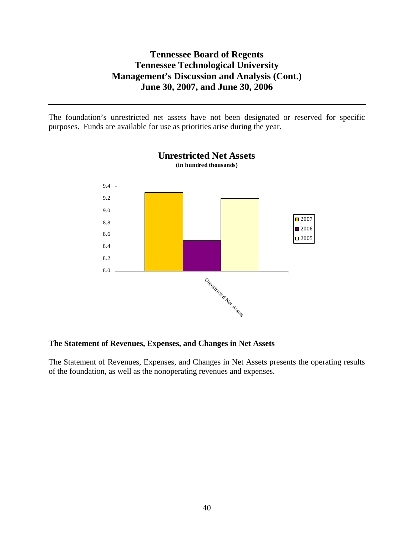The foundation's unrestricted net assets have not been designated or reserved for specific purposes. Funds are available for use as priorities arise during the year.



**Unrestricted Net Assets (in hundred thousands)**

## **The Statement of Revenues, Expenses, and Changes in Net Assets**

The Statement of Revenues, Expenses, and Changes in Net Assets presents the operating results of the foundation, as well as the nonoperating revenues and expenses.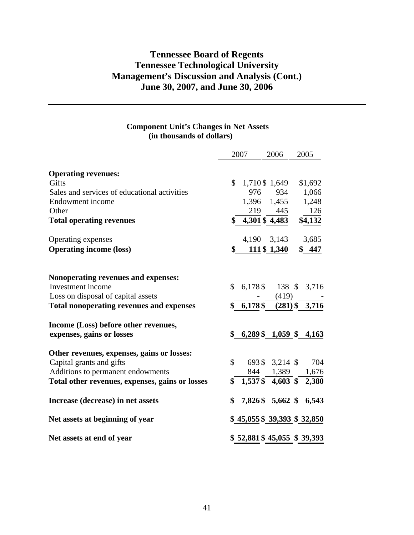## **Component Unit's Changes in Net Assets (in thousands of dollars)**

|                                                          |              | 2007                 | 2006            | 2005                       |
|----------------------------------------------------------|--------------|----------------------|-----------------|----------------------------|
| <b>Operating revenues:</b>                               |              |                      |                 |                            |
| Gifts                                                    | \$           |                      | 1,710 \$ 1,649  | \$1,692                    |
| Sales and services of educational activities             |              | 976                  | 934             | 1,066                      |
| Endowment income                                         |              | 1,396                | 1,455           | 1,248                      |
| Other                                                    |              | 219                  | 445             | 126                        |
| <b>Total operating revenues</b>                          |              | 4,301 \$4,483        |                 | \$4,132                    |
| Operating expenses                                       |              | 4,190 3,143          |                 | 3,685                      |
| <b>Operating income (loss)</b>                           | \$           |                      | 111 \$ 1,340    | \$447                      |
|                                                          |              |                      |                 |                            |
| Nonoperating revenues and expenses:<br>Investment income | $\mathbb{S}$ |                      |                 |                            |
| Loss on disposal of capital assets                       |              | $6,178$ \$           | (419)           | 138 \$ 3,716               |
| <b>Total nonoperating revenues and expenses</b>          |              | \$6,178\$            |                 | $(281)$ \$ 3,716           |
|                                                          |              |                      |                 |                            |
| Income (Loss) before other revenues,                     |              |                      |                 |                            |
| expenses, gains or losses                                | \$           | $6,289\$ \$ 1,059 \$ |                 | 4,163                      |
| Other revenues, expenses, gains or losses:               |              |                      |                 |                            |
| Capital grants and gifts                                 | \$           |                      | 693 \$ 3,214 \$ | 704                        |
| Additions to permanent endowments                        |              | 844                  | 1,389           | 1,676                      |
| Total other revenues, expenses, gains or losses          | \$           | $1,537\$ 4,603 \$    |                 | 2,380                      |
| Increase (decrease) in net assets                        | \$           |                      |                 | 7,826 \$ 5,662 \$ 6,543    |
| Net assets at beginning of year                          |              |                      |                 | \$45,055 \$39,393 \$32,850 |
| Net assets at end of year                                |              |                      |                 | \$52,881\$45,055\$39,393   |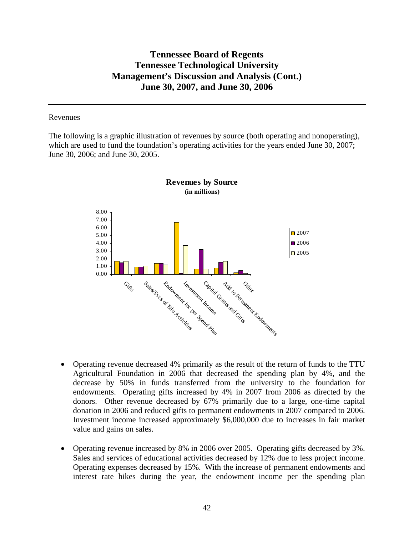### Revenues

The following is a graphic illustration of revenues by source (both operating and nonoperating), which are used to fund the foundation's operating activities for the years ended June 30, 2007; June 30, 2006; and June 30, 2005.



**Revenues by Source (in millions)**

- Operating revenue decreased 4% primarily as the result of the return of funds to the TTU Agricultural Foundation in 2006 that decreased the spending plan by 4%, and the decrease by 50% in funds transferred from the university to the foundation for endowments. Operating gifts increased by 4% in 2007 from 2006 as directed by the donors. Other revenue decreased by 67% primarily due to a large, one-time capital donation in 2006 and reduced gifts to permanent endowments in 2007 compared to 2006. Investment income increased approximately \$6,000,000 due to increases in fair market value and gains on sales.
- Operating revenue increased by 8% in 2006 over 2005. Operating gifts decreased by 3%. Sales and services of educational activities decreased by 12% due to less project income. Operating expenses decreased by 15%. With the increase of permanent endowments and interest rate hikes during the year, the endowment income per the spending plan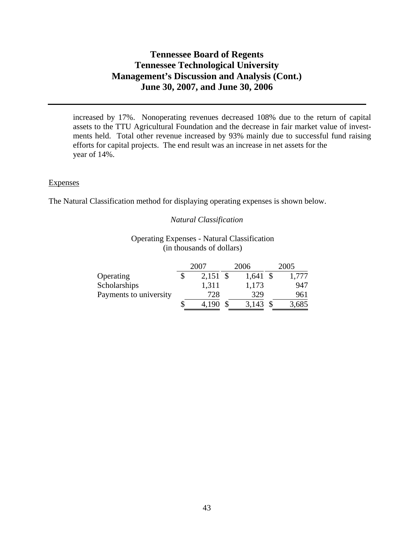increased by 17%. Nonoperating revenues decreased 108% due to the return of capital assets to the TTU Agricultural Foundation and the decrease in fair market value of investments held. Total other revenue increased by 93% mainly due to successful fund raising efforts for capital projects. The end result was an increase in net assets for the year of 14%.

### **Expenses**

The Natural Classification method for displaying operating expenses is shown below.

## *Natural Classification*

## Operating Expenses - Natural Classification (in thousands of dollars)

|                        | 2007<br>2006     |  |            | 2005  |
|------------------------|------------------|--|------------|-------|
| Operating              | \$<br>$2,151$ \$ |  | $1,641$ \$ | 1,777 |
| Scholarships           | 1,311            |  | 1,173      | 947   |
| Payments to university | 728              |  | 329        | 961   |
|                        | 4,190            |  | 3,143      | 3,685 |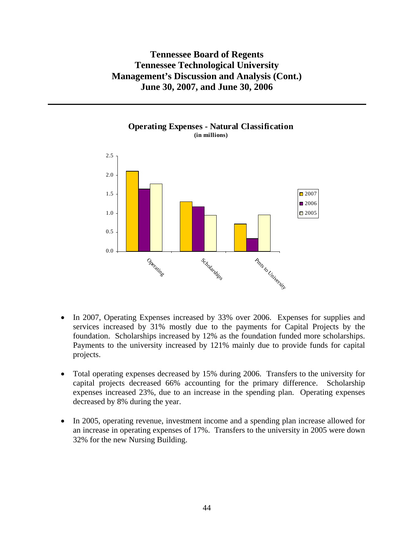

## **Operating Expenses - Natural Classification (in millions)**

- In 2007, Operating Expenses increased by 33% over 2006. Expenses for supplies and services increased by 31% mostly due to the payments for Capital Projects by the foundation. Scholarships increased by 12% as the foundation funded more scholarships. Payments to the university increased by 121% mainly due to provide funds for capital projects.
- Total operating expenses decreased by 15% during 2006. Transfers to the university for capital projects decreased 66% accounting for the primary difference. Scholarship expenses increased 23%, due to an increase in the spending plan. Operating expenses decreased by 8% during the year.
- In 2005, operating revenue, investment income and a spending plan increase allowed for an increase in operating expenses of 17%. Transfers to the university in 2005 were down 32% for the new Nursing Building.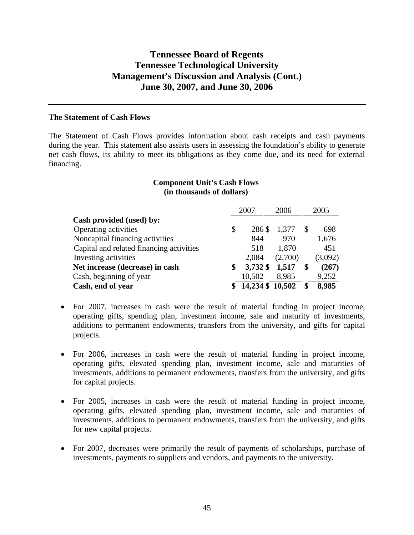### **The Statement of Cash Flows**

The Statement of Cash Flows provides information about cash receipts and cash payments during the year. This statement also assists users in assessing the foundation's ability to generate net cash flows, its ability to meet its obligations as they come due, and its need for external financing.

## **Component Unit's Cash Flows (in thousands of dollars)**

|                                          | 2007 |                 | 2006    |  | 2005    |
|------------------------------------------|------|-----------------|---------|--|---------|
| Cash provided (used) by:                 |      |                 |         |  |         |
| Operating activities                     | \$   | 286 \$          | 1,377   |  | 698     |
| Noncapital financing activities          |      | 844             | 970     |  | 1,676   |
| Capital and related financing activities |      | 518             | 1,870   |  | 451     |
| Investing activities                     |      | 2,084           | (2,700) |  | (3,092) |
| Net increase (decrease) in cash          | S    | 3,732 \$        | 1,517   |  | (267)   |
| Cash, beginning of year                  |      | 10,502          | 8,985   |  | 9,252   |
| Cash, end of year                        |      | 14,234 \$10,502 |         |  | 8,985   |

- For 2007, increases in cash were the result of material funding in project income, operating gifts, spending plan, investment income, sale and maturity of investments, additions to permanent endowments, transfers from the university, and gifts for capital projects.
- For 2006, increases in cash were the result of material funding in project income, operating gifts, elevated spending plan, investment income, sale and maturities of investments, additions to permanent endowments, transfers from the university, and gifts for capital projects.
- For 2005, increases in cash were the result of material funding in project income, operating gifts, elevated spending plan, investment income, sale and maturities of investments, additions to permanent endowments, transfers from the university, and gifts for new capital projects.
- For 2007, decreases were primarily the result of payments of scholarships, purchase of investments, payments to suppliers and vendors, and payments to the university.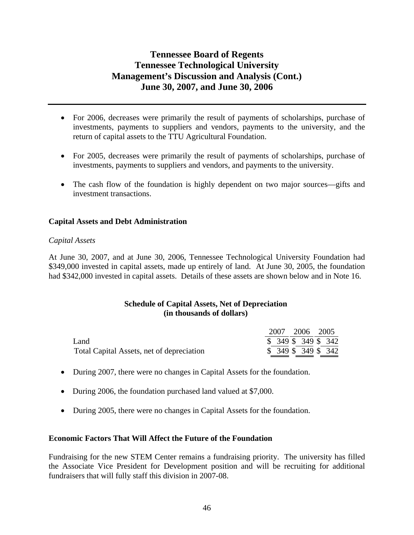- For 2006, decreases were primarily the result of payments of scholarships, purchase of investments, payments to suppliers and vendors, payments to the university, and the return of capital assets to the TTU Agricultural Foundation.
- For 2005, decreases were primarily the result of payments of scholarships, purchase of investments, payments to suppliers and vendors, and payments to the university.
- The cash flow of the foundation is highly dependent on two major sources—gifts and investment transactions.

## **Capital Assets and Debt Administration**

## *Capital Assets*

At June 30, 2007, and at June 30, 2006, Tennessee Technological University Foundation had \$349,000 invested in capital assets, made up entirely of land. At June 30, 2005, the foundation had \$342,000 invested in capital assets. Details of these assets are shown below and in Note 16.

## **Schedule of Capital Assets, Net of Depreciation (in thousands of dollars)**

|                                           | 2007 2006 2005 |                      |
|-------------------------------------------|----------------|----------------------|
| Land                                      |                | $$349$ \$ 349 \$ 342 |
| Total Capital Assets, net of depreciation |                | $$349$ \$ 349 \$ 342 |

- During 2007, there were no changes in Capital Assets for the foundation.
- During 2006, the foundation purchased land valued at \$7,000.
- During 2005, there were no changes in Capital Assets for the foundation.

## **Economic Factors That Will Affect the Future of the Foundation**

Fundraising for the new STEM Center remains a fundraising priority. The university has filled the Associate Vice President for Development position and will be recruiting for additional fundraisers that will fully staff this division in 2007-08.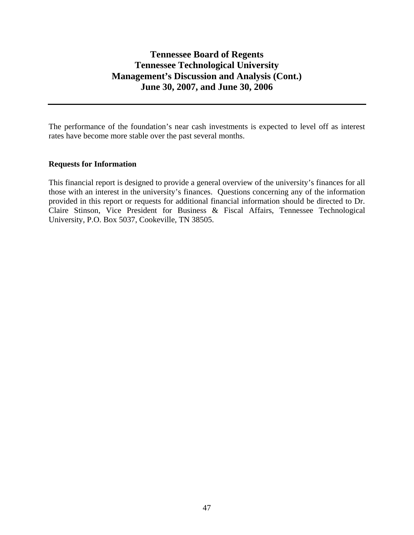The performance of the foundation's near cash investments is expected to level off as interest rates have become more stable over the past several months.

## **Requests for Information**

This financial report is designed to provide a general overview of the university's finances for all those with an interest in the university's finances. Questions concerning any of the information provided in this report or requests for additional financial information should be directed to Dr. Claire Stinson, Vice President for Business & Fiscal Affairs, Tennessee Technological University, P.O. Box 5037, Cookeville, TN 38505.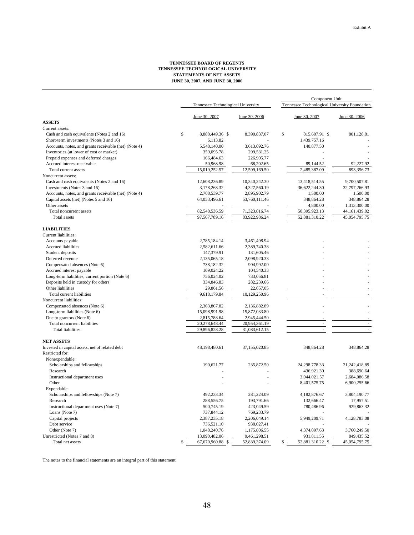#### **TENNESSEE BOARD OF REGENTS TENNESSEE TECHNOLOGICAL UNIVERSITY STATEMENTS OF NET ASSETS JUNE 30, 2007, AND JUNE 30, 2006**

|                                                       |                                    |               | Component Unit |                                               |               |
|-------------------------------------------------------|------------------------------------|---------------|----------------|-----------------------------------------------|---------------|
|                                                       | Tennessee Technological University |               |                | Tennessee Technological University Foundation |               |
|                                                       | June 30, 2007                      | June 30, 2006 |                | June 30, 2007                                 | June 30, 2006 |
| <b>ASSETS</b>                                         |                                    |               |                |                                               |               |
| Current assets:                                       |                                    |               |                |                                               |               |
| Cash and cash equivalents (Notes 2 and 16)            | $\mathbb{S}$<br>8,888,449.36 \$    | 8,390,837.07  | \$             | 815,607.91 \$                                 | 801,128.81    |
| Short-term investments (Notes 3 and 16)               | 6,113.82                           |               |                | 1,439,757.16                                  |               |
| Accounts, notes, and grants receivable (net) (Note 4) | 5,548,140.00                       | 3,613,692.76  |                | 140,877.50                                    |               |
| Inventories (at lower of cost or market)              | 359,095.78                         | 299,531.25    |                |                                               |               |
| Prepaid expenses and deferred charges                 | 166,484.63                         | 226,905.77    |                |                                               |               |
| Accrued interest receivable                           | 50,968.98                          | 68,202.65     |                | 89,144.52                                     | 92,227.92     |
| Total current assets                                  | 15,019,252.57                      | 12,599,169.50 |                | 2,485,387.09                                  | 893,356.73    |
| Noncurrent assets:                                    |                                    |               |                |                                               |               |
| Cash and cash equivalents (Notes 2 and 16)            | 12,608,236.89                      | 10,340,242.30 |                | 13,418,514.55                                 | 9,700,507.81  |
| Investments (Notes 3 and 16)                          | 3,178,263.32                       | 4,327,560.19  |                | 36,622,244.30                                 | 32,797,266.93 |
| Accounts, notes, and grants receivable (net) (Note 4) | 2,708,539.77                       | 2,895,902.79  |                | 1,500.00                                      | 1,500.00      |
| Capital assets (net) (Notes 5 and 16)                 | 64,053,496.61                      | 53,760,111.46 |                | 348,864.28                                    | 348,864.28    |
| Other assets                                          |                                    |               |                | 4,800.00                                      | 1,313,300.00  |
| Total noncurrent assets                               | 82,548,536.59                      | 71,323,816.74 |                | 50,395,923.13                                 | 44,161,439.02 |
| <b>Total</b> assets                                   | 97,567,789.16                      | 83,922,986.24 |                | 52,881,310.22                                 | 45,054,795.75 |
| <b>LIABILITIES</b>                                    |                                    |               |                |                                               |               |
| Current liabilities:                                  |                                    |               |                |                                               |               |
| Accounts payable                                      | 2,785,184.14                       | 3,461,498.94  |                |                                               |               |
| Accrued liabilities                                   | 2,582,611.66                       | 2,389,740.38  |                |                                               |               |
| Student deposits                                      | 147,379.91                         | 131,605.46    |                |                                               |               |
| Deferred revenue                                      | 2,135,065.18                       | 2,098,920.33  |                |                                               |               |
| Compensated absences (Note 6)                         | 738,182.32                         | 904,992.00    |                |                                               |               |
| Accrued interest payable                              | 109,024.22                         | 104,540.33    |                |                                               |               |
| Long-term liabilities, current portion (Note 6)       | 756,024.02                         | 733,056.81    |                |                                               |               |
| Deposits held in custody for others                   | 334,846.83                         | 282,239.66    |                |                                               |               |
| Other liabilities                                     | 29,861.56                          | 22,657.05     |                |                                               |               |
| Total current liabilities                             | 9,618,179.84                       | 10,129,250.96 |                |                                               |               |
| Noncurrent liabilities:                               |                                    |               |                |                                               |               |
| Compensated absences (Note 6)                         | 2,363,867.82                       | 2,136,882.89  |                |                                               |               |
| Long-term liabilities (Note 6)                        | 15,098,991.98                      | 15,872,033.80 |                |                                               |               |
| Due to grantors (Note 6)                              | 2,815,788.64                       | 2,945,444.50  |                |                                               |               |
| Total noncurrent liabilities                          | 20,278,648.44                      | 20,954,361.19 |                |                                               |               |
| <b>Total liabilities</b>                              | 29,896,828.28                      | 31,083,612.15 |                |                                               |               |
| <b>NET ASSETS</b>                                     |                                    |               |                |                                               |               |
| Invested in capital assets, net of related debt       | 48,198,480.61                      | 37,155,020.85 |                | 348,864.28                                    | 348,864.28    |
| Restricted for:                                       |                                    |               |                |                                               |               |
| Nonexpendable:                                        |                                    |               |                |                                               |               |
| Scholarships and fellowships                          | 190,621.77                         | 235,872.50    |                | 24, 298, 778. 33                              | 21,242,418.89 |
| Research                                              |                                    |               |                | 436,921.30                                    | 388,690.64    |
| Instructional department uses                         |                                    |               |                | 3,044,021.57                                  | 2,684,086.58  |
| Other                                                 |                                    |               |                | 8,401,575.75                                  | 6,900,255.66  |
| Expendable:                                           |                                    |               |                |                                               |               |
| Scholarships and fellowships (Note 7)                 | 492,233.34                         | 281,224.09    |                | 4,182,876.67                                  | 3,804,190.77  |
| Research                                              | 288,556.75                         | 193,791.66    |                | 132,666.47                                    | 17,957.51     |
| Instructional department uses (Note 7)                | 500,745.19                         | 423,049.59    |                | 780,486.96                                    | 929,863.32    |
| Loans (Note 7)                                        | 737,844.12                         | 769,233.79    |                |                                               |               |
| Capital projects                                      | 2,387,235.18                       | 2,206,049.14  |                | 5,949,209.71                                  | 4,128,783.08  |
| Debt service                                          | 736,521.10                         | 938,027.41    |                |                                               |               |
| Other (Note 7)                                        | 1,048,240.76                       | 1,175,806.55  |                | 4,374,097.63                                  | 3,760,249.50  |
| Unrestricted (Notes 7 and 8)                          | 13,090,482.06                      | 9,461,298.51  |                | 931,811.55                                    | 849,435.52    |
| Total net assets                                      | 67,670,960.88 \$<br>\$             | 52,839,374.09 | \$             | 52,881,310.22 \$                              | 45,054,795.75 |

The notes to the financial statements are an integral part of this statement.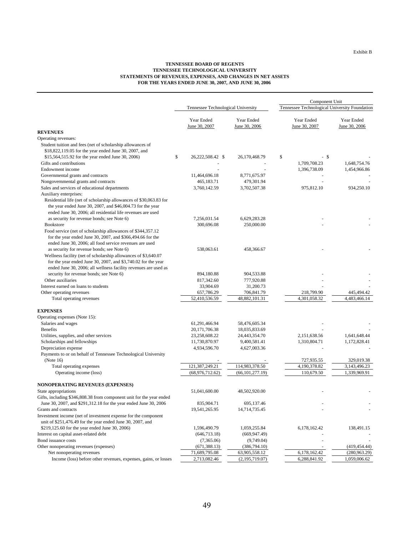#### **TENNESSEE BOARD OF REGENTS TENNESSEE TECHNOLOGICAL UNIVERSITY STATEMENTS OF REVENUES, EXPENSES, AND CHANGES IN NET ASSETS FOR THE YEARS ENDED JUNE 30, 2007, AND JUNE 30, 2006**

|                                                                                                                                                                                                                                                                                                                                                                                                                                          |    | Component Unit                     |                             |                                               |                             |  |
|------------------------------------------------------------------------------------------------------------------------------------------------------------------------------------------------------------------------------------------------------------------------------------------------------------------------------------------------------------------------------------------------------------------------------------------|----|------------------------------------|-----------------------------|-----------------------------------------------|-----------------------------|--|
|                                                                                                                                                                                                                                                                                                                                                                                                                                          |    | Tennessee Technological University |                             | Tennessee Technological University Foundation |                             |  |
|                                                                                                                                                                                                                                                                                                                                                                                                                                          |    | Year Ended<br>June 30, 2007        | Year Ended<br>June 30, 2006 | Year Ended<br>June 30, 2007                   | Year Ended<br>June 30, 2006 |  |
| <b>REVENUES</b>                                                                                                                                                                                                                                                                                                                                                                                                                          |    |                                    |                             |                                               |                             |  |
| Operating revenues:                                                                                                                                                                                                                                                                                                                                                                                                                      |    |                                    |                             |                                               |                             |  |
| Student tuition and fees (net of scholarship allowances of<br>\$18,822,119.05 for the year ended June 30, 2007, and                                                                                                                                                                                                                                                                                                                      |    |                                    |                             |                                               |                             |  |
| \$15,564,515.92 for the year ended June 30, 2006)                                                                                                                                                                                                                                                                                                                                                                                        | \$ | 26,222,508.42 \$                   | 26,170,468.79               | \$<br>- \$                                    |                             |  |
| Gifts and contributions                                                                                                                                                                                                                                                                                                                                                                                                                  |    |                                    |                             | 1,709,708.23                                  | 1,648,754.76                |  |
| Endowment income                                                                                                                                                                                                                                                                                                                                                                                                                         |    |                                    |                             | 1,396,738.09                                  | 1,454,966.86                |  |
| Governmental grants and contracts                                                                                                                                                                                                                                                                                                                                                                                                        |    | 11,464,696.18                      | 8,771,675.97                |                                               |                             |  |
| Nongovernmental grants and contracts                                                                                                                                                                                                                                                                                                                                                                                                     |    | 465,183.71                         | 479,301.94                  |                                               |                             |  |
| Sales and services of educational departments                                                                                                                                                                                                                                                                                                                                                                                            |    | 3,760,142.59                       | 3,702,507.38                | 975,812.10                                    | 934,250.10                  |  |
| Auxiliary enterprises:                                                                                                                                                                                                                                                                                                                                                                                                                   |    |                                    |                             |                                               |                             |  |
| Residential life (net of scholarship allowances of \$30,063.83 for<br>the year ended June 30, 2007, and \$46,004.73 for the year<br>ended June 30, 2006; all residential life revenues are used                                                                                                                                                                                                                                          |    |                                    |                             |                                               |                             |  |
| as security for revenue bonds; see Note 6)                                                                                                                                                                                                                                                                                                                                                                                               |    | 7,256,031.54                       | 6,629,283.28                |                                               |                             |  |
| <b>Bookstore</b>                                                                                                                                                                                                                                                                                                                                                                                                                         |    | 300,696.08                         | 250,000.00                  |                                               |                             |  |
| Food service (net of scholarship allowances of \$344,357.12<br>for the year ended June 30, 2007, and \$366,494.66 for the<br>ended June 30, 2006; all food service revenues are used<br>as security for revenue bonds; see Note 6)<br>Wellness facility (net of scholarship allowances of \$3,640.07<br>for the year ended June 30, 2007, and \$3,740.02 for the year<br>ended June 30, 2006; all wellness facility revenues are used as |    | 538,063.61                         | 458,366.67                  |                                               |                             |  |
| security for revenue bonds; see Note 6)                                                                                                                                                                                                                                                                                                                                                                                                  |    | 894,180.88                         | 904,533.88                  |                                               |                             |  |
| Other auxiliaries                                                                                                                                                                                                                                                                                                                                                                                                                        |    |                                    |                             |                                               |                             |  |
| Interest earned on loans to students                                                                                                                                                                                                                                                                                                                                                                                                     |    | 817,342.60<br>33,904.69            | 777,920.88<br>31,200.73     |                                               |                             |  |
| Other operating revenues                                                                                                                                                                                                                                                                                                                                                                                                                 |    |                                    | 706,841.79                  | 218,799.90                                    | 445,494.42                  |  |
| Total operating revenues                                                                                                                                                                                                                                                                                                                                                                                                                 |    | 657,786.29<br>52,410,536.59        | 48,882,101.31               | 4,301,058.32                                  | 4,483,466.14                |  |
|                                                                                                                                                                                                                                                                                                                                                                                                                                          |    |                                    |                             |                                               |                             |  |
| <b>EXPENSES</b>                                                                                                                                                                                                                                                                                                                                                                                                                          |    |                                    |                             |                                               |                             |  |
| Operating expenses (Note 15):                                                                                                                                                                                                                                                                                                                                                                                                            |    |                                    |                             |                                               |                             |  |
| Salaries and wages                                                                                                                                                                                                                                                                                                                                                                                                                       |    | 61,291,466.94                      | 58,476,605.34               |                                               |                             |  |
| <b>Benefits</b>                                                                                                                                                                                                                                                                                                                                                                                                                          |    | 20,171,706.38                      | 18,035,833.69               |                                               |                             |  |
| Utilities, supplies, and other services                                                                                                                                                                                                                                                                                                                                                                                                  |    | 23,258,608.22                      | 24,443,354.70               | 2,151,638.56                                  | 1,641,648.44                |  |
| Scholarships and fellowships                                                                                                                                                                                                                                                                                                                                                                                                             |    | 11,730,870.97                      | 9,400,581.41                | 1,310,804.71                                  | 1,172,828.41                |  |
| Depreciation expense                                                                                                                                                                                                                                                                                                                                                                                                                     |    | 4,934,596.70                       | 4,627,003.36                |                                               |                             |  |
| Payments to or on behalf of Tennessee Technological University                                                                                                                                                                                                                                                                                                                                                                           |    |                                    |                             |                                               |                             |  |
| (Note $16$ )                                                                                                                                                                                                                                                                                                                                                                                                                             |    |                                    |                             | 727,935.55                                    | 329,019.38                  |  |
| Total operating expenses                                                                                                                                                                                                                                                                                                                                                                                                                 |    | 121,387,249.21                     | 114,983,378.50              | 4,190,378.82                                  | 3,143,496.23                |  |
| Operating income (loss)                                                                                                                                                                                                                                                                                                                                                                                                                  |    | (68,976,712.62)                    | (66, 101, 277.19)           | 110,679.50                                    | 1,339,969.91                |  |
| <b>NONOPERATING REVENUES (EXPENSES)</b>                                                                                                                                                                                                                                                                                                                                                                                                  |    |                                    |                             |                                               |                             |  |
| State appropriations                                                                                                                                                                                                                                                                                                                                                                                                                     |    | 51,041,600.00                      | 48,502,920.00               |                                               |                             |  |
| Gifts, including \$346,808.38 from component unit for the year ended                                                                                                                                                                                                                                                                                                                                                                     |    |                                    |                             |                                               |                             |  |
|                                                                                                                                                                                                                                                                                                                                                                                                                                          |    |                                    |                             |                                               |                             |  |
| June 30, 2007, and \$291, 312.18 for the year ended June 30, 2006<br>Grants and contracts                                                                                                                                                                                                                                                                                                                                                |    | 835,904.71<br>19,541,265.95        | 695,137.46<br>14,714,735.45 |                                               |                             |  |
| Investment income (net of investment expense for the component                                                                                                                                                                                                                                                                                                                                                                           |    |                                    |                             |                                               |                             |  |
| unit of \$251,476.49 for the year ended June 30, 2007, and                                                                                                                                                                                                                                                                                                                                                                               |    |                                    |                             |                                               |                             |  |
| \$219,125.60 for the year ended June 30, 2006)                                                                                                                                                                                                                                                                                                                                                                                           |    | 1,596,490.79                       | 1,059,255.84                | 6,178,162.42                                  | 138,491.15                  |  |
| Interest on capital asset-related debt                                                                                                                                                                                                                                                                                                                                                                                                   |    | (646, 713.18)                      | (669, 947.49)               |                                               |                             |  |
| Bond issuance costs                                                                                                                                                                                                                                                                                                                                                                                                                      |    | (7,365.06)                         | (9,749.04)                  |                                               |                             |  |
| Other nonoperating revenues (expenses)                                                                                                                                                                                                                                                                                                                                                                                                   |    | (671, 388.13)                      | (386, 794.10)               |                                               | (419, 454.44)               |  |
| Net nonoperating revenues                                                                                                                                                                                                                                                                                                                                                                                                                |    | 71,689,795.08                      | 63,905,558.12               | 6,178,162.42                                  | (280, 963.29)               |  |
| Income (loss) before other revenues, expenses, gains, or losses                                                                                                                                                                                                                                                                                                                                                                          |    | 2,713,082.46                       | (2,195,719.07)              | 6,288,841.92                                  | 1,059,006.62                |  |
|                                                                                                                                                                                                                                                                                                                                                                                                                                          |    |                                    |                             |                                               |                             |  |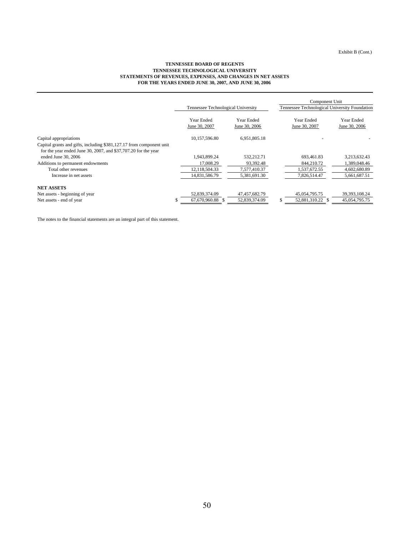#### **STATEMENTS OF REVENUES, EXPENSES, AND CHANGES IN NET ASSETS FOR THE YEARS ENDED JUNE 30, 2007, AND JUNE 30, 2006 TENNESSEE BOARD OF REGENTS TENNESSEE TECHNOLOGICAL UNIVERSITY**

|                                                                                                                                        |                                    |               | Component Unit                                |                 |  |
|----------------------------------------------------------------------------------------------------------------------------------------|------------------------------------|---------------|-----------------------------------------------|-----------------|--|
|                                                                                                                                        | Tennessee Technological University |               | Tennessee Technological University Foundation |                 |  |
|                                                                                                                                        | Year Ended                         | Year Ended    | Year Ended                                    | Year Ended      |  |
|                                                                                                                                        | June 30, 2007                      | June 30, 2006 | June 30, 2007                                 | June 30, 2006   |  |
| Capital appropriations                                                                                                                 | 10,157,596.80                      | 6,951,805.18  |                                               |                 |  |
| Capital grants and gifts, including \$381,127.17 from component unit<br>for the year ended June 30, 2007, and \$37,707.20 for the year |                                    |               |                                               |                 |  |
| ended June 30, 2006                                                                                                                    | 1,943,899.24                       | 532,212.71    | 693,461.83                                    | 3,213,632.43    |  |
| Additions to permanent endowments                                                                                                      | 17.008.29                          | 93.392.48     | 844.210.72                                    | 1,389,048.46    |  |
| Total other revenues                                                                                                                   | 12.118.504.33                      | 7,577,410.37  | 1.537.672.55                                  | 4,602,680.89    |  |
| Increase in net assets                                                                                                                 | 14,831,586.79                      | 5,381,691.30  | 7,826,514.47                                  | 5,661,687.51    |  |
| <b>NET ASSETS</b>                                                                                                                      |                                    |               |                                               |                 |  |
| Net assets - beginning of year                                                                                                         | 52,839,374.09                      | 47,457,682.79 | 45,054,795.75                                 | 39, 393, 108.24 |  |
| Net assets - end of year                                                                                                               | 67,670,960.88 \$                   | 52,839,374.09 | \$<br>52,881,310.22 \$                        | 45,054,795.75   |  |

The notes to the financial statements are an integral part of this statement.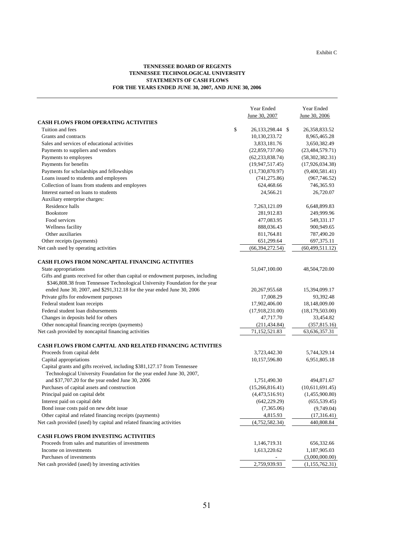#### **TENNESSEE BOARD OF REGENTS TENNESSEE TECHNOLOGICAL UNIVERSITY STATEMENTS OF CASH FLOWS FOR THE YEARS ENDED JUNE 30, 2007, AND JUNE 30, 2006**

|                                                                                   | Year Ended                | Year Ended        |
|-----------------------------------------------------------------------------------|---------------------------|-------------------|
|                                                                                   | June 30, 2007             | June 30, 2006     |
| <b>CASH FLOWS FROM OPERATING ACTIVITIES</b>                                       |                           |                   |
| Tuition and fees                                                                  | \$<br>26, 133, 298. 44 \$ | 26, 358, 833. 52  |
| Grants and contracts                                                              | 10,130,233.72             | 8,965,465.28      |
| Sales and services of educational activities                                      | 3,833,181.76              | 3,650,382.49      |
| Payments to suppliers and vendors                                                 | (22,859,737.06)           | (23, 484, 579.71) |
| Payments to employees                                                             | (62, 233, 838.74)         | (58,302,382.31)   |
| Payments for benefits                                                             | (19, 947, 517.45)         | (17,926,034.38)   |
| Payments for scholarships and fellowships                                         | (11,730,870.97)           | (9,400,581.41)    |
| Loans issued to students and employees                                            | (741, 275.86)             | (967, 746.52)     |
| Collection of loans from students and employees                                   | 624,468.66                | 746,365.93        |
| Interest earned on loans to students                                              | 24,566.21                 | 26,720.07         |
| Auxiliary enterprise charges:                                                     |                           |                   |
| Residence halls                                                                   | 7,263,121.09              | 6,648,899.83      |
| <b>Bookstore</b>                                                                  | 281,912.83                | 249,999.96        |
| Food services                                                                     | 477,083.95                | 549,331.17        |
| Wellness facility                                                                 | 888,036.43                | 900,949.65        |
| Other auxiliaries                                                                 | 811,764.81                | 787,490.20        |
| Other receipts (payments)                                                         | 651,299.64                | 697,375.11        |
| Net cash used by operating activities                                             | (66, 394, 272.54)         | (60, 499, 511.12) |
|                                                                                   |                           |                   |
| <b>CASH FLOWS FROM NONCAPITAL FINANCING ACTIVITIES</b>                            |                           |                   |
| State appropriations                                                              | 51,047,100.00             | 48,504,720.00     |
| Gifts and grants received for other than capital or endowment purposes, including |                           |                   |
| \$346,808.38 from Tennessee Technological University Foundation for the year      |                           |                   |
| ended June 30, 2007, and \$291,312.18 for the year ended June 30, 2006            | 20, 267, 955.68           | 15,394,099.17     |
| Private gifts for endowment purposes                                              | 17,008.29                 | 93,392.48         |
| Federal student loan receipts                                                     | 17,902,406.00             | 18,148,009.00     |
| Federal student loan disbursements                                                | (17,918,231.00)           | (18, 179, 503.00) |
| Changes in deposits held for others                                               | 47,717.70                 | 33,454.82         |
| Other noncapital financing receipts (payments)                                    | (211, 434.84)             | (357, 815.16)     |
| Net cash provided by noncapital financing activities                              | 71,152,521.83             | 63, 636, 357. 31  |
|                                                                                   |                           |                   |
| <b>CASH FLOWS FROM CAPITAL AND RELATED FINANCING ACTIVITIES</b>                   |                           |                   |
| Proceeds from capital debt                                                        | 3,723,442.30              | 5,744,329.14      |
| Capital appropriations                                                            | 10,157,596.80             | 6,951,805.18      |
| Capital grants and gifts received, including \$381,127.17 from Tennessee          |                           |                   |
| Technological University Foundation for the year ended June 30, 2007,             |                           |                   |
| and \$37,707.20 for the year ended June 30, 2006                                  | 1,751,490.30              | 494,871.67        |
| Purchases of capital assets and construction                                      | (15,266,816.41)           | (10,611,691.45)   |
| Principal paid on capital debt                                                    | (4,473,516.91)            | (1,455,900.80)    |
| Interest paid on capital debt                                                     | (642, 229.29)             | (655, 539.45)     |
| Bond issue costs paid on new debt issue                                           | (7,365.06)                | (9,749.04)        |
| Other capital and related financing receipts (payments)                           | 4,815.93                  | (17,316.41)       |
| Net cash provided (used) by capital and related financing activities              | (4,752,582.34)            | 440,808.84        |
| CASH FLOWS FROM INVESTING ACTIVITIES                                              |                           |                   |
| Proceeds from sales and maturities of investments                                 | 1,146,719.31              | 656,332.66        |
| Income on investments                                                             | 1,613,220.62              | 1,187,905.03      |
| Purchases of investments                                                          |                           | (3,000,000.00)    |
| Net cash provided (used) by investing activities                                  | 2,759,939.93              | (1,155,762.31)    |
|                                                                                   |                           |                   |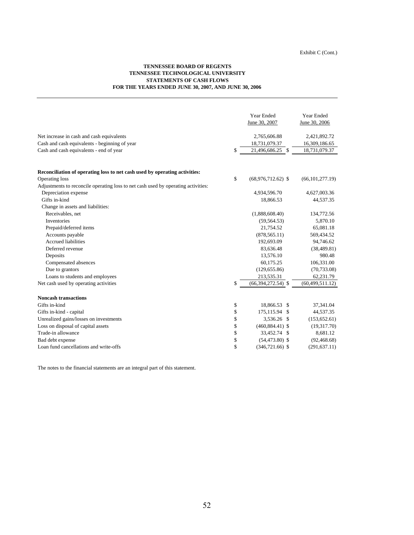#### **TENNESSEE BOARD OF REGENTS TENNESSEE TECHNOLOGICAL UNIVERSITY STATEMENTS OF CASH FLOWS FOR THE YEARS ENDED JUNE 30, 2007, AND JUNE 30, 2006**

|                                                                                   | Year Ended<br>June 30, 2007 | Year Ended<br>June 30, 2006 |
|-----------------------------------------------------------------------------------|-----------------------------|-----------------------------|
| Net increase in cash and cash equivalents                                         | 2,765,606.88                | 2,421,892.72                |
| Cash and cash equivalents - beginning of year                                     | 18,731,079.37               | 16,309,186.65               |
| Cash and cash equivalents - end of year                                           | \$<br>21,496,686.25 \$      | 18,731,079.37               |
| Reconciliation of operating loss to net cash used by operating activities:        |                             |                             |
| Operating loss                                                                    | \$<br>$(68,976,712.62)$ \$  | (66, 101, 277, 19)          |
| Adjustments to reconcile operating loss to net cash used by operating activities: |                             |                             |
| Depreciation expense                                                              | 4,934,596.70                | 4,627,003.36                |
| Gifts in-kind                                                                     | 18,866.53                   | 44,537.35                   |
| Change in assets and liabilities:                                                 |                             |                             |
| Receivables, net                                                                  | (1,888,608.40)              | 134,772.56                  |
| <b>Inventories</b>                                                                | (59, 564.53)                | 5,870.10                    |
| Prepaid/deferred items                                                            | 21,754.52                   | 65,081.18                   |
| Accounts payable                                                                  | (878, 565.11)               | 569,434.52                  |
| <b>Accrued liabilities</b>                                                        | 192,693.09                  | 94,746.62                   |
| Deferred revenue                                                                  | 83,636.48                   | (38, 489.81)                |
| Deposits                                                                          | 13,576.10                   | 980.48                      |
| Compensated absences                                                              | 60,175.25                   | 106,331.00                  |
| Due to grantors                                                                   | (129, 655.86)               | (70, 733.08)                |
| Loans to students and employees                                                   | 213,535.31                  | 62,231.79                   |
| Net cash used by operating activities                                             | \$<br>$(66,394,272.54)$ \$  | (60, 499, 511.12)           |
| <b>Noncash transactions</b>                                                       |                             |                             |
| Gifts in-kind                                                                     | \$<br>18,866.53 \$          | 37,341.04                   |
| Gifts in-kind - capital                                                           | \$<br>175,115.94 \$         | 44,537.35                   |
| Unrealized gains/losses on investments                                            | \$<br>3,536.26 \$           | (153, 652.61)               |
| Loss on disposal of capital assets                                                | \$<br>$(460,884.41)$ \$     | (19,317.70)                 |
| Trade-in allowance                                                                | \$<br>33,452.74 \$          | 8,681.12                    |
| Bad debt expense                                                                  | \$<br>$(54, 473.80)$ \$     | (92, 468.68)                |
| Loan fund cancellations and write-offs                                            | \$<br>$(346, 721.66)$ \$    | (291, 637.11)               |

The notes to the financial statements are an integral part of this statement.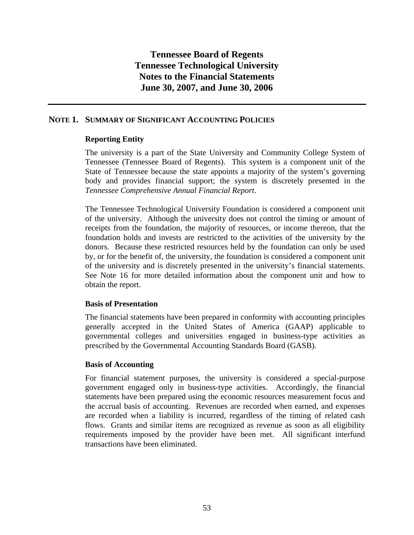## **NOTE 1. SUMMARY OF SIGNIFICANT ACCOUNTING POLICIES**

## **Reporting Entity**

The university is a part of the State University and Community College System of Tennessee (Tennessee Board of Regents). This system is a component unit of the State of Tennessee because the state appoints a majority of the system's governing body and provides financial support; the system is discretely presented in the *Tennessee Comprehensive Annual Financial Report*.

The Tennessee Technological University Foundation is considered a component unit of the university. Although the university does not control the timing or amount of receipts from the foundation, the majority of resources, or income thereon, that the foundation holds and invests are restricted to the activities of the university by the donors. Because these restricted resources held by the foundation can only be used by, or for the benefit of, the university, the foundation is considered a component unit of the university and is discretely presented in the university's financial statements. See Note 16 for more detailed information about the component unit and how to obtain the report.

## **Basis of Presentation**

The financial statements have been prepared in conformity with accounting principles generally accepted in the United States of America (GAAP) applicable to governmental colleges and universities engaged in business-type activities as prescribed by the Governmental Accounting Standards Board (GASB).

## **Basis of Accounting**

For financial statement purposes, the university is considered a special-purpose government engaged only in business-type activities. Accordingly, the financial statements have been prepared using the economic resources measurement focus and the accrual basis of accounting. Revenues are recorded when earned, and expenses are recorded when a liability is incurred, regardless of the timing of related cash flows. Grants and similar items are recognized as revenue as soon as all eligibility requirements imposed by the provider have been met. All significant interfund transactions have been eliminated.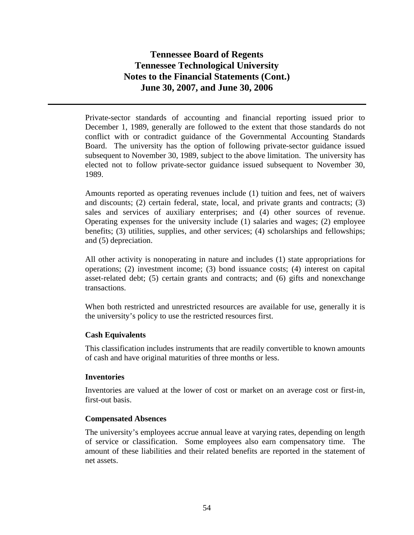Private-sector standards of accounting and financial reporting issued prior to December 1, 1989, generally are followed to the extent that those standards do not conflict with or contradict guidance of the Governmental Accounting Standards Board. The university has the option of following private-sector guidance issued subsequent to November 30, 1989, subject to the above limitation. The university has elected not to follow private-sector guidance issued subsequent to November 30, 1989.

Amounts reported as operating revenues include (1) tuition and fees, net of waivers and discounts; (2) certain federal, state, local, and private grants and contracts; (3) sales and services of auxiliary enterprises; and (4) other sources of revenue. Operating expenses for the university include (1) salaries and wages; (2) employee benefits; (3) utilities, supplies, and other services; (4) scholarships and fellowships; and (5) depreciation.

All other activity is nonoperating in nature and includes (1) state appropriations for operations; (2) investment income; (3) bond issuance costs; (4) interest on capital asset-related debt; (5) certain grants and contracts; and (6) gifts and nonexchange transactions.

When both restricted and unrestricted resources are available for use, generally it is the university's policy to use the restricted resources first.

## **Cash Equivalents**

This classification includes instruments that are readily convertible to known amounts of cash and have original maturities of three months or less.

## **Inventories**

Inventories are valued at the lower of cost or market on an average cost or first-in, first-out basis.

## **Compensated Absences**

The university's employees accrue annual leave at varying rates, depending on length of service or classification. Some employees also earn compensatory time. The amount of these liabilities and their related benefits are reported in the statement of net assets.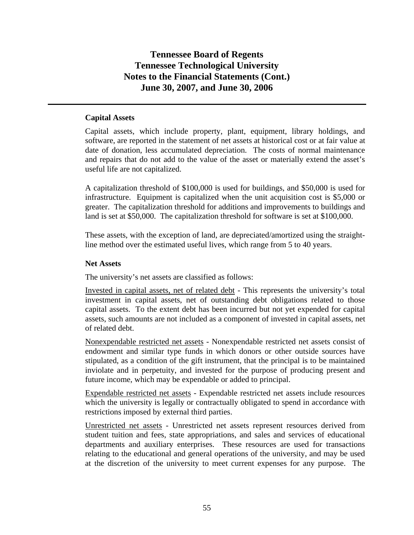## **Capital Assets**

Capital assets, which include property, plant, equipment, library holdings, and software, are reported in the statement of net assets at historical cost or at fair value at date of donation, less accumulated depreciation. The costs of normal maintenance and repairs that do not add to the value of the asset or materially extend the asset's useful life are not capitalized.

A capitalization threshold of \$100,000 is used for buildings, and \$50,000 is used for infrastructure. Equipment is capitalized when the unit acquisition cost is \$5,000 or greater. The capitalization threshold for additions and improvements to buildings and land is set at \$50,000. The capitalization threshold for software is set at \$100,000.

These assets, with the exception of land, are depreciated/amortized using the straightline method over the estimated useful lives, which range from 5 to 40 years.

### **Net Assets**

The university's net assets are classified as follows:

Invested in capital assets, net of related debt - This represents the university's total investment in capital assets, net of outstanding debt obligations related to those capital assets. To the extent debt has been incurred but not yet expended for capital assets, such amounts are not included as a component of invested in capital assets, net of related debt.

Nonexpendable restricted net assets - Nonexpendable restricted net assets consist of endowment and similar type funds in which donors or other outside sources have stipulated, as a condition of the gift instrument, that the principal is to be maintained inviolate and in perpetuity, and invested for the purpose of producing present and future income, which may be expendable or added to principal.

Expendable restricted net assets - Expendable restricted net assets include resources which the university is legally or contractually obligated to spend in accordance with restrictions imposed by external third parties.

Unrestricted net assets - Unrestricted net assets represent resources derived from student tuition and fees, state appropriations, and sales and services of educational departments and auxiliary enterprises. These resources are used for transactions relating to the educational and general operations of the university, and may be used at the discretion of the university to meet current expenses for any purpose. The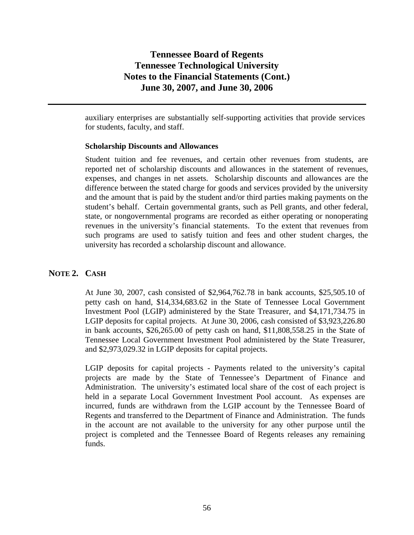auxiliary enterprises are substantially self-supporting activities that provide services for students, faculty, and staff.

### **Scholarship Discounts and Allowances**

Student tuition and fee revenues, and certain other revenues from students, are reported net of scholarship discounts and allowances in the statement of revenues, expenses, and changes in net assets. Scholarship discounts and allowances are the difference between the stated charge for goods and services provided by the university and the amount that is paid by the student and/or third parties making payments on the student's behalf. Certain governmental grants, such as Pell grants, and other federal, state, or nongovernmental programs are recorded as either operating or nonoperating revenues in the university's financial statements. To the extent that revenues from such programs are used to satisfy tuition and fees and other student charges, the university has recorded a scholarship discount and allowance.

### **NOTE 2. CASH**

At June 30, 2007, cash consisted of \$2,964,762.78 in bank accounts, \$25,505.10 of petty cash on hand, \$14,334,683.62 in the State of Tennessee Local Government Investment Pool (LGIP) administered by the State Treasurer, and \$4,171,734.75 in LGIP deposits for capital projects. At June 30, 2006, cash consisted of \$3,923,226.80 in bank accounts, \$26,265.00 of petty cash on hand, \$11,808,558.25 in the State of Tennessee Local Government Investment Pool administered by the State Treasurer, and \$2,973,029.32 in LGIP deposits for capital projects.

LGIP deposits for capital projects - Payments related to the university's capital projects are made by the State of Tennessee's Department of Finance and Administration. The university's estimated local share of the cost of each project is held in a separate Local Government Investment Pool account. As expenses are incurred, funds are withdrawn from the LGIP account by the Tennessee Board of Regents and transferred to the Department of Finance and Administration. The funds in the account are not available to the university for any other purpose until the project is completed and the Tennessee Board of Regents releases any remaining funds.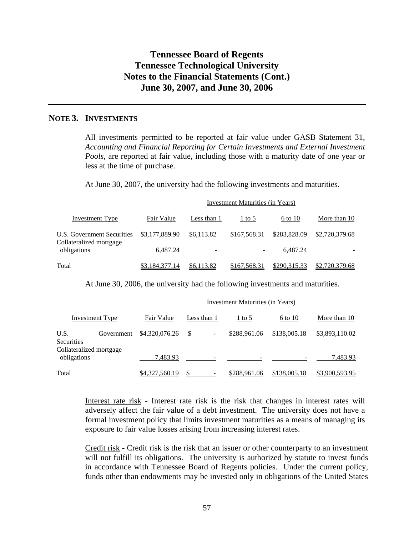## **NOTE 3. INVESTMENTS**

All investments permitted to be reported at fair value under GASB Statement 31, *Accounting and Financial Reporting for Certain Investments and External Investment Pools,* are reported at fair value, including those with a maturity date of one year or less at the time of purchase.

At June 30, 2007, the university had the following investments and maturities.

| Investment Type                                       | Fair Value     | Less than 1 | $1$ to 5     | 6 to 10      | More than 10   |
|-------------------------------------------------------|----------------|-------------|--------------|--------------|----------------|
| U.S. Government Securities<br>Collateralized mortgage | \$3,177,889.90 | \$6,113.82  | \$167,568.31 | \$283,828.09 | \$2,720,379.68 |
| obligations                                           | 6.487.24       |             |              | 6.487.24     |                |
| Total                                                 | \$3,184,377.14 | \$6,113.82  | \$167,568.31 | \$290,315.33 | \$2,720,379.68 |

At June 30, 2006, the university had the following investments and maturities.

|                                        |                 | Investment Maturities (in Years) |             |              |              |                |  |
|----------------------------------------|-----------------|----------------------------------|-------------|--------------|--------------|----------------|--|
|                                        | Investment Type | Fair Value                       | Less than 1 | $1$ to 5     | 6 to 10      | More than 10   |  |
| U.S.<br><b>Securities</b>              | Government      | \$4,320,076.26                   | -S          | \$288,961.06 | \$138,005.18 | \$3,893,110.02 |  |
| Collateralized mortgage<br>obligations |                 | 7,483.93                         |             |              |              | 7,483.93       |  |
| Total                                  |                 | \$4,327,560.19                   |             | \$288,961.06 | \$138,005.18 | \$3,900,593.95 |  |

Interest rate risk - Interest rate risk is the risk that changes in interest rates will adversely affect the fair value of a debt investment. The university does not have a formal investment policy that limits investment maturities as a means of managing its exposure to fair value losses arising from increasing interest rates.

Credit risk - Credit risk is the risk that an issuer or other counterparty to an investment will not fulfill its obligations. The university is authorized by statute to invest funds in accordance with Tennessee Board of Regents policies. Under the current policy, funds other than endowments may be invested only in obligations of the United States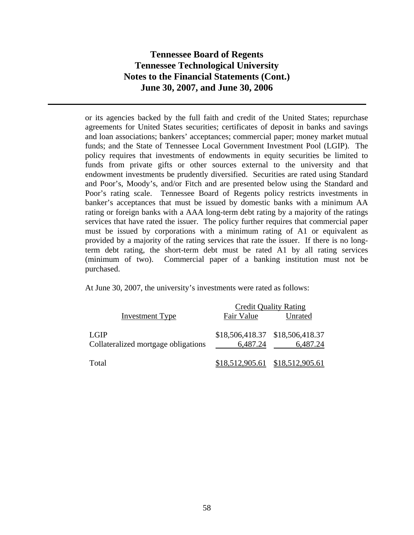or its agencies backed by the full faith and credit of the United States; repurchase agreements for United States securities; certificates of deposit in banks and savings and loan associations; bankers' acceptances; commercial paper; money market mutual funds; and the State of Tennessee Local Government Investment Pool (LGIP). The policy requires that investments of endowments in equity securities be limited to funds from private gifts or other sources external to the university and that endowment investments be prudently diversified. Securities are rated using Standard and Poor's, Moody's, and/or Fitch and are presented below using the Standard and Poor's rating scale. Tennessee Board of Regents policy restricts investments in banker's acceptances that must be issued by domestic banks with a minimum AA rating or foreign banks with a AAA long-term debt rating by a majority of the ratings services that have rated the issuer. The policy further requires that commercial paper must be issued by corporations with a minimum rating of A1 or equivalent as provided by a majority of the rating services that rate the issuer. If there is no longterm debt rating, the short-term debt must be rated A1 by all rating services (minimum of two). Commercial paper of a banking institution must not be purchased.

At June 30, 2007, the university's investments were rated as follows:

|                                     | <b>Credit Quality Rating</b> |                                   |  |  |  |
|-------------------------------------|------------------------------|-----------------------------------|--|--|--|
| <b>Investment Type</b>              | Fair Value                   | Unrated                           |  |  |  |
|                                     |                              |                                   |  |  |  |
| LGIP                                |                              | \$18,506,418.37 \$18,506,418.37   |  |  |  |
| Collateralized mortgage obligations | 6,487.24                     | 6,487.24                          |  |  |  |
|                                     |                              |                                   |  |  |  |
| Total                               |                              | $$18,512,905.61$ $$18,512,905.61$ |  |  |  |
|                                     |                              |                                   |  |  |  |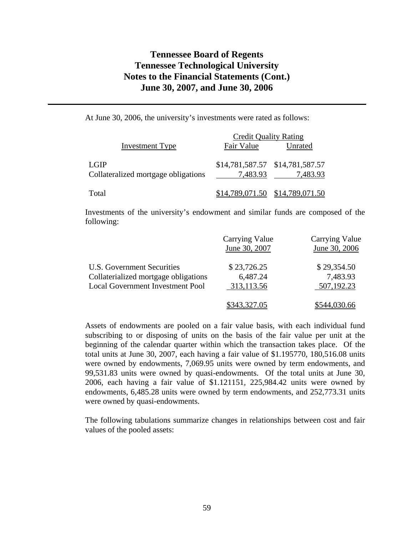At June 30, 2006, the university's investments were rated as follows:

|                                             | <b>Credit Quality Rating</b> |                                             |  |  |
|---------------------------------------------|------------------------------|---------------------------------------------|--|--|
| <b>Investment Type</b>                      | Fair Value                   | Unrated                                     |  |  |
| LGIP<br>Collateralized mortgage obligations | 7,483.93                     | \$14,781,587.57 \$14,781,587.57<br>7,483.93 |  |  |
| Total                                       |                              | $$14,789,071.50$ $$14,789,071.50$           |  |  |

Investments of the university's endowment and similar funds are composed of the following:

|                                         | <b>Carrying Value</b><br>June 30, 2007 | <b>Carrying Value</b><br>June 30, 2006 |
|-----------------------------------------|----------------------------------------|----------------------------------------|
| U.S. Government Securities              | \$23,726.25                            | \$29,354.50                            |
| Collaterialized mortgage obligations    | 6,487.24                               | 7,483.93                               |
| <b>Local Government Investment Pool</b> | 313,113.56                             | 507,192.23                             |
|                                         | \$343,327.05                           |                                        |

Assets of endowments are pooled on a fair value basis, with each individual fund subscribing to or disposing of units on the basis of the fair value per unit at the beginning of the calendar quarter within which the transaction takes place. Of the total units at June 30, 2007, each having a fair value of \$1.195770, 180,516.08 units were owned by endowments, 7,069.95 units were owned by term endowments, and 99,531.83 units were owned by quasi-endowments. Of the total units at June 30, 2006, each having a fair value of \$1.121151, 225,984.42 units were owned by endowments, 6,485.28 units were owned by term endowments, and 252,773.31 units were owned by quasi-endowments.

The following tabulations summarize changes in relationships between cost and fair values of the pooled assets: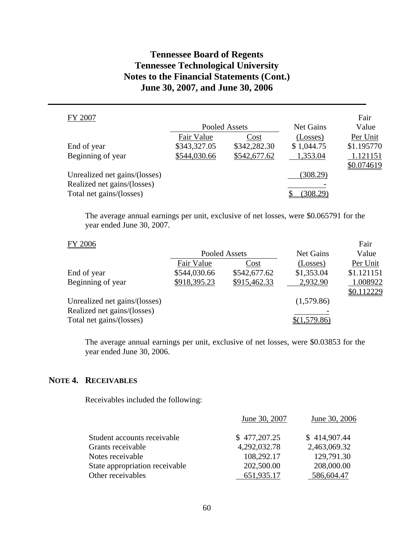| FY 2007                       |              |               |            | Fair       |
|-------------------------------|--------------|---------------|------------|------------|
|                               |              | Pooled Assets | Net Gains  | Value      |
|                               | Fair Value   | Cost          | (Losses)   | Per Unit   |
| End of year                   | \$343,327.05 | \$342,282.30  | \$1,044.75 | \$1.195770 |
| Beginning of year             | \$544,030.66 | \$542,677.62  | 1,353.04   | 1.121151   |
|                               |              |               |            | \$0.074619 |
| Unrealized net gains/(losses) |              |               | (308.29)   |            |
| Realized net gains/(losses)   |              |               |            |            |
| Total net gains/(losses)      |              |               | 308.29     |            |

The average annual earnings per unit, exclusive of net losses, were \$0.065791 for the year ended June 30, 2007.

Fair

## FY 2006

|                               |              | Pooled Assets | <b>Net Gains</b> | Value      |
|-------------------------------|--------------|---------------|------------------|------------|
|                               | Fair Value   | Cost          | (Losses)         | Per Unit   |
| End of year                   | \$544,030.66 | \$542,677.62  | \$1,353.04       | \$1.121151 |
| Beginning of year             | \$918,395.23 | \$915,462.33  | 2,932.90         | 1.008922   |
|                               |              |               |                  | \$0.112229 |
| Unrealized net gains/(losses) |              |               | (1,579.86)       |            |
| Realized net gains/(losses)   |              |               |                  |            |
| Total net gains/(losses)      |              |               | \$(1,579.86)     |            |

The average annual earnings per unit, exclusive of net losses, were \$0.03853 for the year ended June 30, 2006.

## **NOTE 4. RECEIVABLES**

Receivables included the following:

|                                | June 30, 2007 | June 30, 2006 |
|--------------------------------|---------------|---------------|
| Student accounts receivable    | \$477,207.25  | \$414,907.44  |
| Grants receivable              | 4,292,032.78  | 2,463,069.32  |
| Notes receivable               | 108,292.17    | 129,791.30    |
| State appropriation receivable | 202,500.00    | 208,000.00    |
| Other receivables              | 651,935.17    | 586,604.47    |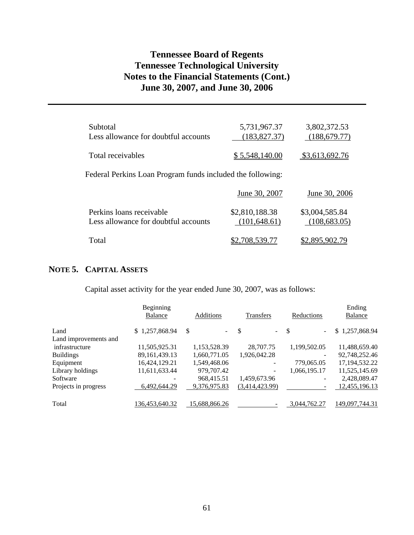| Subtotal<br>Less allowance for doubtful accounts                 | 5,731,967.37<br>(183, 827.37)   | 3,802,372.53<br>(188, 679.77)   |
|------------------------------------------------------------------|---------------------------------|---------------------------------|
| Total receivables                                                | <u>\$5,548,140.00</u>           | \$3,613,692.76                  |
| Federal Perkins Loan Program funds included the following:       |                                 |                                 |
|                                                                  | June 30, 2007                   | June 30, 2006                   |
| Perkins loans receivable<br>Less allowance for doubtful accounts | \$2,810,188.38<br>(101, 648.61) | \$3,004,585.84<br>(108, 683.05) |
| Total                                                            | 708.339.77                      | \$2,895,902.                    |

## **NOTE 5. CAPITAL ASSETS**

Capital asset activity for the year ended June 30, 2007, was as follows:

|                       | Beginning<br><b>Balance</b> | Additions     | <b>Transfers</b>              | Reductions                                | Ending<br>Balance |
|-----------------------|-----------------------------|---------------|-------------------------------|-------------------------------------------|-------------------|
| Land                  | \$1,257,868.94              | \$            | S<br>$\overline{\phantom{0}}$ | $\mathcal{S}$<br>$\overline{\phantom{a}}$ | \$1,257,868.94    |
| Land improvements and |                             |               |                               |                                           |                   |
| infrastructure        | 11,505,925.31               | 1,153,528.39  | 28,707.75                     | 1,199,502.05                              | 11,488,659.40     |
| <b>Buildings</b>      | 89, 161, 439. 13            | 1,660,771.05  | 1,926,042.28                  | $\overline{\phantom{a}}$                  | 92,748,252.46     |
| Equipment             | 16,424,129.21               | 1,549,468.06  | -                             | 779,065.05                                | 17, 194, 532. 22  |
| Library holdings      | 11,611,633.44               | 979,707.42    |                               | 1,066,195.17                              | 11,525,145.69     |
| Software              |                             | 968,415.51    | 1,459,673.96                  | $\overline{\phantom{a}}$                  | 2,428,089.47      |
| Projects in progress  | 6,492,644.29                | 9,376,975.83  | (3,414,423.99)                |                                           | 12,455,196.13     |
| Total                 | 136,453,640.32              | 15,688,866.26 |                               | 3,044,762.27                              | 149,097,744.31    |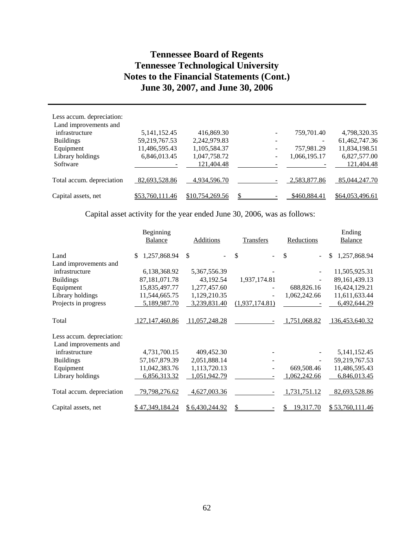| Less accum. depreciation: |                 |                 |              |                 |
|---------------------------|-----------------|-----------------|--------------|-----------------|
| Land improvements and     |                 |                 |              |                 |
| infrastructure            | 5, 141, 152. 45 | 416,869.30      | 759,701.40   | 4,798,320.35    |
| <b>Buildings</b>          | 59,219,767.53   | 2,242,979.83    | -            | 61,462,747.36   |
| Equipment                 | 11,486,595.43   | 1,105,584.37    | 757,981.29   | 11,834,198.51   |
| Library holdings          | 6,846,013.45    | 1,047,758.72    | 1,066,195.17 | 6,827,577.00    |
| Software                  |                 | 121,404.48      |              | 121,404.48      |
| Total accum. depreciation | 82,693,528.86   | 4,934,596.70    | 2,583,877.86 | 85,044,247.70   |
| Capital assets, net       | \$53,760,111.46 | \$10,754,269.56 | \$460,884.41 | \$64,053,496.61 |

Capital asset activity for the year ended June 30, 2006, was as follows:

|                           | Beginning          |                |                |                  | Ending             |
|---------------------------|--------------------|----------------|----------------|------------------|--------------------|
|                           | <b>Balance</b>     | Additions      | Transfers      | Reductions       | <b>Balance</b>     |
| Land                      | 1,257,868.94<br>\$ | \$             | \$             | \$               | \$<br>1,257,868.94 |
| Land improvements and     |                    |                |                |                  |                    |
| infrastructure            | 6,138,368.92       | 5,367,556.39   |                |                  | 11,505,925.31      |
| <b>Buildings</b>          | 87, 181, 071. 78   | 43,192.54      | 1,937,174.81   |                  | 89, 161, 439. 13   |
| Equipment                 | 15,835,497.77      | 1,277,457.60   |                | 688,826.16       | 16,424,129.21      |
| Library holdings          | 11,544,665.75      | 1,129,210.35   |                | 1,062,242.66     | 11,611,633.44      |
| Projects in progress      | 5,189,987.70       | 3,239,831.40   | (1,937,174.81) |                  | 6,492,644.29       |
| Total                     | 127, 147, 460.86   | 11,057,248.28  |                | 1,751,068.82     | 136,453,640.32     |
| Less accum. depreciation: |                    |                |                |                  |                    |
| Land improvements and     |                    |                |                |                  |                    |
| infrastructure            | 4,731,700.15       | 409,452.30     |                |                  | 5, 141, 152. 45    |
| <b>Buildings</b>          | 57,167,879.39      | 2,051,888.14   |                |                  | 59,219,767.53      |
| Equipment                 | 11,042,383.76      | 1,113,720.13   |                | 669,508.46       | 11,486,595.43      |
| Library holdings          | 6,856,313.32       | 1,051,942.79   |                | 1,062,242.66     | 6,846,013.45       |
| Total accum. depreciation | 79,798,276.62      | 4,627,003.36   |                | 1,731,751.12     | 82,693,528.86      |
| Capital assets, net       | \$47,349,184.24    | \$6,430,244.92 |                | <u>19,317.70</u> | \$53,760,111.46    |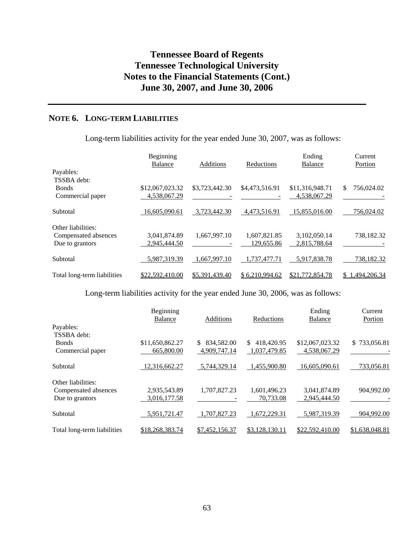## **NOTE 6. LONG-TERM LIABILITIES**

Long-term liabilities activity for the year ended June 30, 2007, was as follows:

|                                                               | Beginning<br><b>Balance</b>     | Additions      | Reductions                 | Ending<br><b>Balance</b>        | Current<br>Portion |
|---------------------------------------------------------------|---------------------------------|----------------|----------------------------|---------------------------------|--------------------|
| Payables:<br>TSSBA debt:<br><b>Bonds</b><br>Commercial paper  | \$12,067,023.32<br>4,538,067.29 | \$3,723,442.30 | \$4,473,516.91             | \$11,316,948.71<br>4,538,067.29 | \$<br>756,024.02   |
| Subtotal                                                      | 16,605,090.61                   | 3,723,442.30   | 4,473,516.91               | 15,855,016.00                   | 756,024.02         |
| Other liabilities:<br>Compensated absences<br>Due to grantors | 3,041,874.89<br>2,945,444.50    | 1,667,997.10   | 1,607,821.85<br>129,655.86 | 3,102,050.14<br>2,815,788.64    | 738,182.32         |
| Subtotal                                                      | 5,987,319.39                    | 1,667,997.10   | ,737,477.71                | 5,917,838.78                    | 738,182.32         |
| Total long-term liabilities                                   | \$22,592,410.00                 | \$5,391,439.40 | \$6.210.994.62             | \$21,772,854.78                 | 1,494,206.34<br>S. |

Long-term liabilities activity for the year ended June 30, 2006, was as follows:

|                             | Beginning       |                   |                  | Ending          | Current        |
|-----------------------------|-----------------|-------------------|------------------|-----------------|----------------|
|                             | Balance         | Additions         | Reductions       | Balance         | Portion        |
| Payables:                   |                 |                   |                  |                 |                |
| TSSBA debt:                 |                 |                   |                  |                 |                |
| <b>Bonds</b>                | \$11,650,862.27 | 834,582.00<br>\$. | 418,420.95<br>\$ | \$12,067,023.32 | \$733,056.81   |
| Commercial paper            | 665,800.00      | 4,909,747.14      | 1,037,479.85     | 4,538,067.29    |                |
| Subtotal                    | 12.316.662.27   | 5,744,329.14      | 1,455,900.80     | 16,605,090.61   | 733,056.81     |
| Other liabilities:          |                 |                   |                  |                 |                |
| Compensated absences        | 2,935,543.89    | 1,707,827.23      | 1,601,496.23     | 3,041,874.89    | 904,992.00     |
| Due to grantors             | 3,016,177.58    |                   | 70,733.08        | 2,945,444.50    |                |
| Subtotal                    | 5,951,721.47    | 1,707,827.23      | 1,672,229.31     | 5,987,319.39    | 904,992.00     |
| Total long-term liabilities | \$18,268,383.74 | \$7,452,156.37    | \$3,128,130.11   | \$22,592,410.00 | \$1,638,048.81 |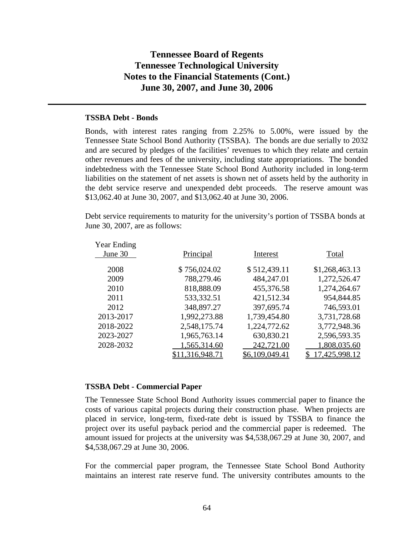### **TSSBA Debt - Bonds**

Bonds, with interest rates ranging from 2.25% to 5.00%, were issued by the Tennessee State School Bond Authority (TSSBA). The bonds are due serially to 2032 and are secured by pledges of the facilities' revenues to which they relate and certain other revenues and fees of the university, including state appropriations. The bonded indebtedness with the Tennessee State School Bond Authority included in long-term liabilities on the statement of net assets is shown net of assets held by the authority in the debt service reserve and unexpended debt proceeds. The reserve amount was \$13,062.40 at June 30, 2007, and \$13,062.40 at June 30, 2006.

Debt service requirements to maturity for the university's portion of TSSBA bonds at June 30, 2007, are as follows:

| <b>Year Ending</b> |               |                |                |
|--------------------|---------------|----------------|----------------|
| June 30            | Principal     | Interest       | Total          |
|                    |               |                |                |
| 2008               | \$756,024.02  | \$512,439.11   | \$1,268,463.13 |
| 2009               | 788,279.46    | 484,247.01     | 1,272,526.47   |
| 2010               | 818,888.09    | 455,376.58     | 1,274,264.67   |
| 2011               | 533,332.51    | 421,512.34     | 954,844.85     |
| 2012               | 348,897.27    | 397,695.74     | 746,593.01     |
| 2013-2017          | 1,992,273.88  | 1,739,454.80   | 3,731,728.68   |
| 2018-2022          | 2,548,175.74  | 1,224,772.62   | 3,772,948.36   |
| 2023-2027          | 1,965,763.14  | 630,830.21     | 2,596,593.35   |
| 2028-2032          | 1,565,314.60  | 242,721.00     | 1,808,035.60   |
|                    | 11,316,948.71 | \$6,109,049.41 | 17,425,998.12  |
|                    |               |                |                |

### **TSSBA Debt - Commercial Paper**

The Tennessee State School Bond Authority issues commercial paper to finance the costs of various capital projects during their construction phase. When projects are placed in service, long-term, fixed-rate debt is issued by TSSBA to finance the project over its useful payback period and the commercial paper is redeemed. The amount issued for projects at the university was \$4,538,067.29 at June 30, 2007, and \$4,538,067.29 at June 30, 2006.

For the commercial paper program, the Tennessee State School Bond Authority maintains an interest rate reserve fund. The university contributes amounts to the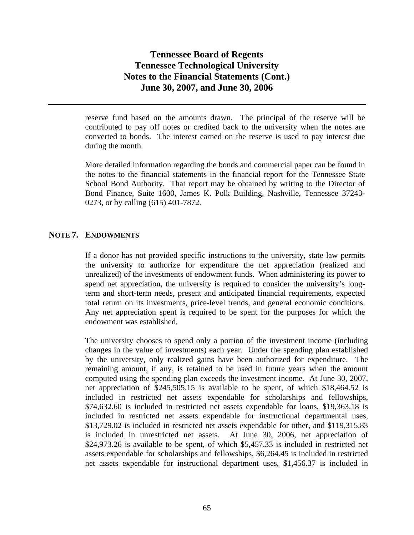reserve fund based on the amounts drawn. The principal of the reserve will be contributed to pay off notes or credited back to the university when the notes are converted to bonds. The interest earned on the reserve is used to pay interest due during the month.

More detailed information regarding the bonds and commercial paper can be found in the notes to the financial statements in the financial report for the Tennessee State School Bond Authority. That report may be obtained by writing to the Director of Bond Finance, Suite 1600, James K. Polk Building, Nashville, Tennessee 37243- 0273, or by calling (615) 401-7872.

## **NOTE 7. ENDOWMENTS**

If a donor has not provided specific instructions to the university, state law permits the university to authorize for expenditure the net appreciation (realized and unrealized) of the investments of endowment funds. When administering its power to spend net appreciation, the university is required to consider the university's longterm and short-term needs, present and anticipated financial requirements, expected total return on its investments, price-level trends, and general economic conditions. Any net appreciation spent is required to be spent for the purposes for which the endowment was established.

The university chooses to spend only a portion of the investment income (including changes in the value of investments) each year. Under the spending plan established by the university, only realized gains have been authorized for expenditure. The remaining amount, if any, is retained to be used in future years when the amount computed using the spending plan exceeds the investment income. At June 30, 2007, net appreciation of \$245,505.15 is available to be spent, of which \$18,464.52 is included in restricted net assets expendable for scholarships and fellowships, \$74,632.60 is included in restricted net assets expendable for loans, \$19,363.18 is included in restricted net assets expendable for instructional departmental uses, \$13,729.02 is included in restricted net assets expendable for other, and \$119,315.83 is included in unrestricted net assets. At June 30, 2006, net appreciation of \$24,973.26 is available to be spent, of which \$5,457.33 is included in restricted net assets expendable for scholarships and fellowships, \$6,264.45 is included in restricted net assets expendable for instructional department uses, \$1,456.37 is included in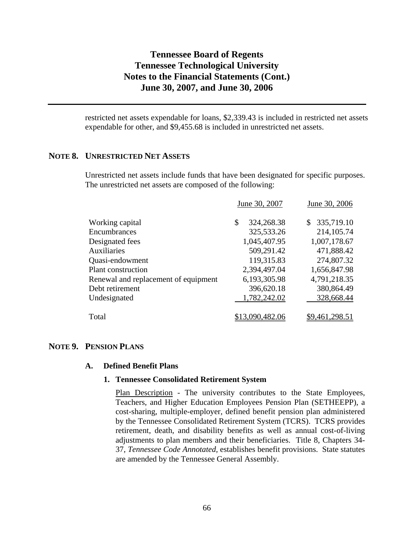restricted net assets expendable for loans, \$2,339.43 is included in restricted net assets expendable for other, and \$9,455.68 is included in unrestricted net assets.

### **NOTE 8. UNRESTRICTED NET ASSETS**

Unrestricted net assets include funds that have been designated for specific purposes. The unrestricted net assets are composed of the following:

|                  | June 30, 2006    |
|------------------|------------------|
| \$<br>324,268.38 | 335,719.10<br>S. |
| 325,533.26       | 214, 105.74      |
| 1,045,407.95     | 1,007,178.67     |
| 509,291.42       | 471,888.42       |
| 119,315.83       | 274,807.32       |
| 2,394,497.04     | 1,656,847.98     |
| 6,193,305.98     | 4,791,218.35     |
| 396,620.18       | 380,864.49       |
| 1,782,242.02     | 328,668.44       |
|                  |                  |
|                  | June 30, 2007    |

### **NOTE 9. PENSION PLANS**

#### **A. Defined Benefit Plans**

#### **1. Tennessee Consolidated Retirement System**

Plan Description - The university contributes to the State Employees, Teachers, and Higher Education Employees Pension Plan (SETHEEPP), a cost-sharing, multiple-employer, defined benefit pension plan administered by the Tennessee Consolidated Retirement System (TCRS). TCRS provides retirement, death, and disability benefits as well as annual cost-of-living adjustments to plan members and their beneficiaries. Title 8, Chapters 34- 37, *Tennessee Code Annotated,* establishes benefit provisions. State statutes are amended by the Tennessee General Assembly.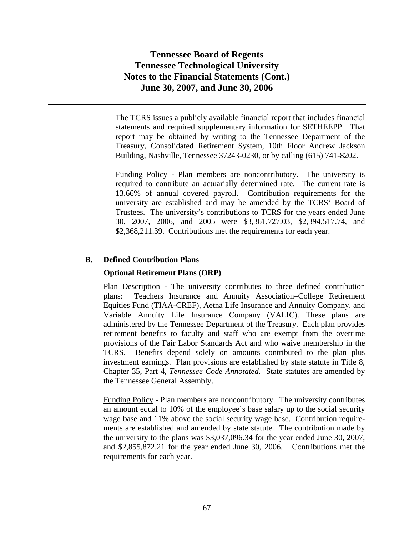The TCRS issues a publicly available financial report that includes financial statements and required supplementary information for SETHEEPP. That report may be obtained by writing to the Tennessee Department of the Treasury, Consolidated Retirement System, 10th Floor Andrew Jackson Building, Nashville, Tennessee 37243-0230, or by calling (615) 741-8202.

Funding Policy - Plan members are noncontributory. The university is required to contribute an actuarially determined rate. The current rate is 13.66% of annual covered payroll. Contribution requirements for the university are established and may be amended by the TCRS' Board of Trustees. The university's contributions to TCRS for the years ended June 30, 2007, 2006, and 2005 were \$3,361,727.03, \$2,394,517.74, and \$2,368,211.39. Contributions met the requirements for each year.

### **B. Defined Contribution Plans**

#### **Optional Retirement Plans (ORP)**

Plan Description - The university contributes to three defined contribution plans: Teachers Insurance and Annuity Association–College Retirement Equities Fund (TIAA-CREF), Aetna Life Insurance and Annuity Company, and Variable Annuity Life Insurance Company (VALIC). These plans are administered by the Tennessee Department of the Treasury. Each plan provides retirement benefits to faculty and staff who are exempt from the overtime provisions of the Fair Labor Standards Act and who waive membership in the TCRS. Benefits depend solely on amounts contributed to the plan plus investment earnings. Plan provisions are established by state statute in Title 8, Chapter 35, Part 4, *Tennessee Code Annotated.* State statutes are amended by the Tennessee General Assembly.

Funding Policy - Plan members are noncontributory. The university contributes an amount equal to 10% of the employee's base salary up to the social security wage base and 11% above the social security wage base. Contribution requirements are established and amended by state statute. The contribution made by the university to the plans was \$3,037,096.34 for the year ended June 30, 2007, and \$2,855,872.21 for the year ended June 30, 2006. Contributions met the requirements for each year.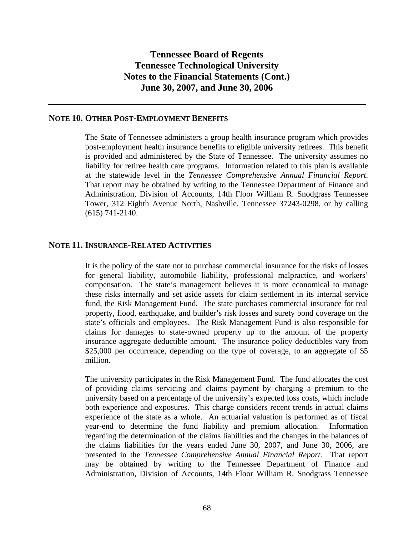#### **NOTE 10. OTHER POST-EMPLOYMENT BENEFITS**

The State of Tennessee administers a group health insurance program which provides post-employment health insurance benefits to eligible university retirees. This benefit is provided and administered by the State of Tennessee. The university assumes no liability for retiree health care programs. Information related to this plan is available at the statewide level in the *Tennessee Comprehensive Annual Financial Report*. That report may be obtained by writing to the Tennessee Department of Finance and Administration, Division of Accounts, 14th Floor William R. Snodgrass Tennessee Tower, 312 Eighth Avenue North, Nashville, Tennessee 37243-0298, or by calling (615) 741-2140.

### **NOTE 11. INSURANCE-RELATED ACTIVITIES**

It is the policy of the state not to purchase commercial insurance for the risks of losses for general liability, automobile liability, professional malpractice, and workers' compensation. The state's management believes it is more economical to manage these risks internally and set aside assets for claim settlement in its internal service fund, the Risk Management Fund. The state purchases commercial insurance for real property, flood, earthquake, and builder's risk losses and surety bond coverage on the state's officials and employees. The Risk Management Fund is also responsible for claims for damages to state-owned property up to the amount of the property insurance aggregate deductible amount. The insurance policy deductibles vary from \$25,000 per occurrence, depending on the type of coverage, to an aggregate of \$5 million.

The university participates in the Risk Management Fund. The fund allocates the cost of providing claims servicing and claims payment by charging a premium to the university based on a percentage of the university's expected loss costs, which include both experience and exposures. This charge considers recent trends in actual claims experience of the state as a whole. An actuarial valuation is performed as of fiscal year-end to determine the fund liability and premium allocation. Information regarding the determination of the claims liabilities and the changes in the balances of the claims liabilities for the years ended June 30, 2007, and June 30, 2006, are presented in the *Tennessee Comprehensive Annual Financial Report*. That report may be obtained by writing to the Tennessee Department of Finance and Administration, Division of Accounts, 14th Floor William R. Snodgrass Tennessee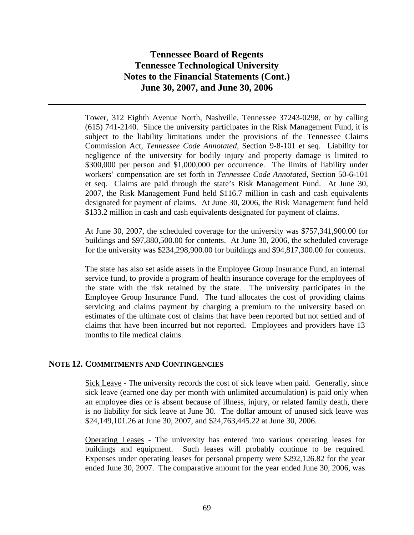Tower, 312 Eighth Avenue North, Nashville, Tennessee 37243-0298, or by calling (615) 741-2140. Since the university participates in the Risk Management Fund, it is subject to the liability limitations under the provisions of the Tennessee Claims Commission Act, *Tennessee Code Annotated,* Section 9-8-101 et seq. Liability for negligence of the university for bodily injury and property damage is limited to \$300,000 per person and \$1,000,000 per occurrence. The limits of liability under workers' compensation are set forth in *Tennessee Code Annotated,* Section 50-6-101 et seq. Claims are paid through the state's Risk Management Fund. At June 30, 2007, the Risk Management Fund held \$116.7 million in cash and cash equivalents designated for payment of claims. At June 30, 2006, the Risk Management fund held \$133.2 million in cash and cash equivalents designated for payment of claims.

At June 30, 2007, the scheduled coverage for the university was \$757,341,900.00 for buildings and \$97,880,500.00 for contents. At June 30, 2006, the scheduled coverage for the university was \$234,298,900.00 for buildings and \$94,817,300.00 for contents.

The state has also set aside assets in the Employee Group Insurance Fund, an internal service fund, to provide a program of health insurance coverage for the employees of the state with the risk retained by the state. The university participates in the Employee Group Insurance Fund. The fund allocates the cost of providing claims servicing and claims payment by charging a premium to the university based on estimates of the ultimate cost of claims that have been reported but not settled and of claims that have been incurred but not reported. Employees and providers have 13 months to file medical claims.

### **NOTE 12. COMMITMENTS AND CONTINGENCIES**

Sick Leave - The university records the cost of sick leave when paid. Generally, since sick leave (earned one day per month with unlimited accumulation) is paid only when an employee dies or is absent because of illness, injury, or related family death, there is no liability for sick leave at June 30. The dollar amount of unused sick leave was \$24,149,101.26 at June 30, 2007, and \$24,763,445.22 at June 30, 2006.

Operating Leases - The university has entered into various operating leases for buildings and equipment. Such leases will probably continue to be required. Expenses under operating leases for personal property were \$292,126.82 for the year ended June 30, 2007. The comparative amount for the year ended June 30, 2006, was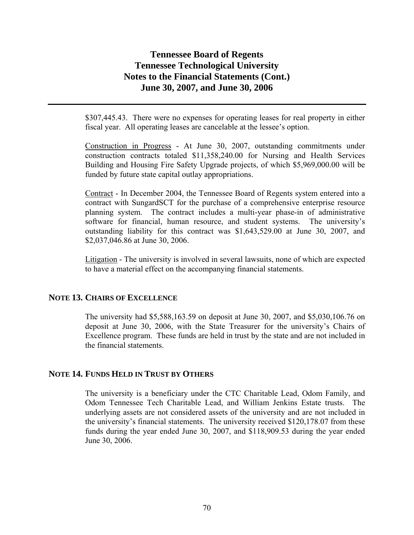\$307,445.43. There were no expenses for operating leases for real property in either fiscal year. All operating leases are cancelable at the lessee's option.

Construction in Progress - At June 30, 2007, outstanding commitments under construction contracts totaled \$11,358,240.00 for Nursing and Health Services Building and Housing Fire Safety Upgrade projects, of which \$5,969,000.00 will be funded by future state capital outlay appropriations.

Contract - In December 2004, the Tennessee Board of Regents system entered into a contract with SungardSCT for the purchase of a comprehensive enterprise resource planning system. The contract includes a multi-year phase-in of administrative software for financial, human resource, and student systems. The university's outstanding liability for this contract was \$1,643,529.00 at June 30, 2007, and \$2,037,046.86 at June 30, 2006.

Litigation - The university is involved in several lawsuits, none of which are expected to have a material effect on the accompanying financial statements.

### **NOTE 13. CHAIRS OF EXCELLENCE**

The university had \$5,588,163.59 on deposit at June 30, 2007, and \$5,030,106.76 on deposit at June 30, 2006, with the State Treasurer for the university's Chairs of Excellence program. These funds are held in trust by the state and are not included in the financial statements.

### **NOTE 14. FUNDS HELD IN TRUST BY OTHERS**

The university is a beneficiary under the CTC Charitable Lead, Odom Family, and Odom Tennessee Tech Charitable Lead, and William Jenkins Estate trusts. The underlying assets are not considered assets of the university and are not included in the university's financial statements. The university received \$120,178.07 from these funds during the year ended June 30, 2007, and \$118,909.53 during the year ended June 30, 2006.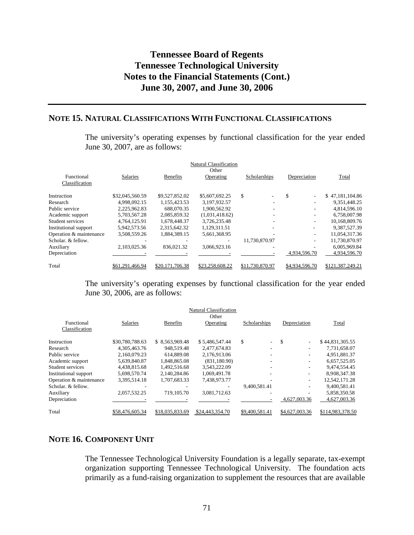### **NOTE 15. NATURAL CLASSIFICATIONS WITH FUNCTIONAL CLASSIFICATIONS**

The university's operating expenses by functional classification for the year ended June 30, 2007, are as follows:

| Natural Classification  |                 |                 |                 |                 |                          |                  |  |  |
|-------------------------|-----------------|-----------------|-----------------|-----------------|--------------------------|------------------|--|--|
|                         |                 |                 | Other           |                 |                          |                  |  |  |
| Functional              | Salaries        | <b>Benefits</b> | Operating       | Scholarships    | Depreciation             | Total            |  |  |
| Classification          |                 |                 |                 |                 |                          |                  |  |  |
| Instruction             | \$32,045,560.59 | \$9,527,852.02  | \$5,607,692.25  | \$              | \$<br>$\sim$             | \$47,181,104.86  |  |  |
| Research                | 4.998.092.15    | 1.155.423.53    | 3,197,932.57    |                 |                          | 9.351.448.25     |  |  |
| Public service          | 2.225.962.83    | 688,070.35      | 1.900.562.92    |                 |                          | 4,814,596.10     |  |  |
| Academic support        | 5,703,567.28    | 2,085,859.32    | (1,031,418.62)  |                 | $\overline{\phantom{a}}$ | 6,758,007.98     |  |  |
| Student services        | 4.764.125.91    | 1,678,448.37    | 3,726,235.48    |                 | $\overline{\phantom{a}}$ | 10,168,809.76    |  |  |
| Institutional support   | 5,942,573.56    | 2.315.642.32    | 1,129,311.51    |                 |                          | 9,387,527.39     |  |  |
| Operation & maintenance | 3,508,559.26    | 1,884,389.15    | 5,661,368.95    |                 | $\overline{\phantom{a}}$ | 11,054,317.36    |  |  |
| Scholar, & fellow.      |                 |                 |                 | 11.730.870.97   | $\overline{\phantom{a}}$ | 11,730,870.97    |  |  |
| Auxiliary               | 2.103.025.36    | 836,021.32      | 3.066.923.16    |                 |                          | 6,005,969.84     |  |  |
| Depreciation            |                 |                 |                 |                 | 4.934.596.70             | 4,934,596.70     |  |  |
| Total                   | \$61.291.466.94 | \$20,171,706.38 | \$23,258,608.22 | \$11,730,870.97 | \$4,934,596.70           | \$121,387,249.21 |  |  |

The university's operating expenses by functional classification for the year ended June 30, 2006, are as follows:

|                         |                 |                 | <b>Natural Classification</b> |                                |                          |                  |
|-------------------------|-----------------|-----------------|-------------------------------|--------------------------------|--------------------------|------------------|
|                         |                 |                 | Other                         |                                |                          |                  |
| Functional              | Salaries        | <b>Benefits</b> | Operating                     | Scholarships                   | Depreciation             | Total            |
| Classification          |                 |                 |                               |                                |                          |                  |
| Instruction             | \$30,780,788.63 | \$8.563,969.48  | \$5,486,547.44                | \$<br>$\overline{\phantom{0}}$ | \$<br>۰                  | \$44,831,305.55  |
| Research                | 4.305.463.76    | 948.519.48      | 2.477.674.83                  |                                |                          | 7,731,658.07     |
| Public service          | 2.160.079.23    | 614,889.08      | 2.176.913.06                  |                                | -                        | 4,951,881.37     |
| Academic support        | 5,639,840.87    | 1,848,865.08    | (831, 180.90)                 |                                | ۰                        | 6,657,525.05     |
| Student services        | 4,438,815.68    | 1,492,516.68    | 3,543,222.09                  |                                | -                        | 9,474,554.45     |
| Institutional support   | 5,698,570.74    | 2,140,284.86    | 1.069.491.78                  |                                | ۰                        | 8,908,347.38     |
| Operation & maintenance | 3.395.514.18    | 1.707.683.33    | 7.438.973.77                  |                                | ۰                        | 12,542,171.28    |
| Scholar, & fellow.      |                 |                 |                               | 9,400,581.41                   | $\overline{\phantom{a}}$ | 9,400,581.41     |
| Auxiliary               | 2,057,532.25    | 719, 105.70     | 3,081,712.63                  |                                |                          | 5,858,350.58     |
| Depreciation            |                 |                 |                               |                                | 4,627,003.36             | 4,627,003.36     |
| Total                   | \$58,476,605.34 | \$18,035,833.69 | \$24,443,354.70               | \$9,400,581.41                 | \$4,627,003.36           | \$114,983,378.50 |

### **NOTE 16. COMPONENT UNIT**

The Tennessee Technological University Foundation is a legally separate, tax-exempt organization supporting Tennessee Technological University. The foundation acts primarily as a fund-raising organization to supplement the resources that are available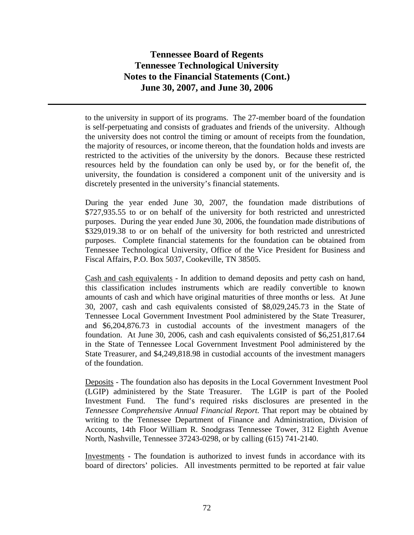to the university in support of its programs. The 27-member board of the foundation is self-perpetuating and consists of graduates and friends of the university. Although the university does not control the timing or amount of receipts from the foundation, the majority of resources, or income thereon, that the foundation holds and invests are restricted to the activities of the university by the donors. Because these restricted resources held by the foundation can only be used by, or for the benefit of, the university, the foundation is considered a component unit of the university and is discretely presented in the university's financial statements.

During the year ended June 30, 2007, the foundation made distributions of \$727,935.55 to or on behalf of the university for both restricted and unrestricted purposes. During the year ended June 30, 2006, the foundation made distributions of \$329,019.38 to or on behalf of the university for both restricted and unrestricted purposes. Complete financial statements for the foundation can be obtained from Tennessee Technological University, Office of the Vice President for Business and Fiscal Affairs, P.O. Box 5037, Cookeville, TN 38505.

Cash and cash equivalents - In addition to demand deposits and petty cash on hand, this classification includes instruments which are readily convertible to known amounts of cash and which have original maturities of three months or less. At June 30, 2007, cash and cash equivalents consisted of \$8,029,245.73 in the State of Tennessee Local Government Investment Pool administered by the State Treasurer, and \$6,204,876.73 in custodial accounts of the investment managers of the foundation. At June 30, 2006, cash and cash equivalents consisted of \$6,251,817.64 in the State of Tennessee Local Government Investment Pool administered by the State Treasurer, and \$4,249,818.98 in custodial accounts of the investment managers of the foundation.

Deposits - The foundation also has deposits in the Local Government Investment Pool (LGIP) administered by the State Treasurer. The LGIP is part of the Pooled Investment Fund. The fund's required risks disclosures are presented in the *Tennessee Comprehensive Annual Financial Report.* That report may be obtained by writing to the Tennessee Department of Finance and Administration, Division of Accounts, 14th Floor William R. Snodgrass Tennessee Tower, 312 Eighth Avenue North, Nashville, Tennessee 37243-0298, or by calling (615) 741-2140.

Investments - The foundation is authorized to invest funds in accordance with its board of directors' policies. All investments permitted to be reported at fair value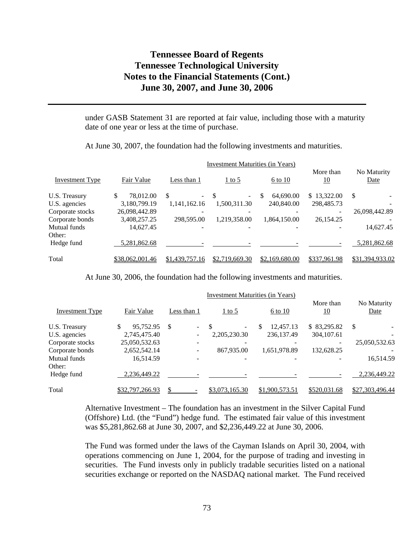under GASB Statement 31 are reported at fair value, including those with a maturity date of one year or less at the time of purchase.

At June 30, 2007, the foundation had the following investments and maturities.

|                  |                 | <b>Investment Maturities (in Years)</b> |                             |                |                        |                     |
|------------------|-----------------|-----------------------------------------|-----------------------------|----------------|------------------------|---------------------|
| Investment Type  | Fair Value      | Less than 1                             | $\frac{1 \text{ to } 5}{2}$ | $6$ to $10$    | More than<br><u>10</u> | No Maturity<br>Date |
| U.S. Treasury    | \$<br>78,012.00 | \$.<br>$\sim$                           | -S<br>-                     | 64,690.00<br>S | \$13,322.00            | \$                  |
| U.S. agencies    | 3,180,799.19    | 1,141,162.16                            | 1,500,311.30                | 240,840.00     | 298,485.73             |                     |
| Corporate stocks | 26,098,442.89   |                                         |                             |                |                        | 26,098,442.89       |
| Corporate bonds  | 3,408,257.25    | 298,595.00                              | 1,219,358.00                | 1,864,150.00   | 26,154.25              |                     |
| Mutual funds     | 14,627.45       | $\overline{\phantom{0}}$                |                             |                |                        | 14,627.45           |
| Other:           |                 |                                         |                             |                |                        |                     |
| Hedge fund       | 5,281,862.68    |                                         |                             |                |                        | 5,281,862.68        |
| Total            | \$38,062,001.46 | \$1,439,757.16                          | \$2,719,669.30              | \$2,169,680.00 | \$337,961.98           | \$31,394,933.02     |

At June 30, 2006, the foundation had the following investments and maturities.

| <b>Investment Type</b> | Fair Value      | Less than 1            | $1$ to 5       | 6 to 10         | More than<br>10 | No Maturity<br>Date |
|------------------------|-----------------|------------------------|----------------|-----------------|-----------------|---------------------|
| U.S. Treasury          | 95.752.95       | $\mathbb{S}$<br>$\sim$ | $\sim$         | \$<br>12.457.13 | \$ 83,295.82    | <sup>\$</sup>       |
| U.S. agencies          | 2,745,475.40    |                        | 2,205,230.30   | 236, 137. 49    | 304,107.61      |                     |
| Corporate stocks       | 25,050,532.63   |                        |                |                 |                 | 25,050,532.63       |
| Corporate bonds        | 2,652,542.14    |                        | 867,935.00     | 1,651,978.89    | 132,628.25      |                     |
| Mutual funds           | 16,514.59       |                        |                |                 |                 | 16,514.59           |
| Other:                 |                 |                        |                |                 |                 |                     |
| Hedge fund             | 2,236,449.22    |                        |                |                 |                 | 2,236,449.22        |
| Total                  | \$32,797,266.93 |                        | \$3,073,165.30 | \$1,900,573.51  | \$520,031.68    | \$27,303,496.44     |

Alternative Investment – The foundation has an investment in the Silver Capital Fund (Offshore) Ltd. (the "Fund") hedge fund. The estimated fair value of this investment was \$5,281,862.68 at June 30, 2007, and \$2,236,449.22 at June 30, 2006.

The Fund was formed under the laws of the Cayman Islands on April 30, 2004, with operations commencing on June 1, 2004, for the purpose of trading and investing in securities. The Fund invests only in publicly tradable securities listed on a national securities exchange or reported on the NASDAQ national market. The Fund received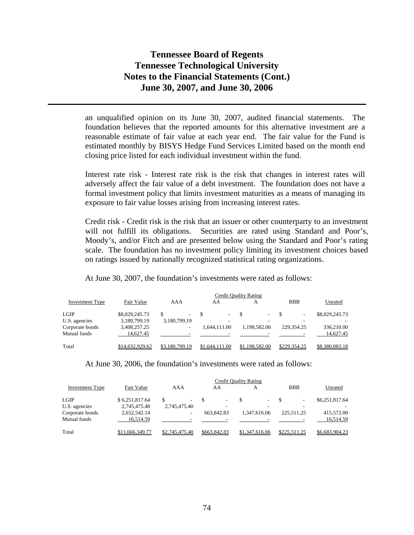an unqualified opinion on its June 30, 2007, audited financial statements. The foundation believes that the reported amounts for this alternative investment are a reasonable estimate of fair value at each year end. The fair value for the Fund is estimated monthly by BISYS Hedge Fund Services Limited based on the month end closing price listed for each individual investment within the fund.

Interest rate risk - Interest rate risk is the risk that changes in interest rates will adversely affect the fair value of a debt investment. The foundation does not have a formal investment policy that limits investment maturities as a means of managing its exposure to fair value losses arising from increasing interest rates.

Credit risk - Credit risk is the risk that an issuer or other counterparty to an investment will not fulfill its obligations. Securities are rated using Standard and Poor's, Moody's, and/or Fitch and are presented below using the Standard and Poor's rating scale. The foundation has no investment policy limiting its investment choices based on ratings issued by nationally recognized statistical rating organizations.

At June 30, 2007, the foundation's investments were rated as follows:

|                 |                 |                |                | <b>Credit Quality Rating</b> |              |                |
|-----------------|-----------------|----------------|----------------|------------------------------|--------------|----------------|
| Investment Type | Fair Value      | AAA            | AA             | А                            | <b>BBB</b>   | Unrated        |
| <b>LGIP</b>     | \$8,029,245.73  | \$             | - \$<br>-      | ۰.                           |              | \$8,029,245.73 |
| U.S. agencies   | 3,180,799.19    | 3,180,799.19   | ۰              |                              |              |                |
| Corporate bonds | 3,408,257.25    | ۰              | 1.644.111.00   | 1,198,582.00                 | 229,354.25   | 336,210.00     |
| Mutual funds    | 14.627.45       |                |                |                              |              | 14.627.45      |
| Total           | \$14,632,929.62 | \$3,180,799.19 | \$1,644,111,00 | \$1,198,582.00               | \$229,354.25 | \$8,380,083.18 |

At June 30, 2006, the foundation's investments were rated as follows:

|                 | Credit Quality Rating |                               |              |                |              |                |  |  |
|-----------------|-----------------------|-------------------------------|--------------|----------------|--------------|----------------|--|--|
| Investment Type | Fair Value            | AAA                           | AA           | А              | <b>BBB</b>   | Unrated        |  |  |
| <b>LGIP</b>     | \$6,251,817.64        | S<br>$\overline{\phantom{a}}$ | ۰            | $\sim$         |              | \$6,251,817.64 |  |  |
| U.S. agencies   | 2,745,475.40          | 2,745,475.40                  |              |                |              |                |  |  |
| Corporate bonds | 2,652,542.14          | ۰                             | 663,842.83   | 1.347.616.06   | 225.511.25   | 415,572.00     |  |  |
| Mutual funds    | 16.514.59             |                               |              |                |              | 16.514.59      |  |  |
| Total           | \$11,666,349.77       | \$2,745,475.40                | \$663,842.83 | \$1,347,616.06 | \$225,511.25 | \$6,683,904.23 |  |  |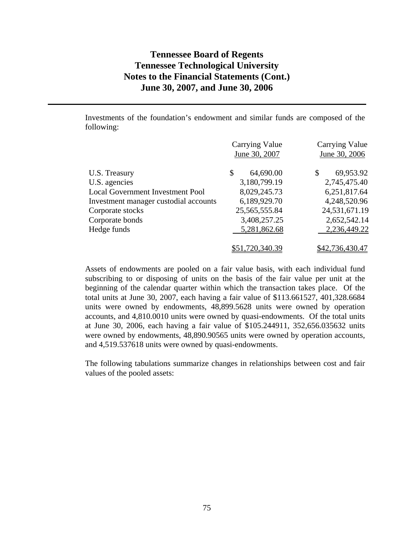Investments of the foundation's endowment and similar funds are composed of the following:

|                                         | Carrying Value  | <b>Carrying Value</b> |
|-----------------------------------------|-----------------|-----------------------|
|                                         | June 30, 2007   | June 30, 2006         |
| U.S. Treasury                           | \$<br>64,690.00 | 69,953.92<br>\$       |
| U.S. agencies                           | 3,180,799.19    | 2,745,475.40          |
| <b>Local Government Investment Pool</b> | 8,029,245.73    | 6,251,817.64          |
| Investment manager custodial accounts   | 6,189,929.70    | 4,248,520.96          |
| Corporate stocks                        | 25, 565, 555.84 | 24,531,671.19         |
| Corporate bonds                         | 3,408,257.25    | 2,652,542.14          |
| Hedge funds                             | 5,281,862.68    | 2,236,449.22          |
|                                         |                 |                       |
|                                         | \$51,720,340.39 | \$42,736,430.47       |

Assets of endowments are pooled on a fair value basis, with each individual fund subscribing to or disposing of units on the basis of the fair value per unit at the beginning of the calendar quarter within which the transaction takes place. Of the total units at June 30, 2007, each having a fair value of \$113.661527, 401,328.6684 units were owned by endowments, 48,899.5628 units were owned by operation accounts, and 4,810.0010 units were owned by quasi-endowments. Of the total units at June 30, 2006, each having a fair value of \$105.244911, 352,656.035632 units were owned by endowments, 48,890.90565 units were owned by operation accounts, and 4,519.537618 units were owned by quasi-endowments.

The following tabulations summarize changes in relationships between cost and fair values of the pooled assets: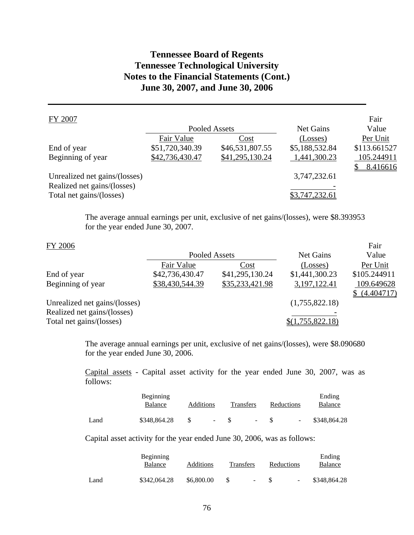### FY 2007

|                               |                 | Pooled Assets   | Net Gains      | Value        |
|-------------------------------|-----------------|-----------------|----------------|--------------|
|                               | Fair Value      | Cost            | (Losses)       | Per Unit     |
| End of year                   | \$51,720,340.39 | \$46,531,807.55 | \$5,188,532.84 | \$113.661527 |
| Beginning of year             | \$42,736,430.47 | \$41,295,130.24 | 1,441,300.23   | 105.244911   |
|                               |                 |                 |                | 8.416616     |
| Unrealized net gains/(losses) |                 |                 | 3,747,232.61   |              |
| Realized net gains/(losses)   |                 |                 |                |              |
| Total net gains/(losses)      |                 |                 | \$3,747,232.61 |              |

Fair

Fair

The average annual earnings per unit, exclusive of net gains/(losses), were \$8.393953 for the year ended June 30, 2007.

#### FY 2006

|                                                         | Pooled Assets   |                 | Net Gains        | Value                      |
|---------------------------------------------------------|-----------------|-----------------|------------------|----------------------------|
|                                                         | Fair Value      | Cost            | (Losses)         | Per Unit                   |
| End of year                                             | \$42,736,430.47 | \$41,295,130.24 | \$1,441,300.23   | \$105.244911               |
| Beginning of year                                       | \$38,430,544.39 | \$35,233,421.98 | 3,197,122.41     | 109.649628<br>\$(4.404717) |
| Unrealized net gains/(losses)                           |                 |                 | (1,755,822.18)   |                            |
| Realized net gains/(losses)<br>Total net gains/(losses) |                 |                 | \$(1,755,822.18) |                            |

The average annual earnings per unit, exclusive of net gains/(losses), were \$8.090680 for the year ended June 30, 2006.

Capital assets - Capital asset activity for the year ended June 30, 2007, was as follows:

|      | <b>Beginning</b><br>Balance | Additions |        | <b>Transfers</b> |        | <b>Reductions</b> |                          | Ending<br>Balance |
|------|-----------------------------|-----------|--------|------------------|--------|-------------------|--------------------------|-------------------|
| Land | \$348,864.28                |           | $\sim$ |                  | $\sim$ |                   | $\overline{\phantom{a}}$ | \$348,864.28      |

Capital asset activity for the year ended June 30, 2006, was as follows:

|      | Beginning<br>Balance | <b>Additions</b> | Transfers |        | Reductions |                          | Ending<br>Balance |
|------|----------------------|------------------|-----------|--------|------------|--------------------------|-------------------|
| Land | \$342,064.28         | \$6,800.00       |           | $\sim$ |            | $\overline{\phantom{a}}$ | \$348,864.28      |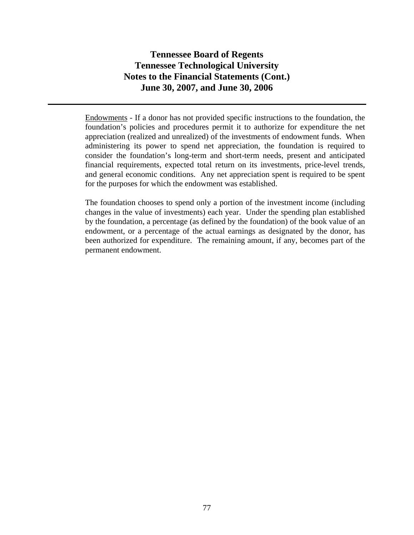Endowments - If a donor has not provided specific instructions to the foundation, the foundation's policies and procedures permit it to authorize for expenditure the net appreciation (realized and unrealized) of the investments of endowment funds. When administering its power to spend net appreciation, the foundation is required to consider the foundation's long-term and short-term needs, present and anticipated financial requirements, expected total return on its investments, price-level trends, and general economic conditions. Any net appreciation spent is required to be spent for the purposes for which the endowment was established.

The foundation chooses to spend only a portion of the investment income (including changes in the value of investments) each year. Under the spending plan established by the foundation, a percentage (as defined by the foundation) of the book value of an endowment, or a percentage of the actual earnings as designated by the donor, has been authorized for expenditure. The remaining amount, if any, becomes part of the permanent endowment.